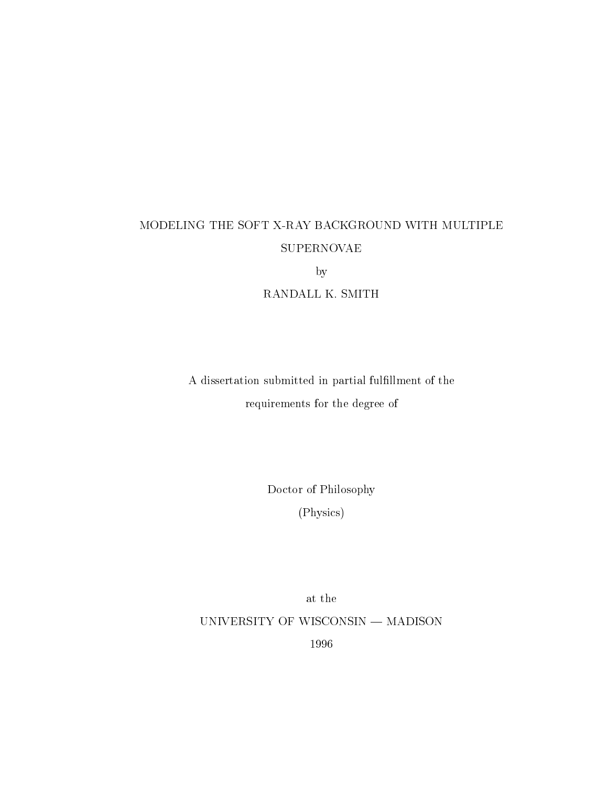# SUPERNOVAE

by

RANDALL K. SMITH

A dissertation submitted in partial fulllment of the requirements for the degree of

Doctor of Philosophy

Physics

at the UNIVERSITY OF WISCONSIN — MADISON 1996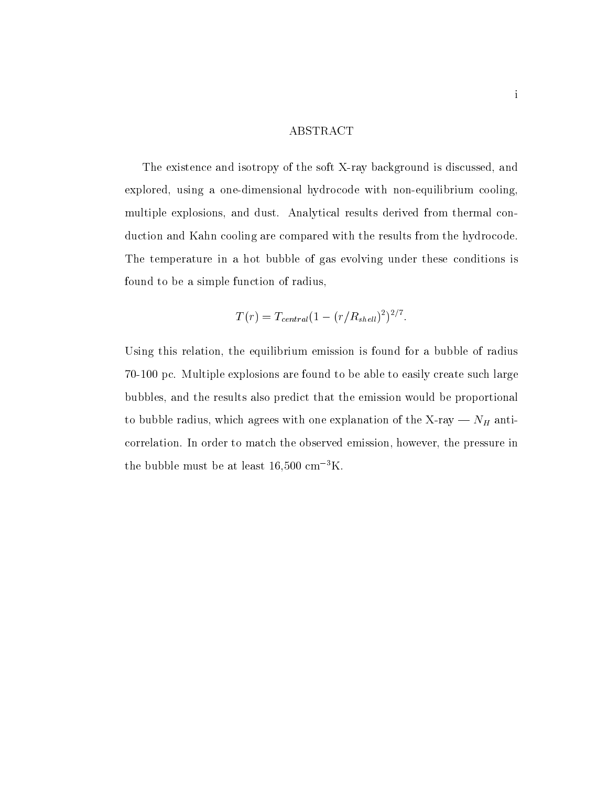#### ABSTRACT

The existence and isotropy of the soft X-ray background is discussed and explored using a one-dimensional hydrocode with non-equilibrium cooling multiple explosions, and dust. Analytical results derived from thermal conduction and Kahn cooling are compared with the results from the hydrocode The temperature in a hot bubble of gas evolving under these conditions is found to be a simple function of radius

$$
T(r) = T_{central}(1 - (r/R_{shell})^2)^{2/7}.
$$

Using this relation, the equilibrium emission is found for a bubble of radius , a packing to be able to be able to be able to be able to the such large such a such as a such large such larg bubbles and the results also predict that the emission would be proportional to bubble radius with one explanation of the X-ray of the X-ray of the X-ray of the X-ray of the X-ray of the X-ray of the X-ray of the X-ray of the X-ray of the X-ray of the X-ray of the X-ray of the X-ray of the X-ray o correlation. In order to match the observed emission, however, the pressure in the bubble must be at least 10,000 cm  $-K$ .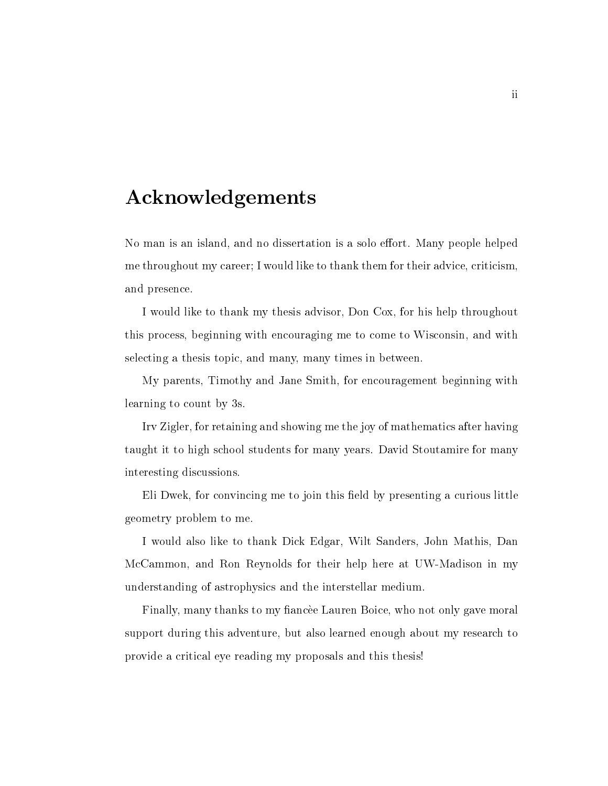### Acknowledgements

No man is an island, and no dissertation is a solo effort. Many people helped me throughout my career; I would like to thank them for their advice, criticism, and presence

I would like to thank my thesis advisor, Don Cox, for his help throughout this process beginning with encouraging me to come to Wisconsin and with selecting a thesis topic, and many, many times in between.

My parents Timothy and Jane Smith for encouragement beginning with learning to count by 3s.

Irv Zigler, for retaining and showing me the joy of mathematics after having taught it to high school students for many years David Stoutamire for many interesting discussions

Eli Dwek, for convincing me to join this field by presenting a curious little geometry problem to me

I would also like to thank Dick Edgar, Wilt Sanders, John Mathis, Dan McCammon and Ron Reynolds for their help here at UW-Madison in my understanding of astrophysics and the interstellar medium

Finally, many thanks to my fiancee Lauren Boice, who not only gave moral support during this adventure, but also learned enough about my research to provide a critical eye reading my proposals and this thesis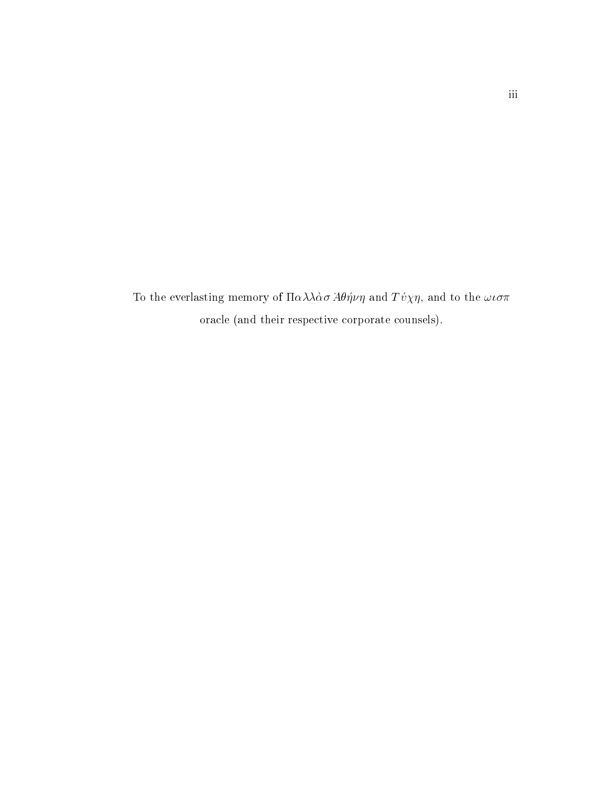To the everlasting memory of  $\Pi \alpha \lambda \lambda \dot{\alpha} \sigma A \theta \eta \nu \eta$  and  $T \dot{\nu} \chi \eta$ , and to the  $\omega \iota \sigma \pi$ oracle (and their respective corporate counsels).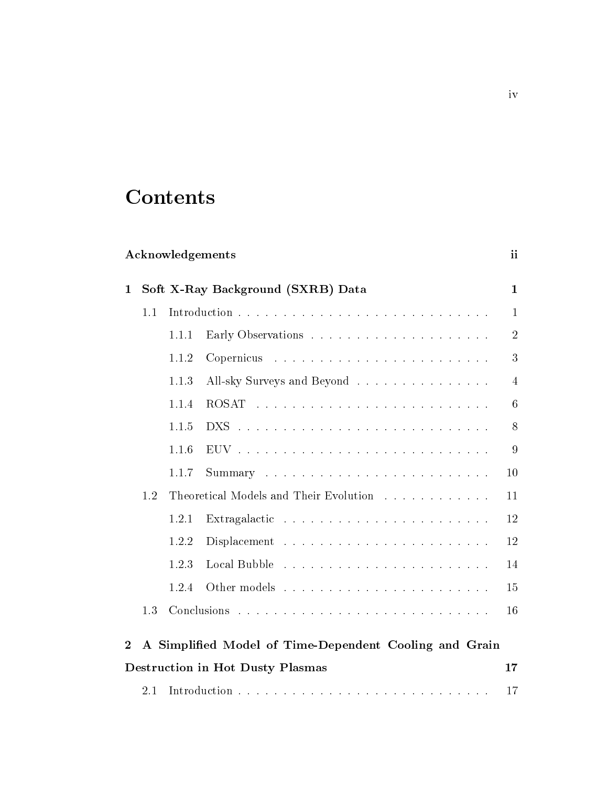## **Contents**

|              |     |       | Acknowledgements                                                        | ii             |
|--------------|-----|-------|-------------------------------------------------------------------------|----------------|
| $\mathbf{1}$ |     |       | Soft X-Ray Background (SXRB) Data                                       | $\mathbf{1}$   |
|              | 1.1 |       |                                                                         | 1              |
|              |     | 1.1.1 |                                                                         | $\overline{2}$ |
|              |     | 1.1.2 |                                                                         | 3              |
|              |     | 1.1.3 | All-sky Surveys and Beyond                                              | $\overline{4}$ |
|              |     | 1.1.4 |                                                                         | 6              |
|              |     | 1.1.5 |                                                                         | 8              |
|              |     | 1.1.6 |                                                                         | 9              |
|              |     | 1.1.7 |                                                                         | 10             |
|              | 1.2 |       | Theoretical Models and Their Evolution                                  | 11             |
|              |     | 1.2.1 | Extragalactic $\ldots \ldots \ldots \ldots \ldots \ldots \ldots \ldots$ | 12             |
|              |     | 1.2.2 |                                                                         | 12             |
|              |     | 1.2.3 |                                                                         | 14             |
|              |     | 1.2.4 |                                                                         | 15             |
|              | 1.3 |       |                                                                         | 16             |
| $\mathbf 2$  |     |       | A Simplified Model of Time-Dependent Cooling and Grain                  |                |
|              |     |       | <b>Destruction in Hot Dusty Plasmas</b>                                 | 17             |
|              | 2.1 |       |                                                                         | 17             |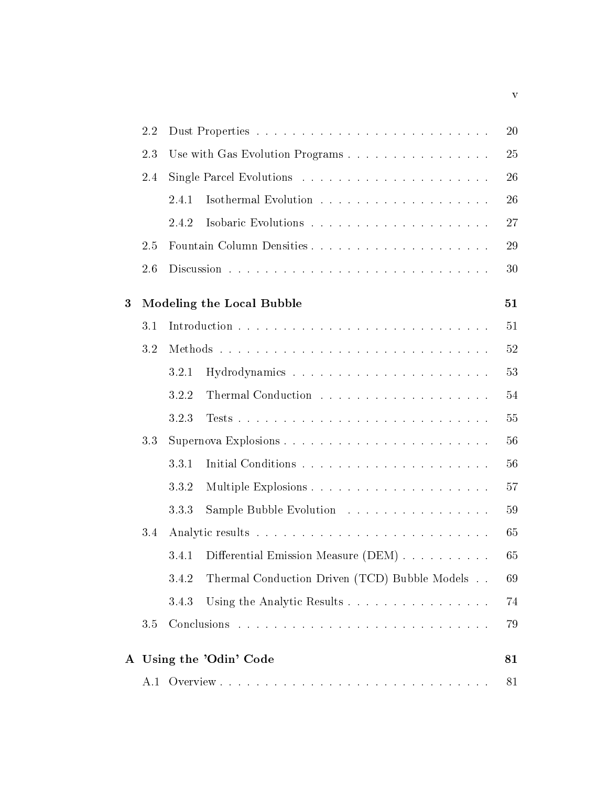|   | 2.2 |       |                                               | 20 |
|---|-----|-------|-----------------------------------------------|----|
|   | 2.3 |       | Use with Gas Evolution Programs               | 25 |
|   | 2.4 |       |                                               | 26 |
|   |     | 2.4.1 |                                               | 26 |
|   |     | 2.4.2 |                                               | 27 |
|   | 2.5 |       |                                               | 29 |
|   | 2.6 |       |                                               | 30 |
| 3 |     |       | Modeling the Local Bubble                     | 51 |
|   | 3.1 |       |                                               | 51 |
|   | 3.2 |       |                                               | 52 |
|   |     | 3.2.1 |                                               | 53 |
|   |     | 3.2.2 |                                               | 54 |
|   |     | 3.2.3 |                                               | 55 |
|   | 3.3 |       |                                               | 56 |
|   |     | 3.3.1 |                                               | 56 |
|   |     | 3.3.2 |                                               | 57 |
|   |     | 3.3.3 | Sample Bubble Evolution                       | 59 |
|   | 3.4 |       |                                               | 65 |
|   |     | 3.4.1 | Differential Emission Measure (DEM)           | 65 |
|   |     | 3.4.2 | Thermal Conduction Driven (TCD) Bubble Models | 69 |
|   |     | 3.4.3 | Using the Analytic Results                    | 74 |
|   | 3.5 |       |                                               | 79 |
|   |     |       | A Using the 'Odin' Code                       | 81 |
|   |     |       |                                               | 81 |

v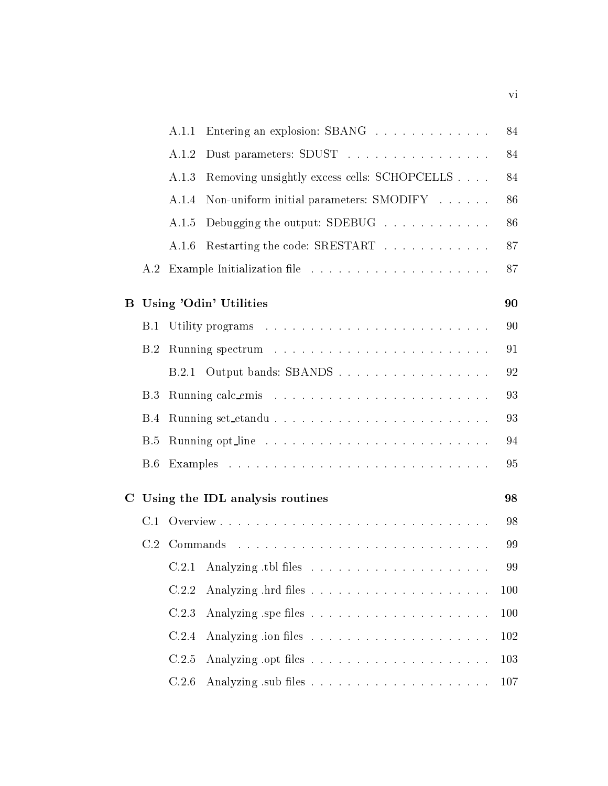|             |            | A.1.1 | Entering an explosion: SBANG                | 84  |
|-------------|------------|-------|---------------------------------------------|-----|
|             |            | A.1.2 | Dust parameters: SDUST                      | 84  |
|             |            | A.1.3 | Removing unsightly excess cells: SCHOPCELLS | 84  |
|             |            | A.1.4 | Non-uniform initial parameters: SMODIFY     | 86  |
|             |            | A.1.5 | Debugging the output: SDEBUG                | 86  |
|             |            | A.1.6 | Restarting the code: SRESTART               | 87  |
|             |            |       |                                             | 87  |
| B           |            |       | Using 'Odin' Utilities                      | 90  |
|             | B.1        |       |                                             | 90  |
|             | B.2        |       |                                             | 91  |
|             |            | B.2.1 | Output bands: SBANDS                        | 92  |
|             | B.3        |       |                                             | 93  |
|             | <b>B.4</b> |       |                                             | 93  |
|             | <b>B.5</b> |       |                                             | 94  |
|             | <b>B.6</b> |       |                                             | 95  |
| $\mathbf C$ |            |       | Using the IDL analysis routines             | 98  |
|             | C.1        |       |                                             | 98  |
|             |            |       |                                             | 99  |
|             |            |       |                                             | 99  |
|             |            | C.2.2 |                                             | 100 |
|             |            | C.2.3 |                                             | 100 |
|             |            | C.2.4 |                                             | 102 |
|             |            | C.2.5 |                                             | 103 |
|             |            | C.2.6 |                                             | 107 |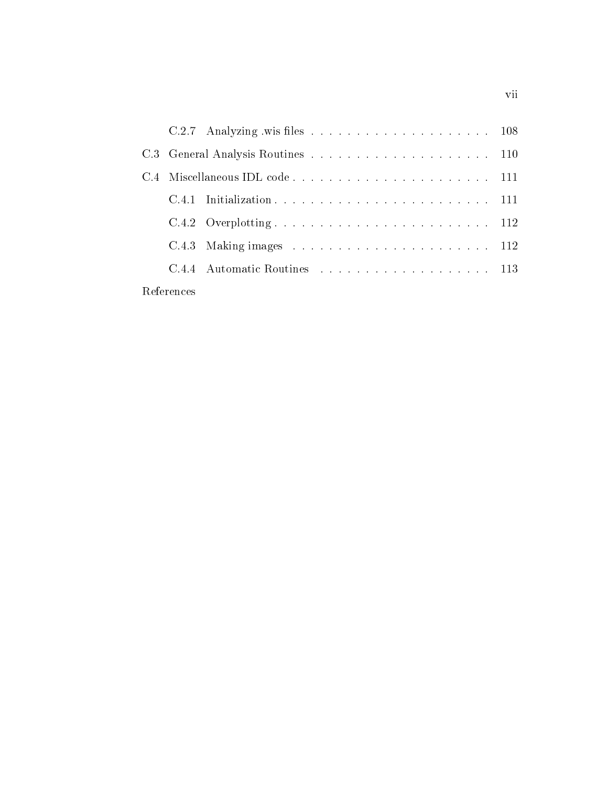| C.4 |            |  |  |
|-----|------------|--|--|
|     |            |  |  |
|     |            |  |  |
|     |            |  |  |
|     |            |  |  |
|     | References |  |  |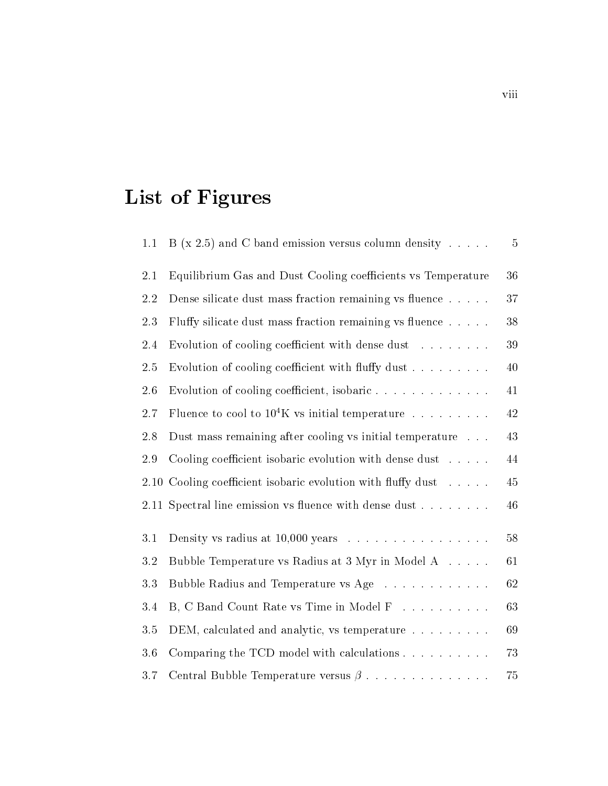## List of Figures

| 1.1  | B (x 2.5) and C band emission versus column density $\dots$ .     | 5      |
|------|-------------------------------------------------------------------|--------|
| 2.1  | Equilibrium Gas and Dust Cooling coefficients vs Temperature      | 36     |
| 2.2  | Dense silicate dust mass fraction remaining vs fluence            | 37     |
| 2.3  | Fluffy silicate dust mass fraction remaining vs fluence           | 38     |
| 2.4  | Evolution of cooling coefficient with dense dust                  | 39     |
| 2.5  | Evolution of cooling coefficient with fluffy dust                 | 40     |
| 2.6  | Evolution of cooling coefficient, isobaric                        | 41     |
| 2.7  | Fluence to cool to $10^4$ K vs initial temperature                | 42     |
| 2.8  | Dust mass remaining after cooling vs initial temperature          | 43     |
| 2.9  | Cooling coefficient isobaric evolution with dense dust $\dots$ .  | 44     |
| 2.10 | Cooling coefficient isobaric evolution with fluffy dust $\dots$ . | 45     |
|      | 2.11 Spectral line emission vs fluence with dense dust            | 46     |
| 3.1  | Density vs radius at $10,000$ years                               | $58\,$ |
| 3.2  | Bubble Temperature vs Radius at 3 Myr in Model A                  | 61     |
| 3.3  | Bubble Radius and Temperature vs Age                              | 62     |
| 3.4  | B, C Band Count Rate vs Time in Model F                           | 63     |
| 3.5  | DEM, calculated and analytic, vs temperature                      | 69     |
| 3.6  | Comparing the TCD model with calculations $\ldots$                | 73     |
| 3.7  | Central Bubble Temperature versus $\beta$                         | 75     |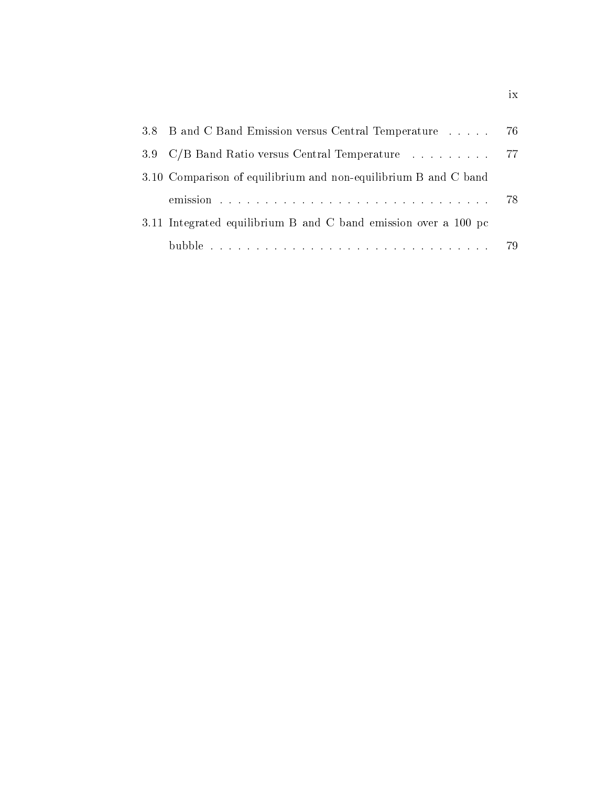| 3.8 B and C Band Emission versus Central Temperature  76        |  |  |  |  |  |
|-----------------------------------------------------------------|--|--|--|--|--|
| 3.9 C/B Band Ratio versus Central Temperature  77               |  |  |  |  |  |
| 3.10 Comparison of equilibrium and non-equilibrium B and C band |  |  |  |  |  |
|                                                                 |  |  |  |  |  |
| 3.11 Integrated equilibrium B and C band emission over a 100 pc |  |  |  |  |  |
|                                                                 |  |  |  |  |  |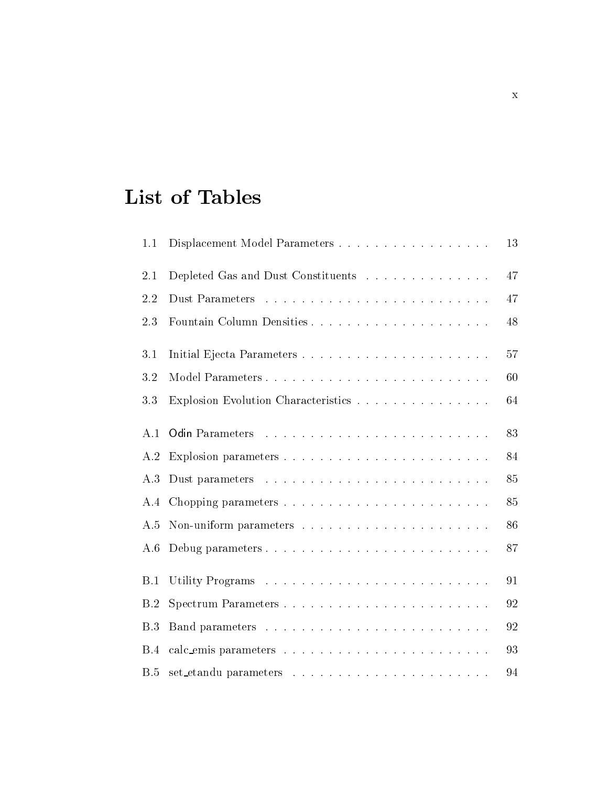## List of Tables

| 1.1 | Displacement Model Parameters       | 13 |
|-----|-------------------------------------|----|
| 2.1 | Depleted Gas and Dust Constituents  | 47 |
| 2.2 |                                     | 47 |
| 2.3 |                                     | 48 |
| 3.1 |                                     | 57 |
| 3.2 |                                     | 60 |
| 3.3 | Explosion Evolution Characteristics | 64 |
| A.1 |                                     | 83 |
| A.2 |                                     | 84 |
| A.3 |                                     | 85 |
| A.4 |                                     | 85 |
| A.5 |                                     | 86 |
| A.6 |                                     | 87 |
| B.1 |                                     | 91 |
| B.2 | Spectrum Parameters                 | 92 |
| B.3 |                                     | 92 |
| B.4 |                                     | 93 |
| B.5 |                                     | 94 |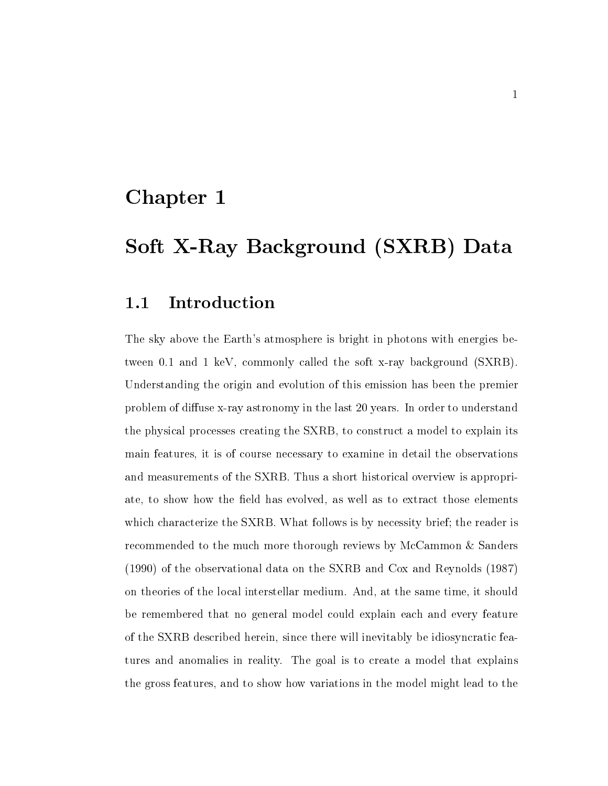### Chapter 1

## Soft X-Ray Background (SXRB) Data

#### $1.1$ Introduction

The sky above the Earth's atmosphere is bright in photons with energies bethe soft and it is a common the soft the soft x-ray background (being ). Understanding the origin and evolution of this emission has been the premier problem of diuse x-ray astronomy in the last years In order to understand the physical processes creating the SXRB, to construct a model to explain its main features it is of course necessary to examine in detail the observations and measurements of the SXRB. Thus a short historical overview is appropriate, to show how the field has evolved, as well as to extract those elements which characterize the SXRB. What follows is by necessity brief; the reader is recommended to the much more thorough reviews by McCammon  $&$  Sanders  $(1990)$  of the observational data on the SXRB and Cox and Reynolds  $(1987)$ on theories of the local interstellar medium And at the same time it should be remembered that no general model could explain each and every feature of the SXRB described herein since there will inevitably be idiosyncratic features and anomalies in reality. The goal is to create a model that explains the gross features and to show how variations in the model might lead to the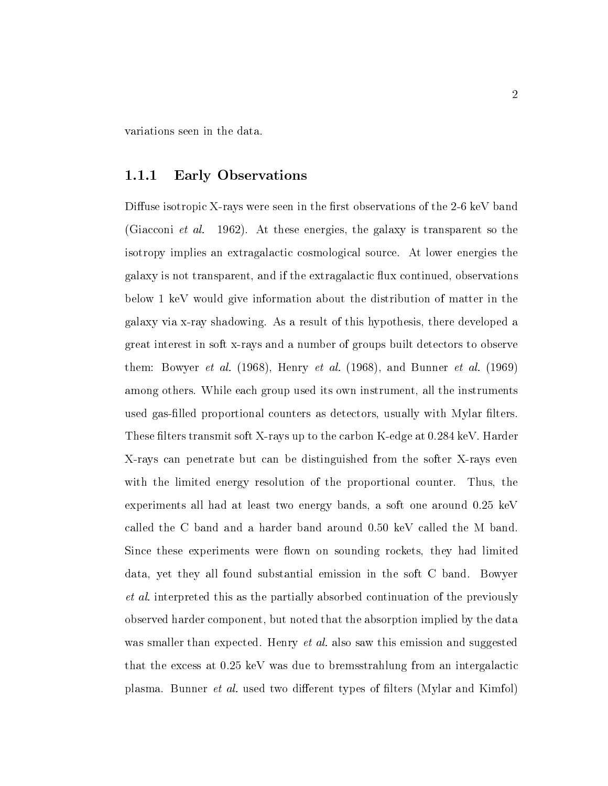variations seen in the data

#### 1.1.1 Early Observations

Diuse isotropic X-rays were seen in the rst observations of the - keV band  $\mathcal{A}$  . At the set along the solution of  $\mathcal{A}$  is the galaxy is the solution of the solution of the solution of  $\mathcal{A}$ isotropy implies an extragalactic cosmological source At lower energies the galaxy is not transparent, and if the extragalactic flux continued, observations below 1 keV would give information about the distribution of matter in the ray shadowing As a ray shadowing As a result of this hypothesis there developed a result of this hypothesis there are developed as  $\mu$ great interest in soft x-rays and a number of groups built detectors to observe the set along the algebra  $\mu$  , and the algebra  $\mu$  and  $\mu$  and  $\mu$  and  $\mu$  along the algebra  $\mu$ among others. While each group used its own instrument, all the instruments used gas-enters proportional counters as detectors as detectors usually with  $\sim$ e letters to the carbon K-A-barder and the carbon K-A-barder and the carbon K-A-barder at the carbon K-A-bard rays can penetrate but can be distinguished from the soften soften in the soften  $\sim$ with the limited energy resolution of the proportional counter. Thus, the experiments all had at least two energy bands, a soft one around  $0.25 \text{ keV}$ called the C band and a harder band around  $0.50 \text{ keV}$  called the M band. Since these experiments were flown on sounding rockets, they had limited data, yet they all found substantial emission in the soft C band. Bowyer et als the present the partially as the particles of the particle continues of the previously absorbed continu observed harder component, but noted that the absorption implied by the data was smaller than expected Henry et althat the excess at  $0.25 \text{ keV}$  was due to bremsstrahlung from an intergalactic plasma Bunner et al- used two dierent types of lters Mylar and Kimfol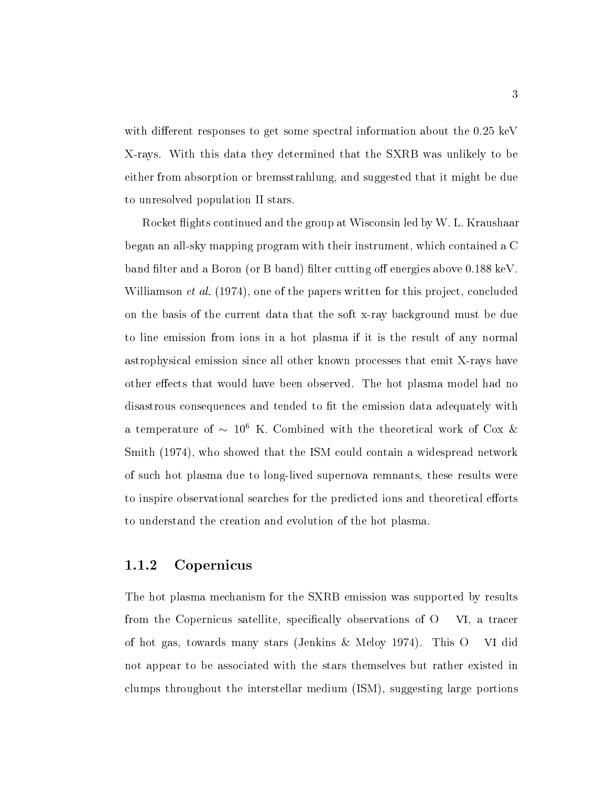with different responses to get some spectral information about the  $0.25 \text{ keV}$ X-rays With this data they determined that the SXRB was unlikely to be either from absorption or bremsstrahlung, and suggested that it might be due to unresolved population II stars

Rocket flights continued and the group at Wisconsin led by W. L. Kraushaar  $\mathcal{L}$  and an all-containst program with the instrument with the contained a Contained a Contained a Contained a Co band filter and a Boron (or B band) filter cutting off energies above  $0.188 \text{ keV}$ . will be a concluded to the papers written for the papers written for the papers written for the papers written ray basis of the case that the duties that the soft x-ray background and soft x-ray distribution of the due to to line emission from ions in a hot plasma if it is the result of any normal astrophysical emission since all other known processes that emit X-rays have other effects that would have been observed. The hot plasma model had no disastrous consequences and tended to fit the emission data adequately with a temperature of  $\sim$  10  $\,$  K. Combined with the theoretical work of Cox  $\alpha$ Smith (1974), who showed that the ISM could contain a widespread network of such hot plasma due to long-lived supernova remnants these results were to inspire observational searches for the predicted ions and theoretical efforts to understand the creation and evolution of the hot plasma

#### Copernicus

The hot plasma mechanism for the SXRB emission was supported by results from the Copernicus satellite, specifically observations of  $O$  VI, a tracer of hot gas, towards many stars (Jenkins  $\&$  Meloy 1974). This O VI did not appear to be associated with the stars themselves but rather existed in clumps throughout the interstellar medium  $(ISM)$ , suggesting large portions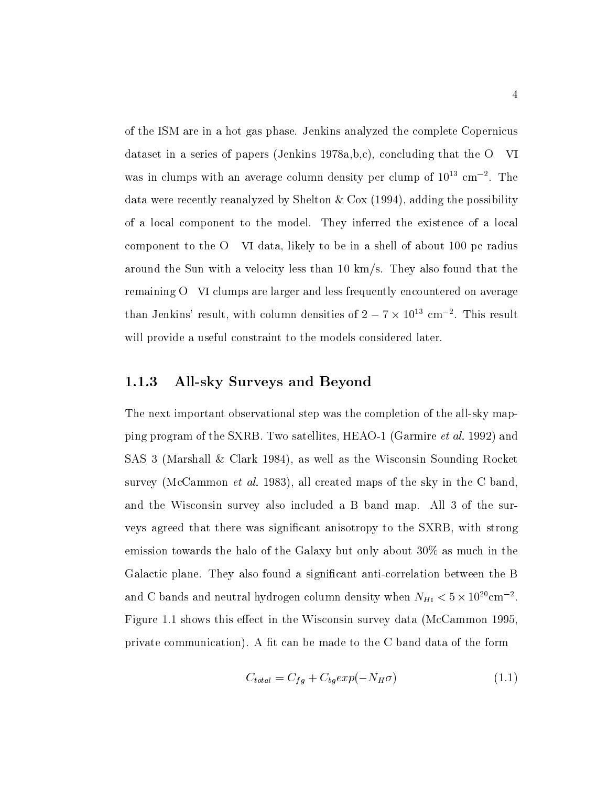of the ISM are in a hot gas phase Jenkins analyzed the complete Copernicus dataset in a series of papers (Jenkins  $1978a,b,c$ ), concluding that the O VI was in clumps with an average column density per clump of 10 Cm  $\,$  . The data were recently reanalyzed by Shelton  $& Cox$  (1994), adding the possibility of a local component to the model. They inferred the existence of a local component to the  $O$  VI data, likely to be in a shell of about 100 pc radius around the Sun with a velocity less than 10  $km/s$ . They also found that the remaining O VI clumps are larger and less frequently encountered on average than Jenkins result, with column densities of  $2 = \ell \times 10^{-1}$  cm  $^{-1}$ . This result will provide a useful constraint to the models considered later

#### Allsky Surveys and Beyond

The next important observational step was the completion of the all-sky mapping program of the SIRB Two satellites HEAO- (1995) and the SARB Two satellites HEAO- (1996) and the process SAS 3 (Marshall & Clark 1984), as well as the Wisconsin Sounding Rocket survey McCammon et al-all created maps of the skyling maps of the skyling of the common the C bandward of the C and the Wisconsin survey also included a B band map. All 3 of the surveys agreed that there was significant anisotropy to the SXRB, with strong emission towards the halo of the Galaxy but only about  $30\%$  as much in the Galactic plane They also found a signicant anti-correlation between the B and C bands and neutral hydrogen column density when  $N_{H1} < 5 \times 10^{20} \text{cm}^{-2}$ . Figure 1.1 shows this effect in the Wisconsin survey data (McCammon 1995. private communication). A fit can be made to the  $C$  band data of the form

$$
C_{total} = C_{fg} + C_{bg} exp(-N_H \sigma) \tag{1.1}
$$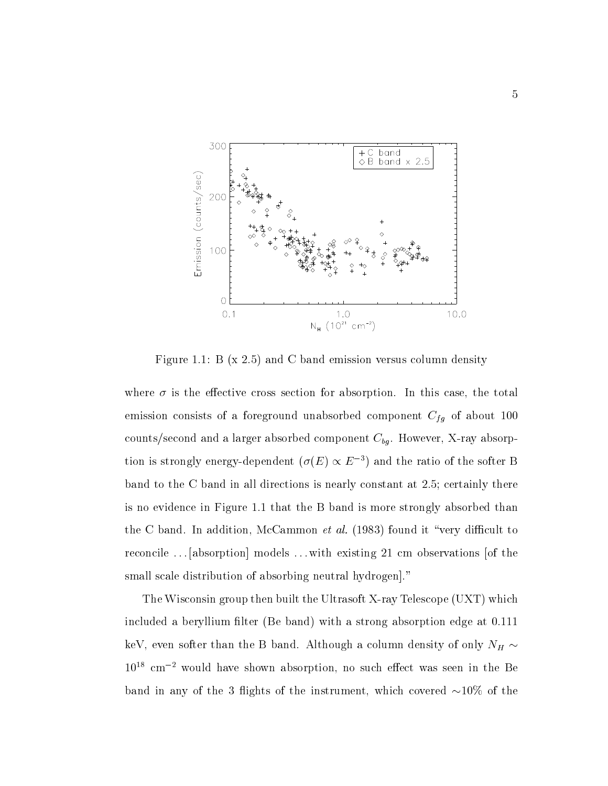

Figure 1.1: B  $(x 2.5)$  and C band emission versus column density

where  $\sigma$  is the effective cross section for absorption. In this case, the total  $_{\rm{c}}$  consists of a foreground unabsorbed component  $\rm{C}_{f\,II}$  or about 100  $\,$ ray and a larger absorption and a larger absorption and a larger absorption absorption absorption of the compo tion is strongly energy-dependent ( $\sigma(E) \propto E^{-\epsilon}$  ) and the ratio of the softer B band to the C band in all directions is nearly constant at  $2.5$ ; certainly there is no evidence in Figure 1.1 that the B band is more strongly absorbed than the C band In addition McCammon et al. (1999) is the state of the state of  $\sim$ reconcile  $\ldots$  [absorption] models  $\ldots$  with existing 21 cm observations [of the small scale distribution of absorbing neutral hydrogen."

The Wisconsin group then built the Ultrasoft X-telescope United X-telescope UST which I which is a set of the included a beryllium filter (Be band) with a strong absorption edge at  $0.111$ keV even softer than the B band Although a column density of only NH - $10^{18}$  cm<sup>-2</sup> would have shown absorption, no such effect was seen in the Be band in any of the source is the instrument which covered as  $\mathcal{L}_{\mathcal{A}}$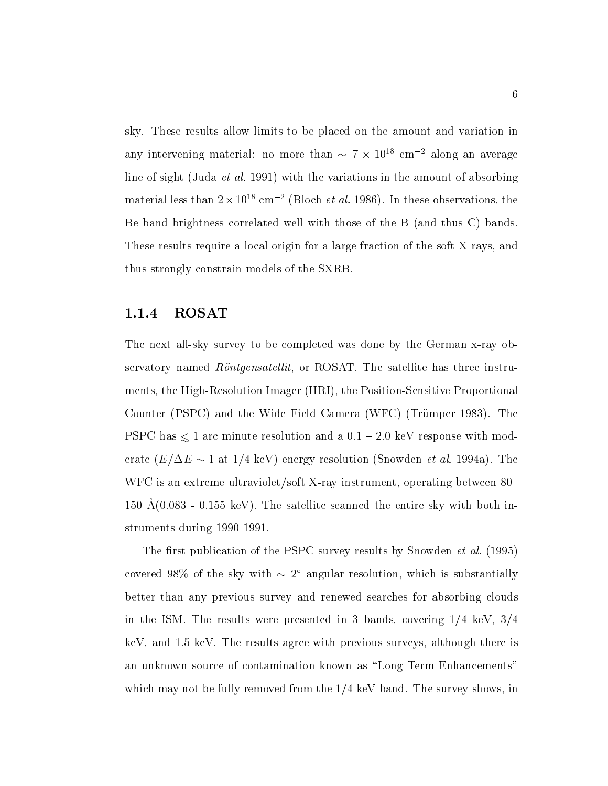sky. These results allow limits to be placed on the amount and variation in any intervening material: no more than  $\sim$  7  $\times$  10  $^{\circ}$  cm  $^{-}$  along an average line of sight Juda et al. with the variations in the sight of absorbing the amount of absorbing the amount of material less than  $2 \times 10^{-8}$  cm  $^{-1}$  (Bloch *et al.* 1980). In these observations, the Be band brightness correlated well with those of the  $B$  (and thus C) bands. These results require a local origin for a large fraction of the soft X-rays and thus strongly constrain models of the SXRB

#### ROSAT

ray sector all-completely to be completed was done by the German x-ray of  $\sim$ servatory named  $Röntgensatellit$ , or ROSAT. The satellite has three instruments the High-Resolution Imager HRI the Position-Sensitive Proportional Counter (PSPC) and the Wide Field Camera (WFC) (Trümper 1983). The  $P_{\text{S}}$  r arc minute resolution and a  $0.1 - 2.0$  keV response with moderate  $\mathcal{L} = \{ \begin{array}{c} \mathcal{L} = \{ \mathbf{r}_1, \mathbf{r}_2, \ldots, \mathbf{r}_N \} \end{array} \right.$ WFU is an extreme ultraviolet/soft  $\Lambda$ -ray instrument, operating between  $\delta 0^ 100\,$   $110000$   $-0.100$  KeV  $\mu$ . The satellite scanned the entire sky with both in- $\sim$  struments during  $\sim$  -  $\sim$  -  $\sim$  -  $\sim$  -  $\sim$ 

The rst publication of the PSPC survey results by Snowden et al covered  $98\%$  of the sky with  $\sim$  2 -angular resolution, which is substantially better than any previous survey and renewed searches for absorbing clouds in the ISM. The results were presented in 3 bands, covering  $1/4$  keV,  $3/4$ keV, and  $1.5$  keV. The results agree with previous surveys, although there is an unknown source of contamination known as "Long Term Enhancements" which may not be fully removed from the  $1/4$  keV band. The survey shows, in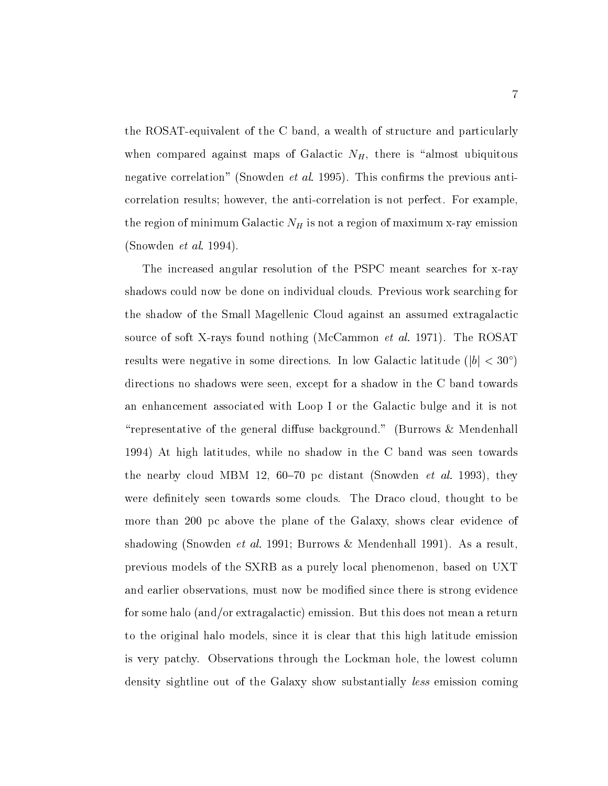the ROSAT-C band and the C band a wealth of the C band and particularly and particularly particularly and particularly when compared against maps of Galactic  $N_H$ , there is "almost ubiquitous negative correlations (the contrettion and previous anti-model and previous anticorrelation results however the anti-anti-attention is not perfect for example, the correlation of the second the region of minimum Galactic NH is not a region of  $\Omega$ Snowden et al- 

The increased angular resolution of the PSPC meant searches for x-ray shadows could now be done on individual clouds. Previous work searching for the shadow of the Small Magellenic Cloud against an assumed extragalactic source of soft and all the Rosald McCammon et al-mathematic McCammon et al-mathematic McCammon et alresults were negative in some directions. In low Galactic latitude  $||b|| \leq 50$  ) directions no shadows were seen, except for a shadow in the C band towards an enhancement associated with Loop I or the Galactic bulge and it is not "representative of the general diffuse background." (Burrows  $\&$  Mendenhall 1994) At high latitudes, while no shadow in the C band was seen towards  $\mu$  is distributed in Eq. (10 TeV) by distant (Showden et al. 1990), they were definitely seen towards some clouds. The Draco cloud, thought to be more than 200 pc above the plane of the Galaxy, shows clear evidence of shadowing Snowden et al-As a result of the society of the substitution of the society of the society of the society of the society of the society of the society of the society of the society of the society of the society o previous models of the SXRB as a purely local phenomenon based on UXT and earlier observations, must now be modified since there is strong evidence for some halo (and/or extragalactic) emission. But this does not mean a return to the original halo models, since it is clear that this high latitude emission is very patchy. Observations through the Lockman hole, the lowest column density sightline out of the Galaxy show substantially *less* emission coming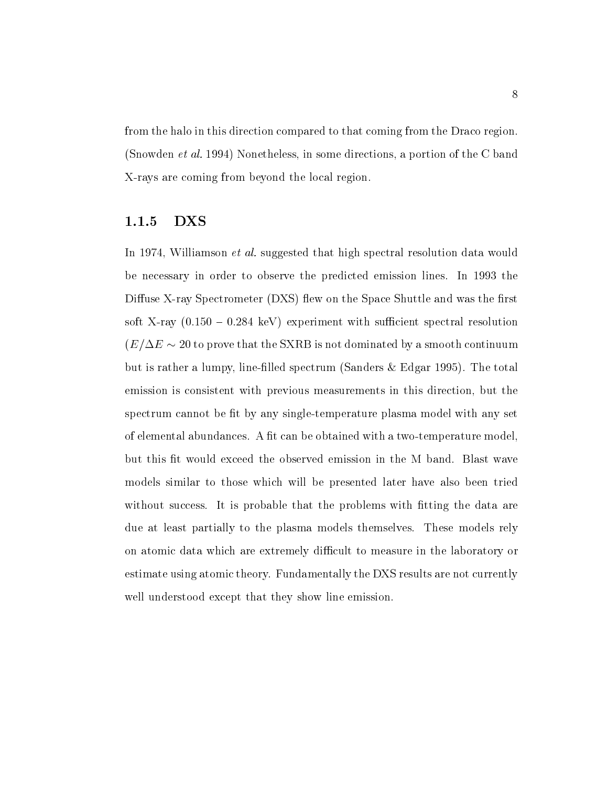from the halo in this direction compared to that coming from the Draco region  $S$  in some directions in some directions a portion of the C band  $\mu$ rays are commonly the local region of the local regions.

#### DXS

In the suggested that high spectral resolution data would be al-suggested that high spectral resolution data would be a suggested to the spectral resolution data would be a suggested to be a suggested to the spectral reso be necessary in order to observe the predicted emission lines. In 1993 the Diuse X-ray Spectrometer DXS ew on the Space Shuttle and was the rst  $\frac{1}{2}$ soft  $\frac{1}{2}$  (v.100  $-$  0.204 keV  $\mu$  experiment with sumclem spectral resolution  $\epsilon = \epsilon$  . To prove that the SXRB is not dominated by a smooth continuum of  $\epsilon$ but is rather a rather  $\mu$  line-spectrum spectrum (spectrum scale  $\mu$  and  $\mu$ emission is consistent with previous measurements in this direction, but the spectrum cannot the box  $\alpha$  and the cannot cannot plasma model with any set  $\alpha$ te telemental abundances A t can be obtained with a trace with a trace  $\mu$  television and the  $\mu$ but this fit would exceed the observed emission in the M band. Blast wave models similar to those which will be presented later have also been tried without success. It is probable that the problems with fitting the data are due at least partially to the plasma models themselves. These models rely on atomic data which are extremely difficult to measure in the laboratory or estimate using atomic theory Fundamentally the DXS results are not currently well understood except that they show line emission.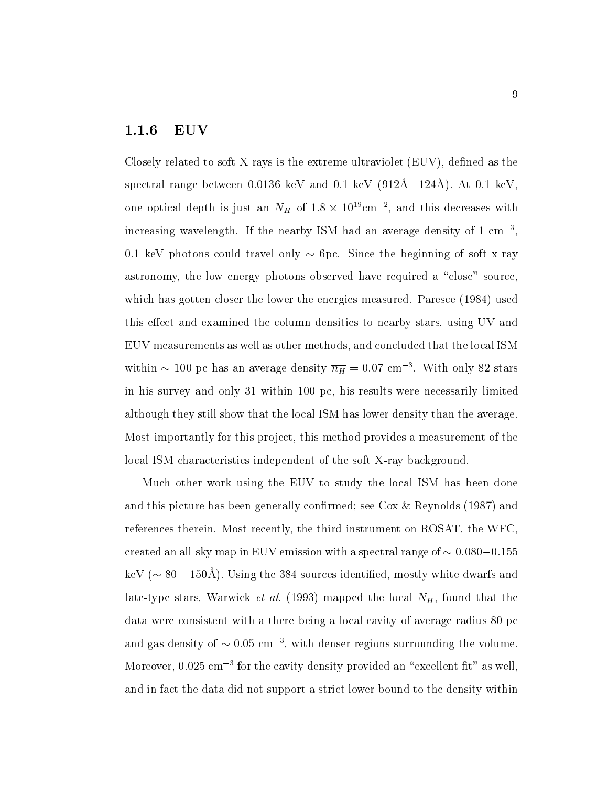#### EUV

rays is the extreme use that is the extreme use the extreme ultraviolet  $\mathcal{C}$  as the extreme use the extreme  $s$ pectral range between 0.0150 keV and 0.1 keV (912A= 124A). At 0.1 keV, one optical depth is just an  $N_H$  of 1.8  $\times$  10 cm  $^{-}$ , and this decreases with increasing wavelength. If the nearby ISM had an average density of  $1 \text{ cm}^{-3}$ . keV photons could travel only - pc Since the beginning of soft x-ray astronomy, the low energy photons observed have required a "close" source, which has gotten closer the lower the energies measured. Paresce (1984) used this effect and examined the column densities to nearby stars, using UV and EUV measurements as well as other methods and concluded that the local ISM within  $\sim$  100 pc has an average density  $n_H = 0.07$  cm  $^{-1}$ . With only 82 stars in his survey and only 31 within 100 pc, his results were necessarily limited although they still show that the local ISM has lower density than the average Most importantly for this project, this method provides a measurement of the local ISM characteristics independent of the soft X-ray background

Much other work using the EUV to study the local ISM has been done and this picture has been generally confirmed; see Cox & Reynolds  $(1987)$  and references therein. Most recently, the third instrument on ROSAT, the WFC, created an all-sky map in EUV emission with a spectral range of -  $\kappa$   $\kappa$   $\sim$  00  $\pm$  00.11). Obing the 004 bources identified, mostly white dwarfs and late-type stars Warwick et al- mapped the local NH found that the data were consistent with a there being a local cavity of average radius 80 pc and gas density of  $\sim$  0.05 cm  $^{-}$ , with denser regions surrounding the volume. moreover, 0.025 cm  $\,$  for the cavity density provided an "excellent nt" as well,  $\,$ and in fact the data did not support a strict lower bound to the density within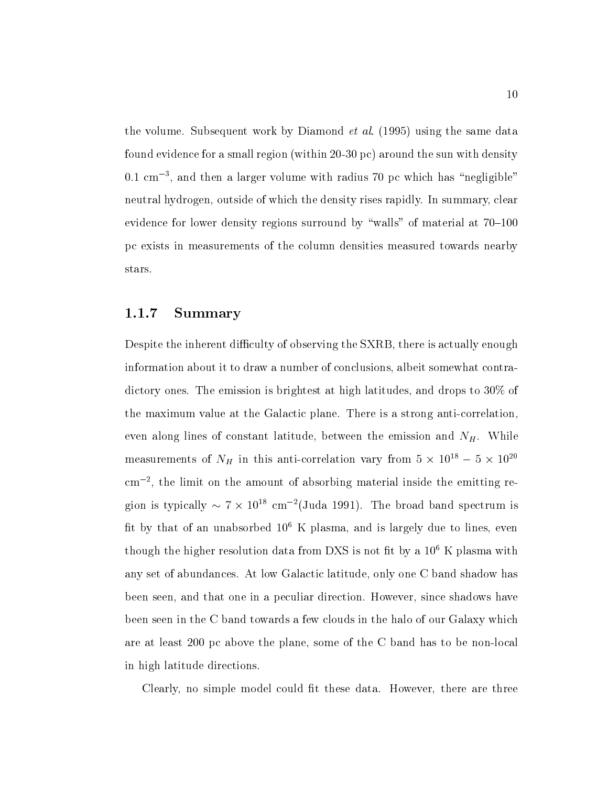the volume Subsequent work by Diamond et al- using the same data found evidence for a small region within - pc around the sun with density 0.1 cm , and then a larger volume with radius *t*o pc which has -hegilgible to the co neutral hydrogen, outside of which the density rises rapidly. In summary, clear evidence for lower density regions surround by "walls" of material at  $70-100$ pc exists in measurements of the column densities measured towards nearby stars

#### Summary

Despite the inherent difficulty of observing the SXRB, there is actually enough information about it to draw a number of conclusions, albeit somewhat contradictory ones. The emission is brightest at high latitudes, and drops to  $30\%$  of the maximum value at the Galactic plane There is a strong anti-correlation even along lines of constant latitude, between the emission and  $N_H$ . While measurements of  $N_H$  in this anti-correlation vary from  $5 \times 10^{-1} - 5 \times 10^{-1}$ cm the limit on the amount of absorbing material inside the emitting region is typically  $\sim$  ( $\times$  10 $^{\circ}$  cm  $^{-}$  (Juda 1991). The broad band spectrum is fit by that of an unabsorbed  $10^6$  K plasma, and is largely due to lines, even though the higher resolution data from DXS is not fit by a  $10^6$  K plasma with any set of abundances. At low Galactic latitude, only one C band shadow has been seen, and that one in a peculiar direction. However, since shadows have been seen in the C band towards a few clouds in the halo of our Galaxy which are at least pc above the plane some of the C band has to be non-local in high latitude directions

Clearly, no simple model could fit these data. However, there are three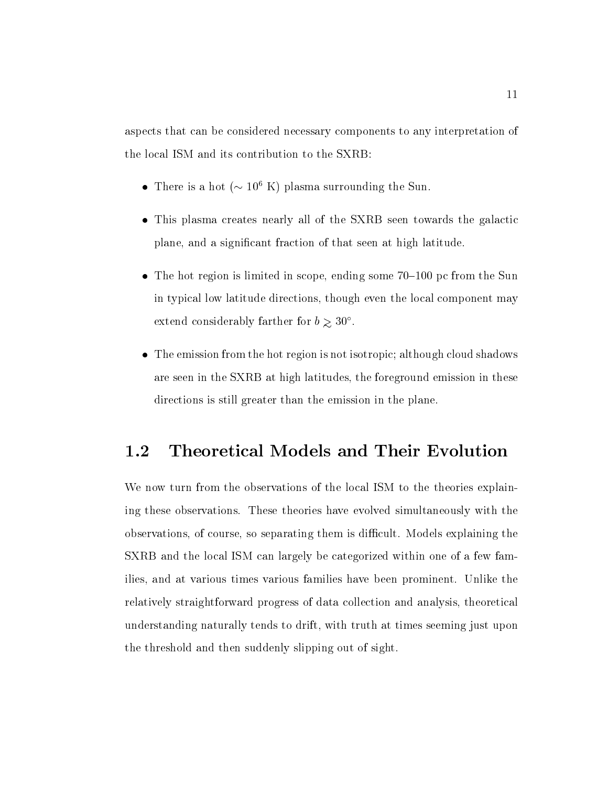aspects that can be considered necessary components to any interpretation of the local ISM and its contribution to the SXRB

- $\bullet$  -finere is a not ( $\sim$  10° K) plasma surrounding the Sun.
- This plasma creates nearly all of the SXRB seen towards the galactic plane, and a significant fraction of that seen at high latitude.
- $\bullet$  The hot region is limited in scope, ending some 70–100 pc from the Sun in typical low latitude directions, though even the local component may extend considerably farther for  $\sigma > 50$  .
- The emission from the hot region is not isotropic; although cloud shadows are seen in the SXRB at high latitudes, the foreground emission in these directions is still greater than the emission in the plane

#### 1.2 Theoretical Models and Their Evolution

We now turn from the observations of the local ISM to the theories explaining these observations. These theories have evolved simultaneously with the observations, of course, so separating them is difficult. Models explaining the SXRB and the local ISM can largely be categorized within one of a few families, and at various times various families have been prominent. Unlike the relatively straightforward progress of data collection and analysis theoretical understanding naturally tends to drift, with truth at times seeming just upon the threshold and then suddenly slipping out of sight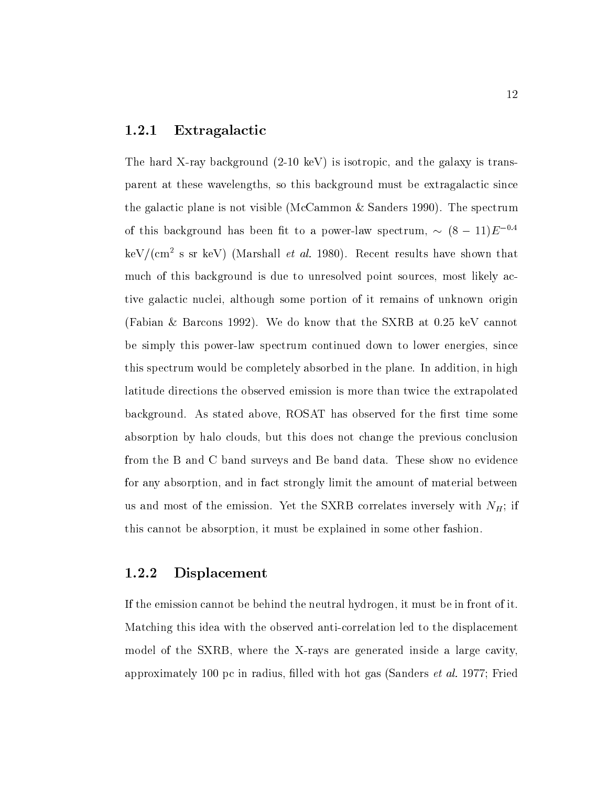#### Extragalactic

ray background - the first isotropic and the galaxy is trans-the galaxy is transparent at these wavelengths, so this background must be extragalactic since the galactic plane is not visible (McCammon  $\&$  Sanders 1990). The spectrum of this background has been fit to a power-law spectrum,  $\sim$  (8  $-$  11) $E$  . The second field  $\sim$  $\ker$  / (cm  $^+$  s sr  $\ker$  ) (warshall *et al.* 1980). Recent results have shown that much of this background is due to unresolved point sources, most likely active galactic nuclei, although some portion of it remains of unknown origin (Fabian & Barcons 1992). We do know that the SXRB at  $0.25 \text{ keV}$  cannot be simply this power-law spectrum continued down to lower energies since this spectrum would be completely absorbed in the plane. In addition, in high latitude directions the observed emission is more than twice the extrapolated background. As stated above, ROSAT has observed for the first time some absorption by halo clouds, but this does not change the previous conclusion from the B and C band surveys and Be band data These show no evidence for any absorption and in fact strongly limit the amount of material between us and most of the emission. Yet the SXRB correlates inversely with  $N_H$ ; if this cannot be absorption, it must be explained in some other fashion.

#### Displacement

If the emission cannot be behind the neutral hydrogen it must be in front of it  $M$ model of the SXRB where the X-rays are generated inside a large cavity approximately pc in radius lled with hot gas Sanders et al- 

Fried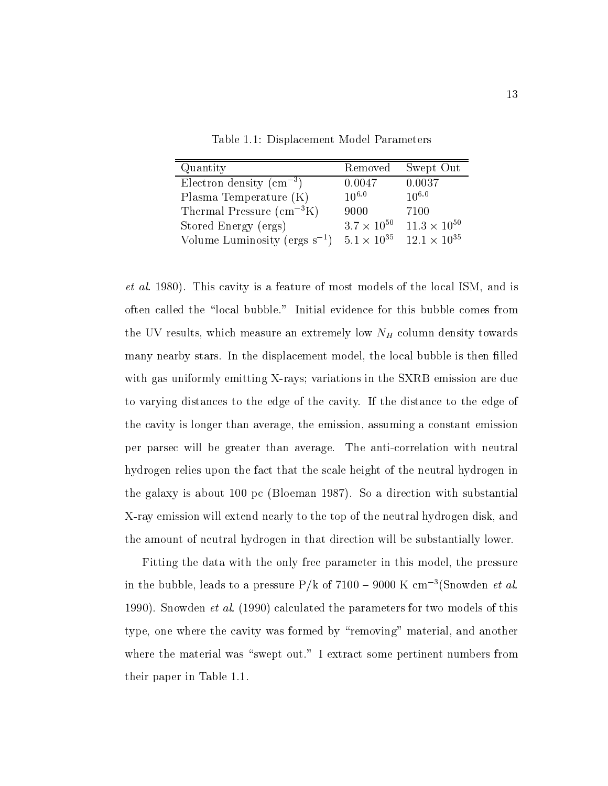Table 1.1: Displacement Model Parameters

| Quantity                           | Removed              | Swept Out             |
|------------------------------------|----------------------|-----------------------|
| Electron density $\rm (cm^{-3})$   | 0.0047               | 0.0037                |
| Plasma Temperature $(K)$           | $10^{6.0}$           | $10^{6.0}$            |
| Thermal Pressure $(cm^{-3}K)$      | 9000                 | 7100                  |
| Stored Energy (ergs)               | $3.7 \times 10^{50}$ | $11.3 \times 10^{50}$ |
| Volume Luminosity (ergs $s^{-1}$ ) | $5.1 \times 10^{35}$ | $12.1 \times 10^{35}$ |

et all at the  $\mu$  - a feature of most models of the local ISM and is the local ISM and is the local ISM and is often called the "local bubble." Initial evidence for this bubble comes from the UV results which measure and  $\mu$  results which measure an extremely low NH column density towards which measure  $\mu$ many nearby stars. In the displacement model, the local bubble is then filled  $r$  , and the SXRB emission  $\alpha$  in the SXRB emission are due to SXRB emission are due to  $\alpha$ to varying distances to the edge of the cavity If the distance to the edge of the cavity is longer than average, the emission, assuming a constant emission per parsec will be greater than average The anti-correlation with neutral hydrogen relies upon the fact that the scale height of the neutral hydrogen in the galaxy is about  $100$  pc (Bloeman 1987). So a direction with substantial X-ray emission will extend nearly to the top of the neutral hydrogen disk and the amount of neutral hydrogen in that direction will be substantially lower

Fitting the data with the only free parameter in this model, the pressure in the bubble, leads to a pressure  $P/k$  of 7100 – 9000 K cm<sup>-3</sup>(Snowden *et al.* Snow den et al-culated the parameters for two models of this calculated the parameters for two models of this c type, one where the cavity was formed by "removing" material, and another where the material was "swept out." I extract some pertinent numbers from their paper in Table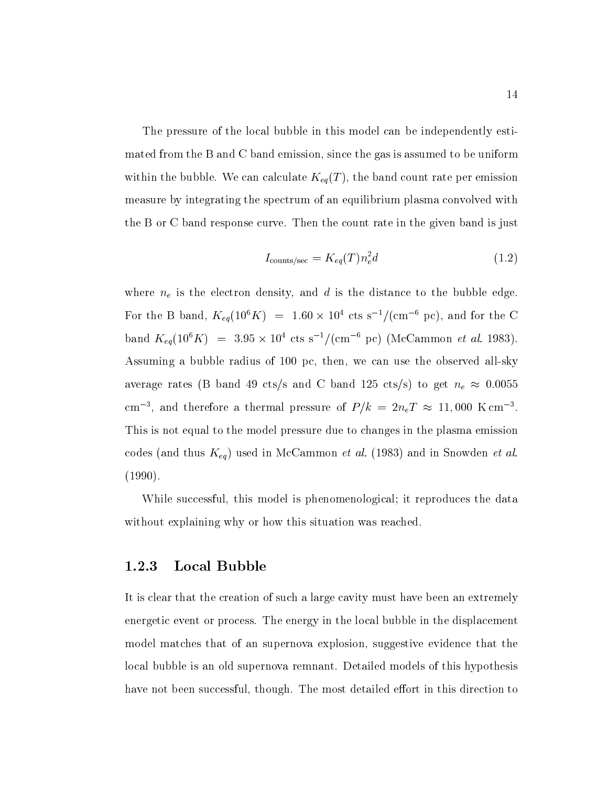The pressure of the local bubble in this model can be independently estimated from the B and C band emission since the gas is assumed to be uniform within the bubble. We can calculate  $K_{eq}(T)$ , the band count rate per emission measure by integrating the spectrum of an equilibrium plasma convolved with the B or C band response curve. Then the count rate in the given band is just

$$
I_{\text{counts/sec}} = K_{eq}(T)n_e^2 d \tag{1.2}
$$

where ne is the electron density and d is the distance to the distance to the distance to the bubble edge of  $\Omega$ For the B band,  $K_{ea}(10^8 K) = 1.60 \times 10^8$  cts s  $^2/(\text{cm} \cdot \text{pc})$ , and for the C  $\alpha$  band  $\Lambda_{ea}(10^6 \text{A}) = 3.95 \times 10^6 \text{Cts s}^{-1}$  (cm  $\alpha$  pc) (McCammon et al. 1983). Assuming a bubble radius of pcthen we can use the observed all-sky average rates B band is the band of band respectively to get new propositions of the construction of the construction of the construction of the construction of the construction of the construction of the construction of t cm  $\tau$ , and therefore a thermal pressure of  $F/k = 2n_eT \approx 11,000$  N cm  $\tau$ . This is not equal to the model pressure due to changes in the plasma emission codes and in South African codes and in American common et al. In Snow (Africa) where  $\alpha$  and in Snow density  $(1990).$ 

While successful, this model is phenomenological; it reproduces the data without explaining why or how this situation was reached.

#### Local Bubble

It is clear that the creation of such a large cavity must have been an extremely energetic event or process. The energy in the local bubble in the displacement model matches that of an supernova explosion, suggestive evidence that the local bubble is an old supernova remnant. Detailed models of this hypothesis have not been successful, though. The most detailed effort in this direction to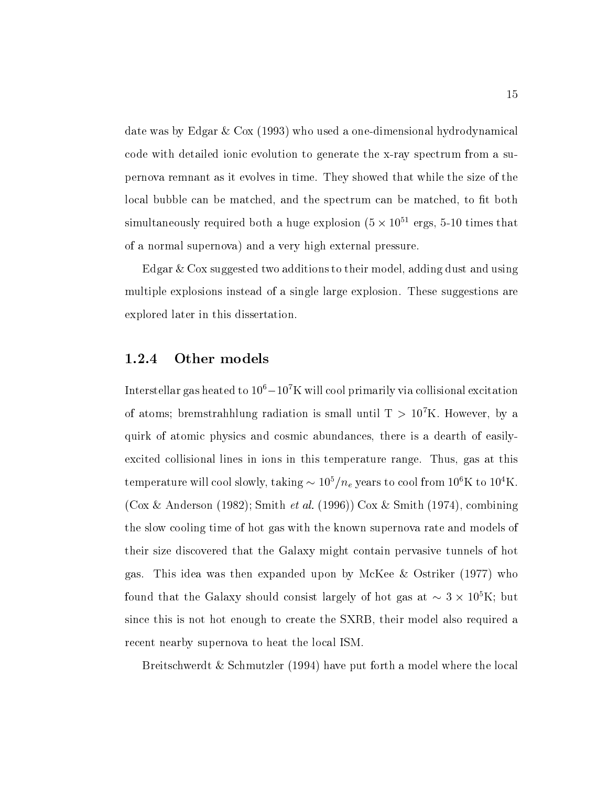date was by  $E$  and  $\alpha$  on  $\alpha$  . When  $\alpha$  is the complete and  $\alpha$  one-complete a one-complete and  $\alpha$ code with detailed ionic evolution to generate the x-ray spectrum from a supernova remnant as it evolves in time They showed that while the size of the local bubble can be matched, and the spectrum can be matched, to fit both  $\sin$ iuraneously required both a huge explosion (5  $\times$  10  $^\circ$  ergs, 5-10 times that of a normal supernova) and a very high external pressure.

Edgar  $\&$  Cox suggested two additions to their model, adding dust and using multiple explosions instead of a single large explosion. These suggestions are explored later in this dissertation

#### Other models

Interstellar gas heated to T0° $-$ 10° N will cool primarily via collisional excitation  $\,$ of atoms; bremstrahhlung radiation is small until  $1 > 10$  K. However, by a quirk of atomic physics and cosmic abundances there is a dearth of easilyexcited collisional lines in ions in this temperature range. Thus, gas at this temperature will cool slowly, taking  $\sim$  10 *|n<sub>e</sub>* years to cool from To K to To K.  $\mathbf{A} = \mathbf{B}$  . The smith  $\mathbf{A}$ the slow cooling time of hot gas with the known supernova rate and models of their size discovered that the Galaxy might contain pervasive tunnels of hot gas. This idea was then expanded upon by McKee  $\&$  Ostriker (1977) who found that the Galaxy should consist largely of hot gas at  $\sim$  5  $\times$  10 K; but since this is not hot enough to create the SXRB, their model also required a recent nearby supernova to heat the local ISM

Breitschwerdt  $&$  Schmutzler (1994) have put forth a model where the local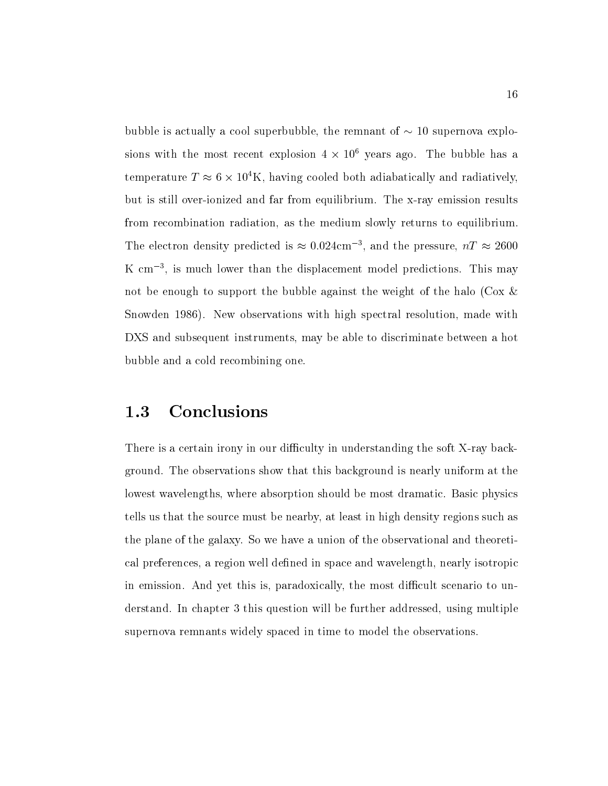bubble is actually a cool superbubble the remnant of - supernova explosions with the most recent explosion  $4 \times 10^6$  years ago. The bubble has a temperature  $T \approx 0 \times 10 \, \text{K}$ , having cooled both adiabatically and radiatively, but is still over-ionized and far from equilibrium The x-ray emission results from recombination radiation, as the medium slowly returns to equilibrium. The electron density predicted is  $\approx$  0.024cm –, and the pressure,  $n_T \approx$  2000 K cm =, is much lower than the displacement model predictions. This may not be enough to support the bubble against the weight of the halo (Cox  $\&$ stations the stations with the spectral resolution made with spectral resolutions with the contract of the contract of the contract of the contract of the contract of the contract of the contract of the contract of the con DXS and subsequent instruments, may be able to discriminate between a hot bubble and a cold recombining one

#### 1.3 Conclusions

There is a certain irony in our diculty in understanding the soft X-ray background. The observations show that this background is nearly uniform at the lowest wavelengths, where absorption should be most dramatic. Basic physics tells us that the source must be nearby at least in high density regions such as the plane of the galaxy. So we have a union of the observational and theoretical preferences, a region well defined in space and wavelength, nearly isotropic in emission. And yet this is, paradoxically, the most difficult scenario to understand. In chapter 3 this question will be further addressed, using multiple supernova remnants widely spaced in time to model the observations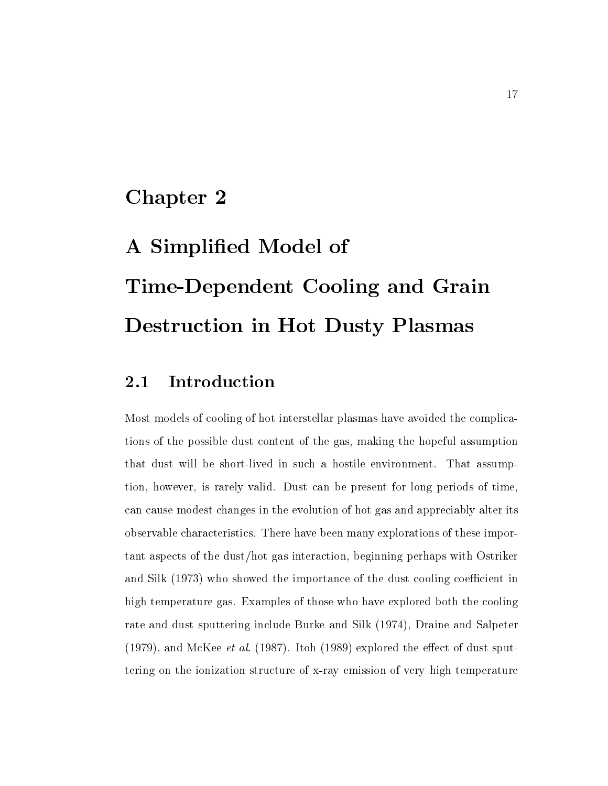### Chapter 2

# A Simplified Model of Time-Dependent Cooling and Grain Destruction in Hot Dusty Plasmas

#### Introduction 2.1

Most models of cooling of hot interstellar plasmas have avoided the complications of the possible dust content of the gas, making the hopeful assumption that dust will be short-lived in such a hostile environment That assumption, however, is rarely valid. Dust can be present for long periods of time, can cause modest changes in the evolution of hot gas and appreciably alter its observable characteristics There have been many explorations of these impor $t$ ant aspects of the dust/hot gas interaction, beginning perhaps with Ostriker and Silk (1973) who showed the importance of the dust cooling coefficient in high temperature gas. Examples of those who have explored both the cooling rate and dust sputtering include Burke and Silk (1974), Draine and Salpeter and McKee et al-model the explored the explored the explored the explored the explored the eect of dust sputtering on the ionization structure of x-ray emission of very high temperature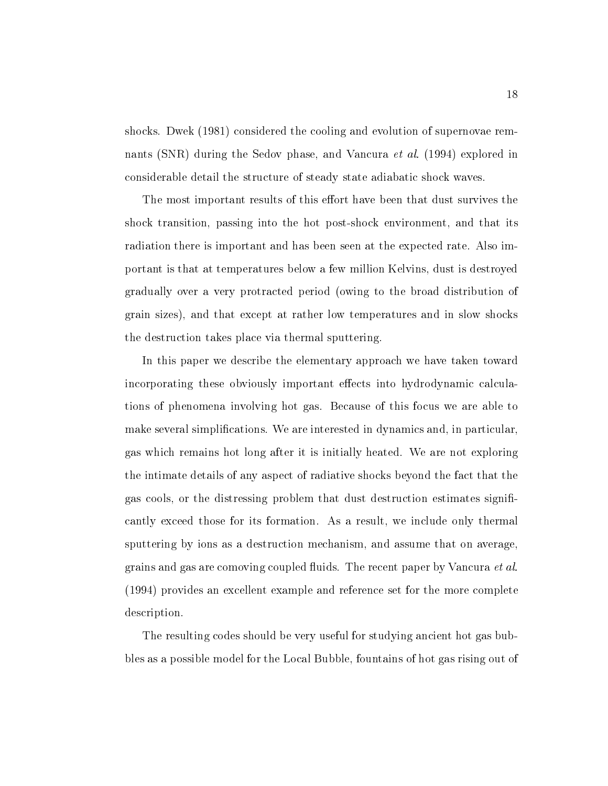shocks. Dwek (1981) considered the cooling and evolution of supernovae remnants SNR during the Sedov phase and Vancura et al-sedov phase and Vancura et al-sedov phase and Vancura et al considerable detail the structure of steady state adiabatic shock waves

The most important results of this effort have been that dust survives the shock transition passing into the hot post-shock environment and that its radiation there is important and has been seen at the expected rate Also important is that at temperatures below a few million Kelvins dust is destroyed gradually over a very protracted period owing to the broad distribution of grain sizes), and that except at rather low temperatures and in slow shocks the destruction takes place via thermal sputtering

In this paper we describe the elementary approach we have taken toward incorporating these obviously important effects into hydrodynamic calculations of phenomena involving hot gas Because of this focus we are able to make several simplifications. We are interested in dynamics and, in particular, gas which remains hot long after it is initially heated We are not exploring the intimate details of any aspect of radiative shocks beyond the fact that the gas cools, or the distressing problem that dust destruction estimates significantly exceed those for its formation. As a result, we include only thermal sputtering by ions as a destruction mechanism, and assume that on average, grains and gas are comoving coupled fluids. The recent paper by Vancura *et al.* (1994) provides an excellent example and reference set for the more complete description.

The resulting codes should be very useful for studying ancient hot gas bubbles as a possible model for the Local Bubble fountains of hot gas rising out of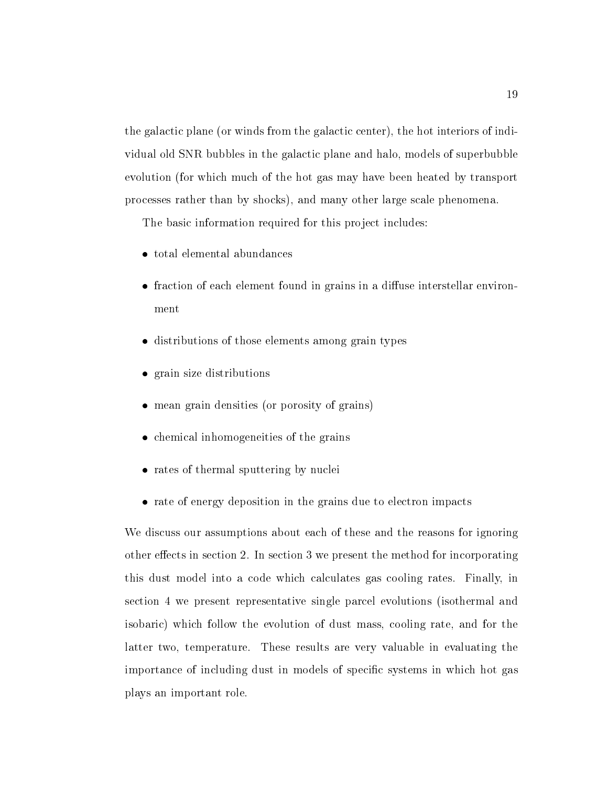the galactic plane (or winds from the galactic center), the hot interiors of individual old SNR bubbles in the galactic plane and halo models of superbubble evolution (for which much of the hot gas may have been heated by transport processes rather than by shocks), and many other large scale phenomena.

The basic information required for this project includes:

- total elemental abundances
- $\bullet$  fraction of each element found in grains in a diffuse interstellar environ-
- distributions of those elements among grain types
- grain size distributions
- mean grain densities (or porosity of grains)
- chemical inhomogeneities of the grains
- rates of thermal sputtering by nuclei
- rate of energy deposition in the grains due to electron impacts

We discuss our assumptions about each of these and the reasons for ignoring other effects in section 2. In section 3 we present the method for incorporating this dust model into a code which calculates gas cooling rates. Finally, in section 4 we present representative single parcel evolutions (isothermal and isobaric) which follow the evolution of dust mass, cooling rate, and for the latter two, temperature. These results are very valuable in evaluating the importance of including dust in models of specific systems in which hot gas plays an important role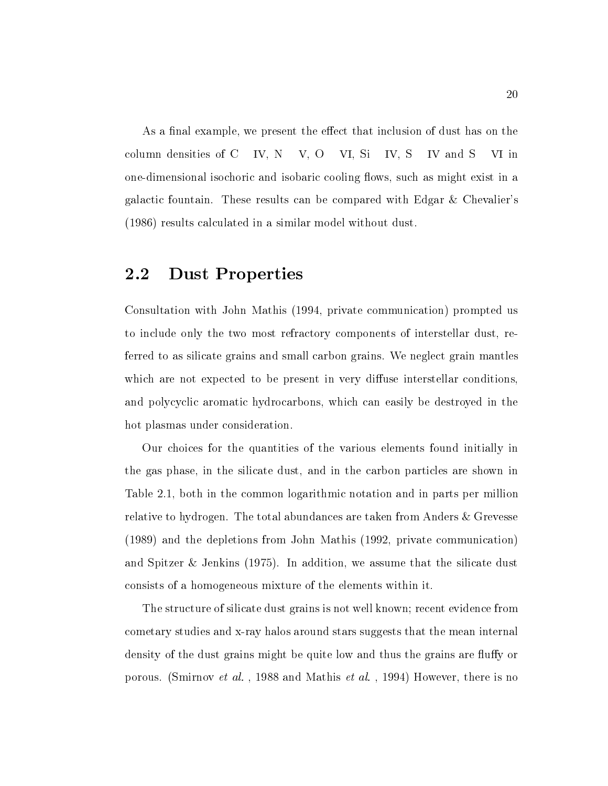As a final example, we present the effect that inclusion of dust has on the column densities of  $C$  IV,  $N$  V,  $O$  VI,  $Si$  IV,  $S$  IV and  $S$  VI in one-dimensional isochoric and isobaric cooling ows such as might exist in a galactic fountain. These results can be compared with Edgar  $\&$  Chevalier's results calculated in a similar model without dust

#### $2.2$ Dust Properties

Consultation with John Mathis (1994, private communication) prompted us to include only the two most refractory components of interstellar dust, referred to as silicate grains and small carbon grains We neglect grain mantles which are not expected to be present in very diffuse interstellar conditions, and polycyclic aromatic hydrocarbons, which can easily be destroyed in the hot plasmas under consideration

Our choices for the quantities of the various elements found initially in the gas phase, in the silicate dust, and in the carbon particles are shown in Table 2.1, both in the common logarithmic notation and in parts per million relative to hydrogen. The total abundances are taken from Anders & Grevesse  $(1989)$  and the depletions from John Mathis  $(1992, \text{ private communication})$ and Spitzer & Jenkins (1975). In addition, we assume that the silicate dust consists of a homogeneous mixture of the elements within it

The structure of silicate dust grains is not well known; recent evidence from cometary studies and x-ray halos around stars suggests that the mean internal density of the dust grains might be quite low and thus the grains are fluffy or portune Smirnov et al-mathis et al-mathis et al-mathis et al-mathis et al-mathis et al-mathis et al-mathis et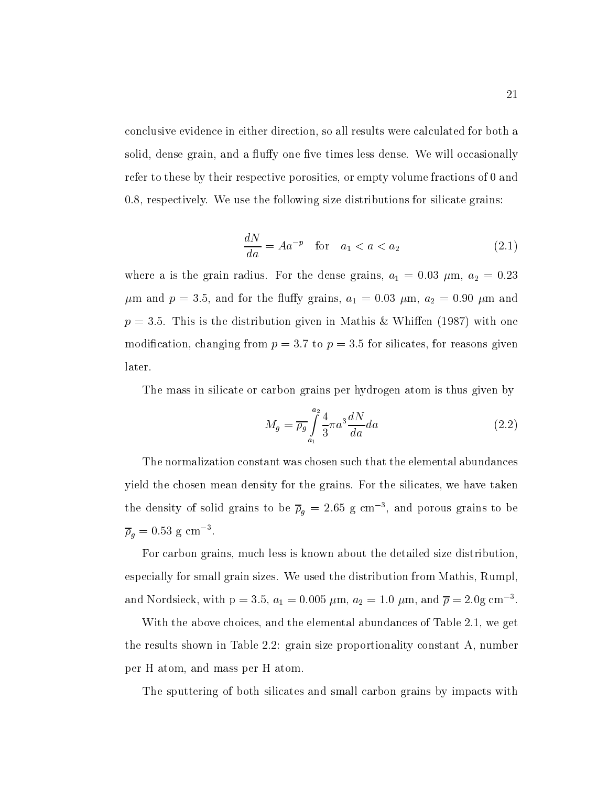conclusive evidence in either direction so all results were calculated for both a solid, dense grain, and a fluffy one five times less dense. We will occasionally refer to these by their respective porosities, or empty volume fractions of 0 and  $0.8$ , respectively. We use the following size distributions for silicate grains:

$$
\frac{dN}{da} = Aa^{-p} \quad \text{for} \quad a_1 < a < a_2 \tag{2.1}
$$

where a is the grain radius. For the dense grains,  $a_1 = 0.03 \mu \text{m}$ ,  $a_2 = 0.23$  $\mu$ m and  $p = 3.5$ , and for the fluffy grains,  $a_1 = 0.03 \mu$ m,  $a_2 = 0.90 \mu$ m and  $p = 3.5$ . This is the distribution given in Mathis & Whiffen (1987) with one modification, changing from  $p = 3.7$  to  $p = 3.5$  for silicates, for reasons given later

The mass in silicate or carbon grains per hydrogen atom is thus given by

$$
M_g = \overline{\rho_g} \int_{a_1}^{a_2} \frac{4}{3} \pi a^3 \frac{dN}{da} da \qquad (2.2)
$$

The normalization constant was chosen such that the elemental abundances yield the chosen mean density for the grains. For the silicates, we have taken the density of solid grains to be  $\rho_a = z$ . So g cm  $\rightarrow$  and porous grains to be  $p_a = 0.55$  g cm  $\ldots$ 

For carbon grains, much less is known about the detailed size distribution, especially for small grain sizes. We used the distribution from Mathis, Rumpl, and Nordsleck, with  $p = 5.5$ ,  $a_1 = 0.005 \mu m$ ,  $a_2 = 1.0 \mu m$ , and  $p = 2.0g$  cm  $\,$ .

With the above choices, and the elemental abundances of Table 2.1, we get the results shown in Table 2.2: grain size proportionality constant  $A$ , number per H atom, and mass per H atom.

The sputtering of both silicates and small carbon grains by impacts with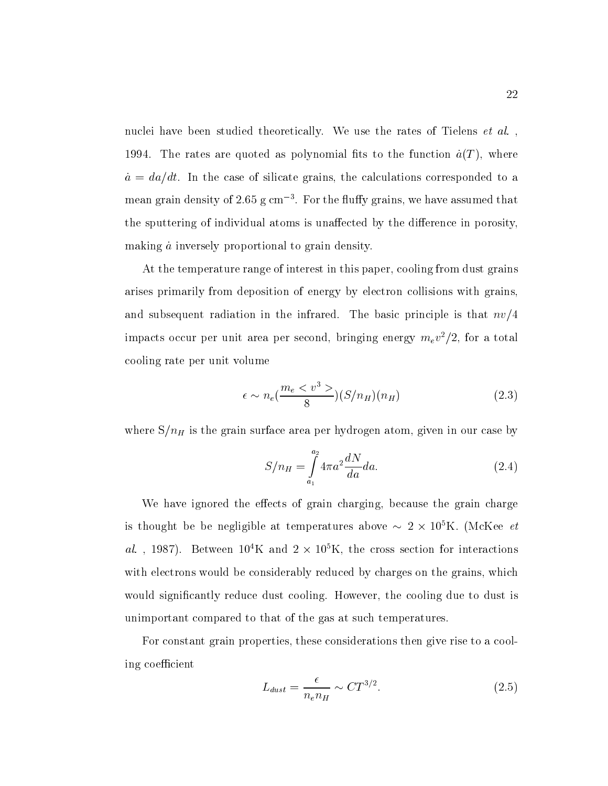nuclei have been studied theoretically We use the rates of Tielens et al- 1994. The rates are quoted as polynomial fits to the function  $\dot{a}(T)$ , where at the case of the case of silicate grains the calculations corresponded to a corre mean grain density of 2.00 g cm  $^{-}$  . For the nuny grains, we have assumed that  $\,$ the sputtering of individual atoms is unaffected by the difference in porosity, making  $\dot{a}$  inversely proportional to grain density.

At the temperature range of interest in this paper, cooling from dust grains arises primarily from deposition of energy by electron collisions with grains and subsequent radiation in the infrared. The basic principle is that  $nv/4$ impacts occur per unit area per second, bringing energy  $m_e v^2 / z$ , for a total  $\,$ cooling rate per unit volume

$$
\epsilon \sim n_e \left(\frac{m_e < v^3 >}{8}\right) \left(\frac{S}{n_H}\right) \left(n_H\right) \tag{2.3}
$$

where SnH is the grain surface area per hydrogen in our case by the surface area per hydrogen in our case by t

$$
S/n_H = \int_{a_1}^{a_2} 4\pi a^2 \frac{dN}{da} da.
$$
 (2.4)

We have ignored the effects of grain charging, because the grain charge is thought be be negligible at temperatures above  $\sim$  2  $\times$  10 K. (McKee  $\ell\ell$  $a\iota$ , 1987). Detween ION and  $2 \times 10^{8}$ N, the cross section for interactions with electrons would be considerably reduced by charges on the grains, which would significantly reduce dust cooling. However, the cooling due to dust is unimportant compared to that of the gas at such temperatures

For constant grain properties, these considerations then give rise to a cooling coefficient

$$
L_{dust} = \frac{\epsilon}{n_e n_H} \sim C T^{3/2}.
$$
\n(2.5)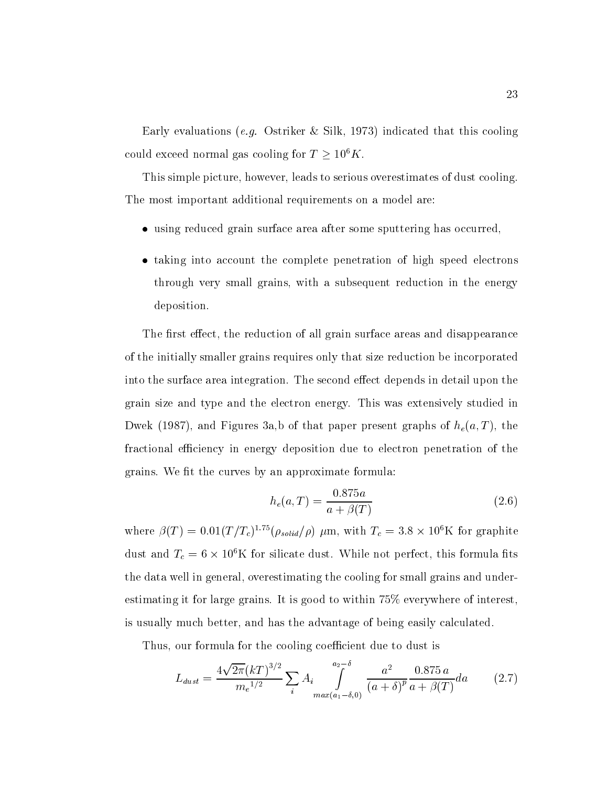Early evaluations e-g- Ostriker Silk indicated that this cooling could exceed normal gas cooling for  $T \geq 10^6 K$ .

This simple picture, however, leads to serious overestimates of dust cooling. The most important additional requirements on a model are

- using reduced grain surface area after some sputtering has occurred,
- taking into account the complete penetration of high speed electrons through very small grains, with a subsequent reduction in the energy deposition

The first effect, the reduction of all grain surface areas and disappearance of the initially smaller grains requires only that size reduction be incorporated into the surface area integration. The second effect depends in detail upon the grain size and type and the electron energy This was extensively studied in Dwek (1987), and Figures 3a,b of that paper present graphs of  $h_e(a,T)$ , the fractional efficiency in energy deposition due to electron penetration of the grains. We fit the curves by an approximate formula:

$$
h_e(a,T) = \frac{0.875a}{a + \beta(T)}
$$
\n(2.6)

where  $\rho(T) = 0.01(T/T_c)^{1.12} (\rho_{solid}/\rho) \mu m$ , with  $T_c = 3.8 \times 10^4$  K for graphite dust and  $T_c = 0 \times 10^7$  K for silicate dust. While not perfect, this formula fits the data well in general, overestimating the cooling for small grains and underestimating it for large grains. It is good to within  $75\%$  everywhere of interest, is usually much better, and has the advantage of being easily calculated.

Thus, our formula for the cooling coefficient due to dust is

$$
L_{dust} = \frac{4\sqrt{2\pi} (kT)^{3/2}}{m_e^{1/2}} \sum_i A_i \int_{\max(a_1 - \delta, 0)}^{a_2 - \delta} \frac{a^2}{(a + \delta)^p} \frac{0.875 a}{a + \beta(T)} da \qquad (2.7)
$$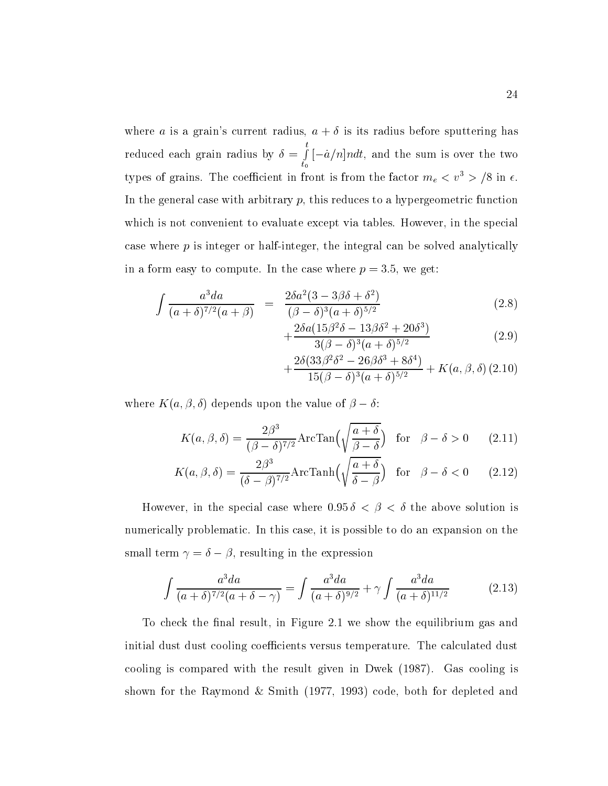where a is a grain's current radius,  $a + \delta$  is its radius before sputtering has reduced each grain radius by the contract of the contract of the contract of the contract of the contract of the contract of the contract of the contract of the contract of the contract of the contract of the contract of t **the contract of the contract of the contract of the contract of the contract of the contract of the contract of the contract of the contract of the contract of the contract of the contract of the contract of the contract**  $\mathbf{v}_1$  . The set of  $\mathbf{v}_2$ #a-n \* \$ndt and the sum is overthe two types of grains. The coefficient in front is from the factor  $m_e < v > \infty$  in  $\epsilon$ . In the general case with arbitrary  $p$ , this reduces to a hypergeometric function which is not convenient to evaluate except via tables. However, in the special case where p is integer or half-integer the integral can be solved analytically in a form easy to compute. In the case where  $p = 3.5$ , we get:

$$
\int \frac{a^3 da}{(a+\delta)^{7/2}(a+\beta)} = \frac{2\delta a^2 (3-3\beta\delta+\delta^2)}{(\beta-\delta)^3 (a+\delta)^{5/2}}
$$
\n(2.8)

$$
+\frac{2\delta a(15\beta^2\delta - 13\beta\delta^2 + 20\delta^3)}{3(\beta - \delta)^3(a + \delta)^{5/2}}\tag{2.9}
$$

$$
+\frac{2\delta(33\beta^2\delta^2-26\beta\delta^3+8\delta^4)}{15(\beta-\delta)^3(a+\delta)^{5/2}}+K(a,\beta,\delta)(2.10)
$$

where  $K(a, \beta, \delta)$  depends upon the value of  $\beta - \delta$ :

$$
K(a,\beta,\delta) = \frac{2\beta^3}{(\beta-\delta)^{7/2}} \text{ArcTan}\left(\sqrt{\frac{a+\delta}{\beta-\delta}}\right) \quad \text{for} \quad \beta-\delta > 0 \qquad (2.11)
$$

$$
K(a,\beta,\delta) = \frac{2\beta^3}{(\delta-\beta)^{7/2}} \text{ArcTanh}\left(\sqrt{\frac{a+\delta}{\delta-\beta}}\right) \quad \text{for} \quad \beta-\delta < 0 \qquad (2.12)
$$

However, in the special case where  $0.95 \delta < \beta < \delta$  the above solution is numerically problematic. In this case, it is possible to do an expansion on the small term  $\gamma = \delta - \beta$ , resulting in the expression

$$
\int \frac{a^3 da}{(a+\delta)^{7/2}(a+\delta-\gamma)} = \int \frac{a^3 da}{(a+\delta)^{9/2}} + \gamma \int \frac{a^3 da}{(a+\delta)^{11/2}} \tag{2.13}
$$

To check the final result, in Figure 2.1 we show the equilibrium gas and initial dust dust cooling coefficients versus temperature. The calculated dust cooling is compared with the result given in Dwek (1987). Gas cooling is shown for the Raymond & Smith  $(1977, 1993)$  code, both for depleted and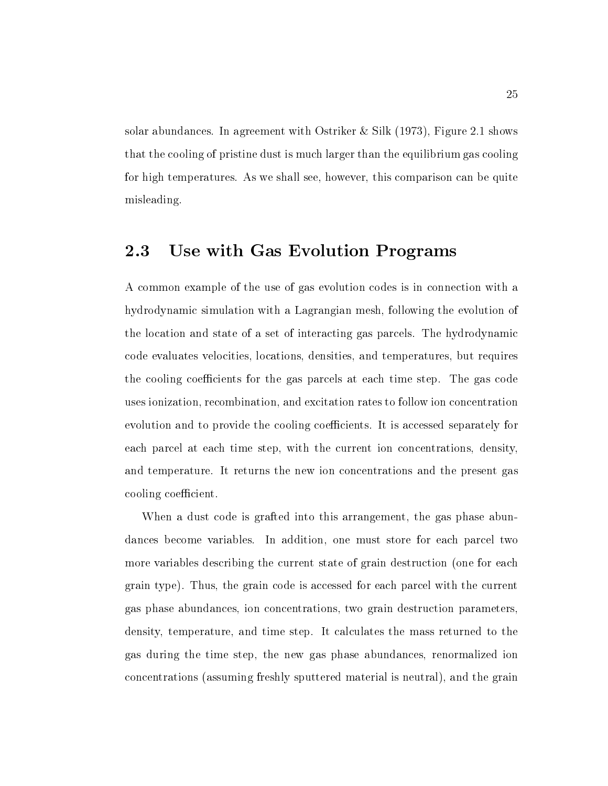solar abundances. In agreement with Ostriker & Silk  $(1973)$ , Figure 2.1 shows that the cooling of pristine dust is much larger than the equilibrium gas cooling for high temperatures. As we shall see, however, this comparison can be quite misleading

#### 2.3 Use with Gas Evolution Programs

A common example of the use of gas evolution codes is in connection with a hydrodynamic simulation with a Lagrangian mesh, following the evolution of the location and state of a set of interacting gas parcels The hydrodynamic code evaluates velocities locations densities and temperatures but requires the cooling coefficients for the gas parcels at each time step. The gas code uses ionization recombination and excitation rates to follow ion concentration evolution and to provide the cooling coefficients. It is accessed separately for each parcel at each time step, with the current ion concentrations, density, and temperature. It returns the new ion concentrations and the present gas cooling coefficient.

When a dust code is grafted into this arrangement, the gas phase abundances become variables. In addition, one must store for each parcel two more variables describing the current state of grain destruction (one for each grain type). Thus, the grain code is accessed for each parcel with the current gas phase abundances ion concentrations two grain destruction parameters density, temperature, and time step. It calculates the mass returned to the gas during the time step, the new gas phase abundances, renormalized ion concentrations (assuming freshly sputtered material is neutral), and the grain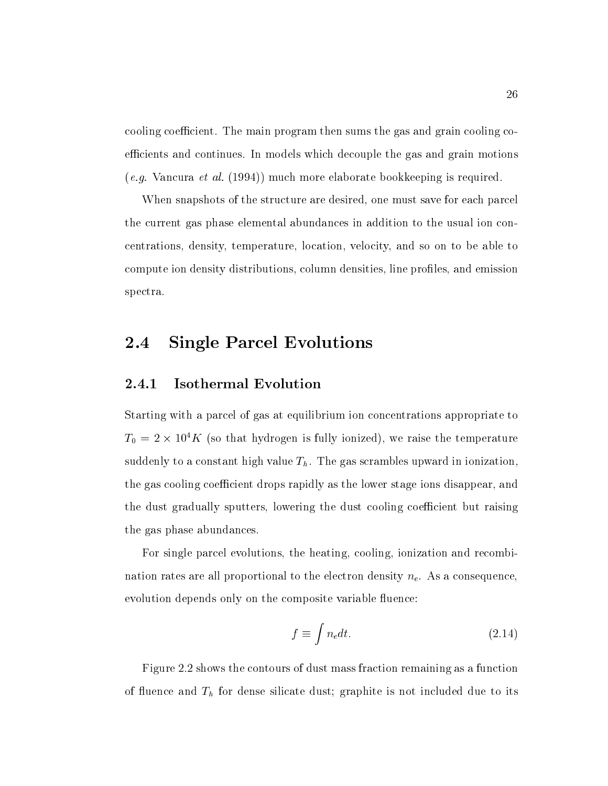cooling coefficient. The main program then sums the gas and grain cooling coefficients and continues. In models which decouple the gas and grain motions e- van commence en al-vancura en el promocente bookkeeping is required in the second in the sequence of the co

When snapshots of the structure are desired, one must save for each parcel the current gas phase elemental abundances in addition to the usual ion concentrations, density, temperature, location, velocity, and so on to be able to compute ion density distributions, column densities, line profiles, and emission spectra

#### 2.4 Single Parcel Evolutions

### Isothermal Evolution

Starting with a parcel of gas at equilibrium ion concentrations appropriate to  $T_0 = 2 \times 10^4 K$  (so that hydrogen is fully ionized), we raise the temperature suddenly to a constant high value  $T<sub>h</sub>$ . The gas scrambles upward in ionization, the gas cooling coefficient drops rapidly as the lower stage ions disappear, and the dust gradually sputters, lowering the dust cooling coefficient but raising the gas phase abundances

For single parcel evolutions, the heating, cooling, ionization and recombination rates are all proportional to the electron density  $n_e$ . As a consequence, evolution depends only on the composite variable fluence:

$$
f \equiv \int n_e dt. \tag{2.14}
$$

Figure 2.2 shows the contours of dust mass fraction remaining as a function of uence and The form dense silicate during dust and its not included due to its not include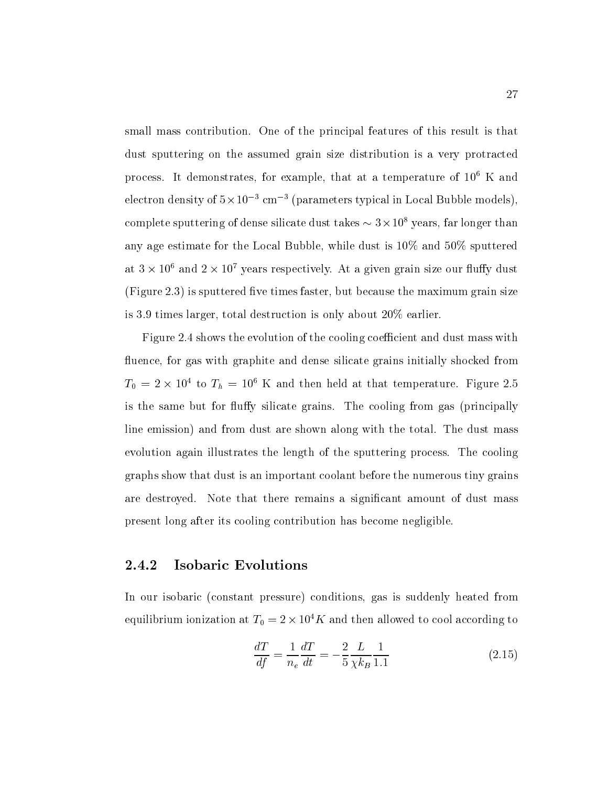small mass contribution One of the principal features of this result is that dust sputtering on the assumed grain size distribution is a very protracted process. It demonstrates, for example, that at a temperature of  $10^6$  K and electron density of  $5 \times 10^{-3}$  cm<sup>-3</sup> (parameters typical in Local Bubble models). complete sputtering of dense silicate dust takes  $\sim$  5  $\times$  10  $^{\circ}$  years, far longer than any age estimate for the Local Bubble, while dust is  $10\%$  and  $50\%$  sputtered at 5 × 10° and *2* × 10° years respectively. At a given grain size our nuny dust (Figure 2.3) is sputtered five times faster, but because the maximum grain size is 3.9 times larger, total destruction is only about  $20\%$  earlier.

Figure 2.4 shows the evolution of the cooling coefficient and dust mass with fluence, for gas with graphite and dense silicate grains initially shocked from  $T_0 = 2 \times 10^4$  to  $T_h = 10^6$  K and then held at that temperature. Figure 2.5 is the same but for fluffy silicate grains. The cooling from gas (principally line emission) and from dust are shown along with the total. The dust mass evolution again illustrates the length of the sputtering process The cooling graphs show that dust is an important coolant before the numerous tiny grains are destroyed. Note that there remains a significant amount of dust mass present long after its cooling contribution has become negligible

### Isobaric Evolutions

In our isobaric (constant pressure) conditions, gas is suddenly heated from equilibrium ionization at  $T_0 = 2 \times 10^4 K$  and then allowed to cool according to

$$
\frac{dT}{df} = \frac{1}{n_e} \frac{dT}{dt} = -\frac{2}{5} \frac{L}{\chi k_B} \frac{1}{1.1}
$$
\n(2.15)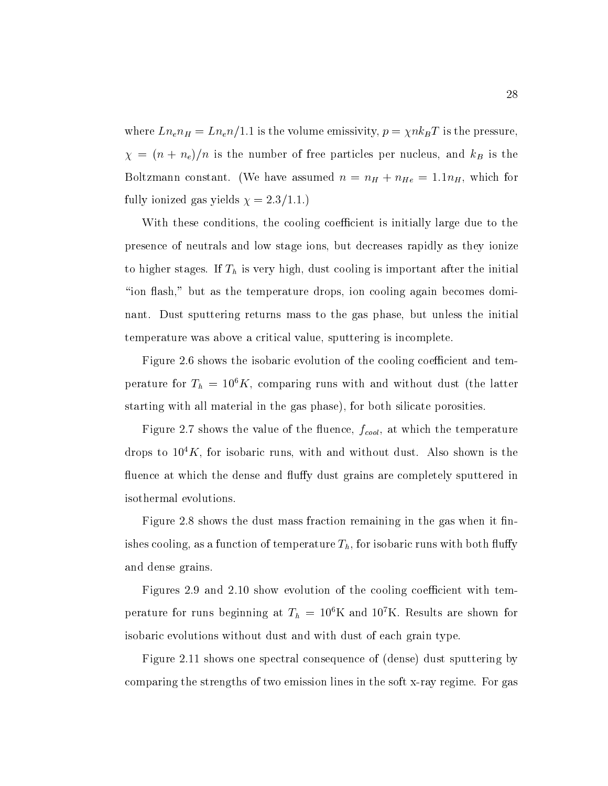where  $\tau$  is the volume emission of the variance corresponding to  $\Lambda$  is the pressure emission of  $\tau$  $n \quad \nu \quad \nu \quad \nu$  $\blacksquare$  boltzmann constant we will see the state as  $\blacksquare$  in He which for  $\blacksquare$  in He which for  $\blacksquare$ fully interesting  $\alpha$  , and  $\alpha$  and  $\alpha$  is the set of  $\alpha$ 

With these conditions, the cooling coefficient is initially large due to the presence of neutrals and low stage ions but decreases rapidly as they ionize to the finite states If The islamic important cooling in the important after the important after the important "ion flash," but as the temperature drops, ion cooling again becomes dominant. Dust sputtering returns mass to the gas phase, but unless the initial temperature was above a critical value, sputtering is incomplete.

 $\mathbf{f}_{\mathbf{A}}$ perature for  $T_h = 10 \, K$ , comparing runs with and without dust the latter starting with all material in the gas phase), for both silicate porosities.

Figure shows the value of the uence fcool at which the temperature drops to  $10^4 K$ , for isobaric runs, with and without dust. Also shown is the fluence at which the dense and fluffy dust grains are completely sputtered in isothermal evolutions

Figure 2.8 shows the dust mass fraction remaining in the gas when it finishes cooling, as a function of temperature  $T_h$ , for isobaric runs with both fluffy and dense grains

Figures 2.9 and 2.10 show evolution of the cooling coefficient with temperature for runs beginning at  $T_h = 10$  K and T0 K. Results are shown for isobaric evolutions without dust and with dust of each grain type

Figure 2.11 shows one spectral consequence of  $(dense)$  dust sputtering by comparing the strengths of two emission lines in the soft x-ray regime For gas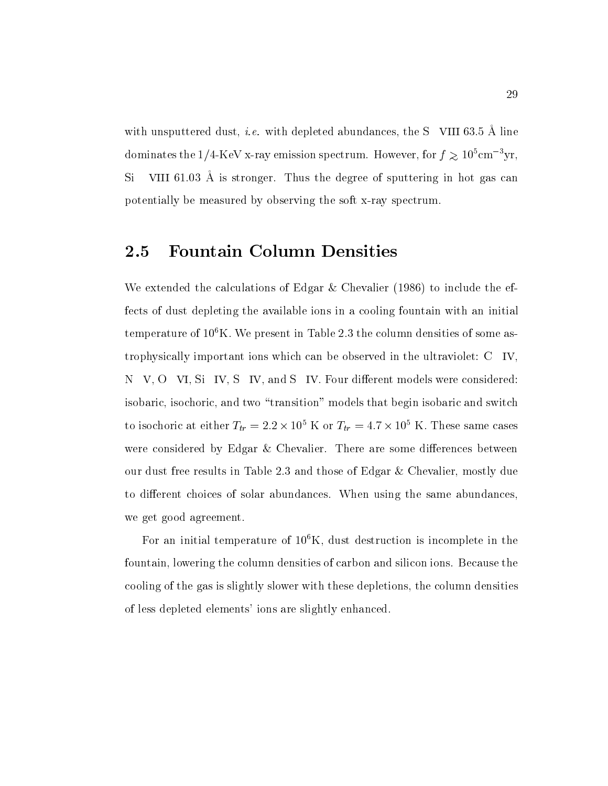with disputated dust,  $\iota$ . with depleted abundances, the  $\iota$  - vill 00.0 A line dominates the  $1/4$ -NeV x-ray emission spectrum. However, for  $f \gtrsim 10^6$  cm  $^{-1}$ yr,  $\mathcal{S}$  is a view of  $\mathcal{S}$  is stronger. Thus the degree of sputtering in hot gas can potentially be measured by observing the soft x-ray spectrum

#### 2.5 Fountain Column Densities

We calculate the calculations of Edgar Co. Calculation  $\mathcal{L}$  is anti-the calculations of fects of dust depleting the available ions in a cooling fountain with an initial temperature of  $10^6$ K. We present in Table 2.3 the column densities of some astrophysically important ions which can be observed in the ultraviolet: C IV, N V, O VI, Si IV, S IV, and S IV. Four different models were considered: isobaric, isochoric, and two "transition" models that begin isobaric and switch to isochoric at either  $T_{tr} = 2.2 \times 10^8$  K or  $T_{tr} = 4.7 \times 10^8$  K. These same cases were considered by Edgar  $&$  Chevalier. There are some differences between our dust free results in Table 2.3 and those of Edgar  $\&$  Chevalier, mostly due to different choices of solar abundances. When using the same abundances. we get good agreement

For an initial temperature of  $10^6$ K, dust destruction is incomplete in the fountain, lowering the column densities of carbon and silicon ions. Because the cooling of the gas is slightly slower with these depletions the column densities of less depleted elements' ions are slightly enhanced.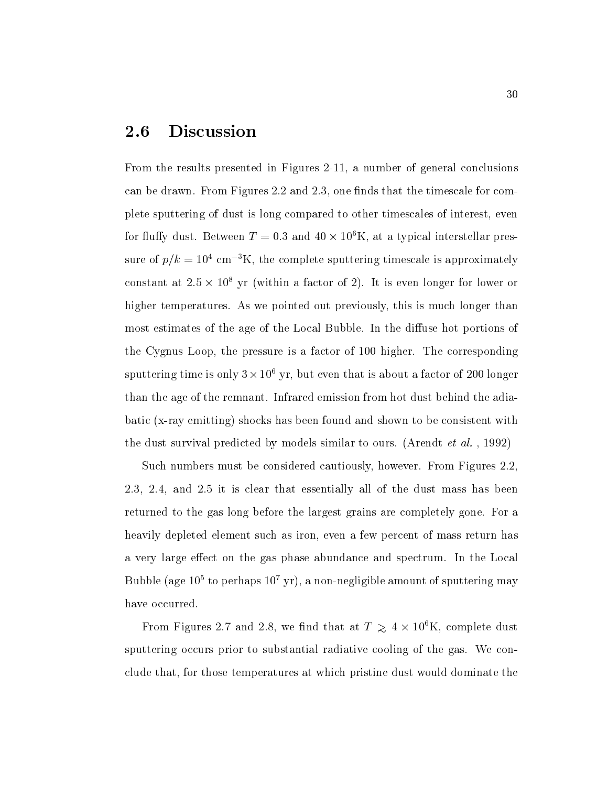#### 2.6 Discussion

From the results presented in Figures - a number of general conclusions can be drawn. From Figures 2.2 and  $2.3$ , one finds that the timescale for complete sputtering of dust is long compared to other timescales of interest, even for fluffy dust. Between  $T = 0.3$  and  $40 \times 10^6$ K, at a typical interstellar pressure of  $p/\kappa = 10^{\circ}$  cm  $\pm \kappa$ , the complete sputtering timescale is approximately constant at  $2.5 \times 10^8$  yr (within a factor of 2). It is even longer for lower or higher temperatures. As we pointed out previously, this is much longer than most estimates of the age of the Local Bubble. In the diffuse hot portions of the Cygnus Loop, the pressure is a factor of 100 higher. The corresponding sputtering time is only  $3 \times 10^6$  yr, but even that is about a factor of 200 longer than the age of the remnant. Infrared emission from hot dust behind the adiabatic x-ray emitting shocks has been found and shown to be consistent with the dust survival predicted by models similar to ours Arendt et al- 

Such numbers must be considered cautiously, however. From Figures 2.2. 2.3, 2.4, and 2.5 it is clear that essentially all of the dust mass has been returned to the gas long before the largest grains are completely gone For <sup>a</sup> heavily depleted element such as iron, even a few percent of mass return has a very large effect on the gas phase abundance and spectrum. In the Local Bubble (age 10° to perhaps 10° yr), a non-negligible amount of sputtering may have occurred

From Figures 2.7 and 2.8, we not that at  $T \gtrsim 4 \times 10 \text{ K}$ , complete dust sputtering occurs prior to substantial radiative cooling of the gas. We conclude that for those temperatures at which pristine dust would dominate the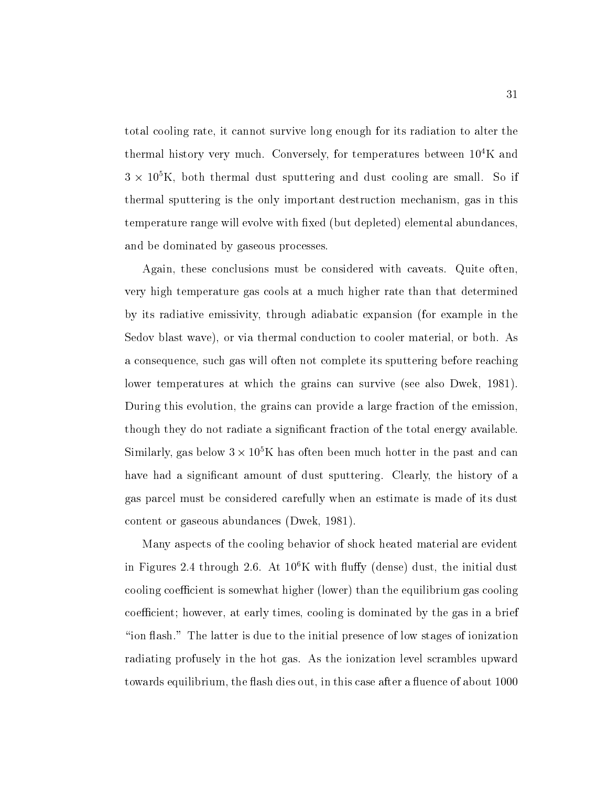total cooling rate it cannot survive long enough for its radiation to alter the thermal history very much. Conversely, for temperatures between  $10^4$ K and  $\beta$   $\times$  10  $\Lambda$ , both thermal dust sputtering and dust cooling are small. So if thermal sputtering is the only important destruction mechanism, gas in this temperature range will evolve with fixed (but depleted) elemental abundances. and be dominated by gaseous processes

Again, these conclusions must be considered with caveats. Quite often, very high temperature gas cools at <sup>a</sup> much higher rate than that determined by its radiative emissivity through adiabatic expansion for example in the Sedov blast wave), or via thermal conduction to cooler material, or both. As a consequence, such gas will often not complete its sputtering before reaching lower temperatures at which the grains can survive (see also Dwek, 1981). During this evolution, the grains can provide a large fraction of the emission, though they do not radiate a significant fraction of the total energy available. Similarly, gas below  $3 \times 10^8$ K has often been much hotter in the past and can have had a significant amount of dust sputtering. Clearly, the history of a gas parcel must be considered carefully when an estimate is made of its dust content or gaseous abundances (Dwek, 1981).

Many aspects of the cooling behavior of shock heated material are evident in Figures 2.4 through 2.0. At IU K with hully (dense) dust, the initial dust cooling coefficient is somewhat higher (lower) than the equilibrium gas cooling coefficient; however, at early times, cooling is dominated by the gas in a brief "ion flash." The latter is due to the initial presence of low stages of ionization radiating profusely in the hot gas As the ionization level scrambles upward towards equilibrium, the flash dies out, in this case after a fluence of about 1000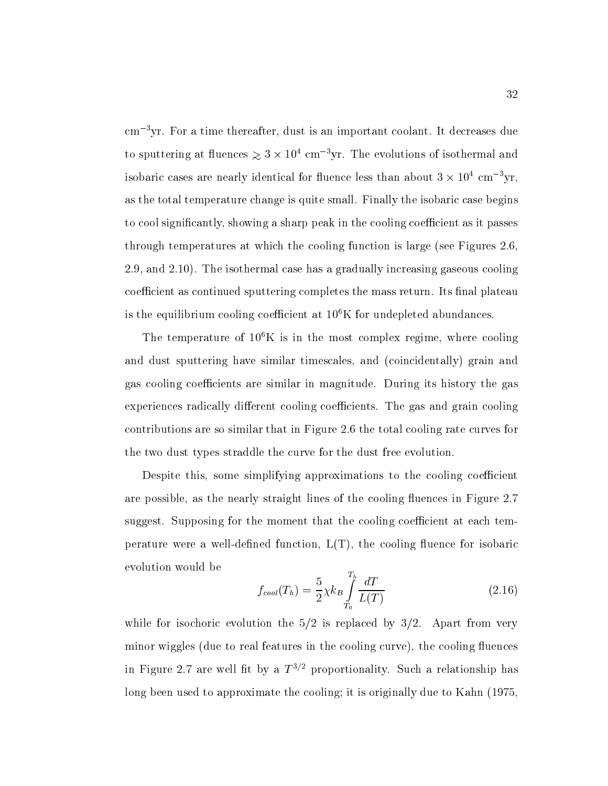$cm^{-3}$ yr. For a time thereafter, dust is an important coolant. It decreases due to sputtering at intences  $\gtrsim$  5  $\times$  10 $\degree$  cm  $\degree$ yr. The evolutions of isothermal and isobaric cases are nearly identical for fluence less than about  $3 \times 10^4$  cm<sup>-3</sup>yr, as the total temperature change is quite small Finally the isobaric case begins to cool significantly, showing a sharp peak in the cooling coefficient as it passes through temperatures at which the cooling function is large (see Figures  $2.6$ , 2.9, and  $2.10$ ). The isothermal case has a gradually increasing gaseous cooling coefficient as continued sputtering completes the mass return. Its final plateau is the equilibrium cooling coefficient at  $10^6$ K for undepleted abundances.

The temperature of  $10^6$ K is in the most complex regime, where cooling and dust sputtering have similar timescales, and (coincidentally) grain and gas cooling coefficients are similar in magnitude. During its history the gas experiences radically different cooling coefficients. The gas and grain cooling  $\alpha$  similar that in Figure , that in Figure , the total cooling rate cooling rate curves for  $\alpha$ the two dust types straddle the curve for the dust free evolution

Despite this, some simplifying approximations to the cooling coefficient are possible, as the nearly straight lines of the cooling fluences in Figure 2.7 suggest. Supposing for the moment that the cooling coefficient at each temperature were a well-dened function  $\mathcal{U}$  the cooling uence for isobaric function  $\mathcal{U}$ evolution would be

$$
f_{cool}(T_h) = \frac{5}{2} \chi k_B \int_{T_0}^{T_h} \frac{dT}{L(T)} \tag{2.16}
$$

while for isochoric evolution the  $5/2$  is replaced by  $3/2$ . Apart from very minor wiggles (due to real features in the cooling curve), the cooling fluences in Figure 2.7 are well nt by a  $T^{\gamma-}$  proportionality. Such a relationship has long been used to approximate the cooling; it is originally due to Kahn (1975.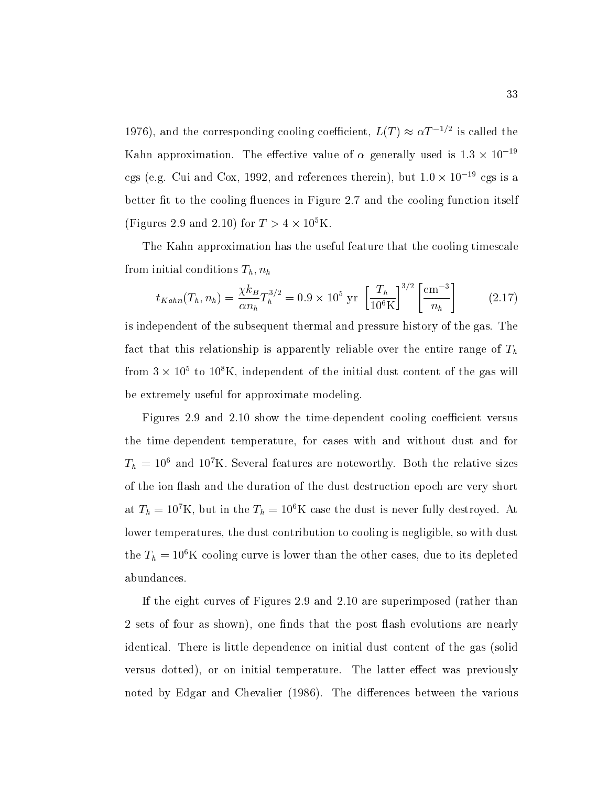1970), and the corresponding cooling coefficient,  $L(T) \approx \alpha T^{-\gamma - \gamma}$  is called the Kahn approximation. The effective value of  $\alpha$  generally used is  $1.3 \times 10^{-19}$ cgs (e.g. Cui and Cox, 1992, and references therein), but  $1.0 \times 10^{-19}$  cgs is a better fit to the cooling fluences in Figure 2.7 and the cooling function itself  $\Gamma$  igures 2.9 and 2.10) for  $I > 4 \times 10^{8}$  K.

The Kahn approximation has the useful feature that the cooling timescale from initial conditions  $T_h$ ,  $n_h$ 

$$
t_{Kahn}(T_h, n_h) = \frac{\chi k_B}{\alpha n_h} T_h^{3/2} = 0.9 \times 10^5 \text{ yr} \left[ \frac{T_h}{10^6 \text{K}} \right]^{3/2} \left[ \frac{\text{cm}^{-3}}{n_h} \right] \tag{2.17}
$$

is independent of the subsequent thermal and pressure history of the gas The fact that this relationship is apparently reliable over the entire range of  $T<sub>h</sub>$  $\lim_{\varepsilon\to 0}$  in the independent of the initial dust content of the gas will be extremely useful for approximate modeling

Figures and show the time-dependent cooling coecient versus the time-dependent temperature for cases with and without dust and for  $I_h$   $\equiv$  10 and 10 K. Several features are noteworthy. Both the relative sizes of the ion flash and the duration of the dust destruction epoch are very short at  $I_h = I_0$ . At but in the  $I_h = I_0$  N case the dust is never fully destroyed. At lower temperatures, the dust contribution to cooling is negligible, so with dust the  $I_h = 10^\circ$  K cooling curve is lower than the other cases, due to its depleted abundances

If the eight curves of Figures  $2.9$  and  $2.10$  are superimposed (rather than 2 sets of four as shown), one finds that the post flash evolutions are nearly identical. There is little dependence on initial dust content of the gas (solid versus dotted), or on initial temperature. The latter effect was previously noted by Edgar and Chevalier The dierences between the various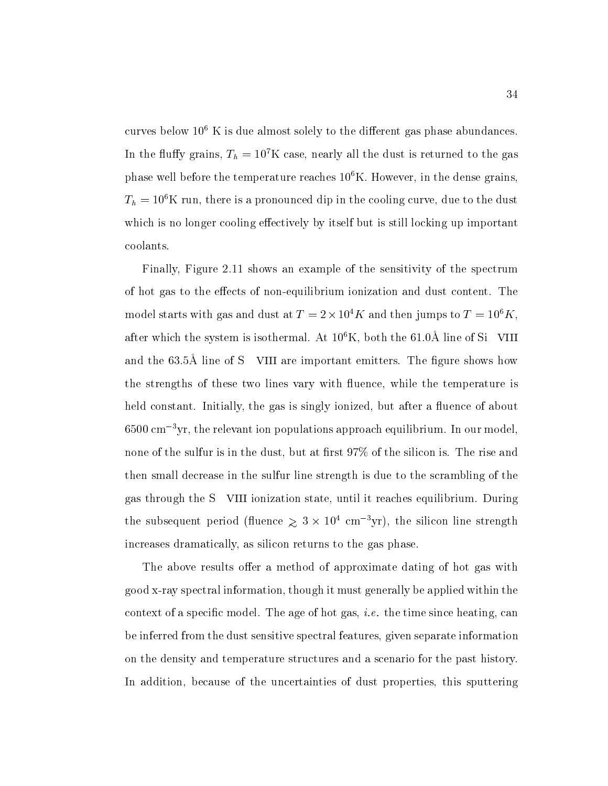curves below  $10^6$  K is due almost solely to the different gas phase abundances. In the nuity grains,  $T_h = 10^\circ$  K case, hearly all the dust is returned to the gas phase well before the temperature reaches  $10^6$ K. However, in the dense grains,  $T_h = 10^\circ$ K run, there is a pronounced dip in the cooling curve, due to the dust which is no longer cooling effectively by itself but is still locking up important coolants

Finally, Figure 2.11 shows an example of the sensitivity of the spectrum of hot gas to the eects of non-equilibrium ionization and dust content The model starts with gas and dust at  $T = 2 \times 10^4 K$  and then jumps to  $T = 10^6 K$ , after which the system is isothermal. At Tu-K, both the 01.0A line of Si  $\,$  VIII  $\,$ and the  $0.011$  nms of  $\rho$  – viii are important emitters. The figure shows how the strengths of these two lines vary with fluence, while the temperature is held constant. Initially, the gas is singly ionized, but after a fluence of about obou cm – yr, the relevant ion populations approach equilibrium. In our model, none of the sulfur is in the dust, but at first  $97\%$  of the silicon is. The rise and then small decrease in the sulfur line strength is due to the scrambling of the gas through the S VIII ionization state, until it reaches equilibrium. During the subsequent period (intence  $\gtrsim$  5  $\times$  10 cm  $\lceil yr \rceil$ ), the silicon line strength increases dramatically, as silicon returns to the gas phase.

The above results offer a method of approximate dating of hot gas with good x-ray spectral information though it must generally be applied within the context of a specic model The age of hot gas i-e- the time since heating can be inferred from the dust sensitive spectral features given separate information on the density and temperature structures and a scenario for the past history In addition, because of the uncertainties of dust properties, this sputtering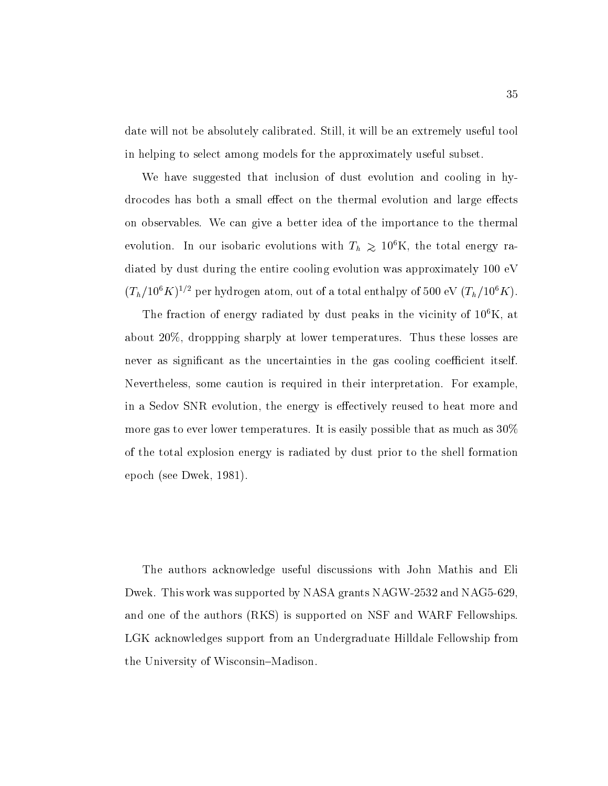date will not be absolutely calibrated. Still, it will be an extremely useful tool in helping to select among models for the approximately useful subset

We have suggested that inclusion of dust evolution and cooling in hydrocodes has both a small effect on the thermal evolution and large effects on observables. We can give a better idea of the importance to the thermal evolution. In our isobaric evolutions with  $I_h$   $\gtrsim$  10 K, the total energy radiated by dust during the entire cooling evolution was approximately  $100 \text{ eV}$  $(T_h / 10^8 \text{A})^{1/2}$  per hydrogen atom, out of a total enthalpy of 500 eV  $(T_h / 10^8 \text{A})$ .

The fraction of energy radiated by dust peaks in the vicinity of  $10^6$ K, at about  $20\%$ , droppping sharply at lower temperatures. Thus these losses are never as significant as the uncertainties in the gas cooling coefficient itself. Nevertheless, some caution is required in their interpretation. For example, in a Sedov SNR evolution, the energy is effectively reused to heat more and more gas to ever lower temperatures. It is easily possible that as much as  $30\%$ of the total explosion energy is radiated by dust prior to the shell formation epoch (see Dwek,  $1981$ ).

The authors acknowledge useful discussions with John Mathis and Eli Dwek This work was supported by NASA grants NAGW- and NAG and one of the authors (RKS) is supported on NSF and WARF Fellowships. LGK acknowledges support from an Undergraduate Hilldale Fellowship from the University of Wisconsin-Madison.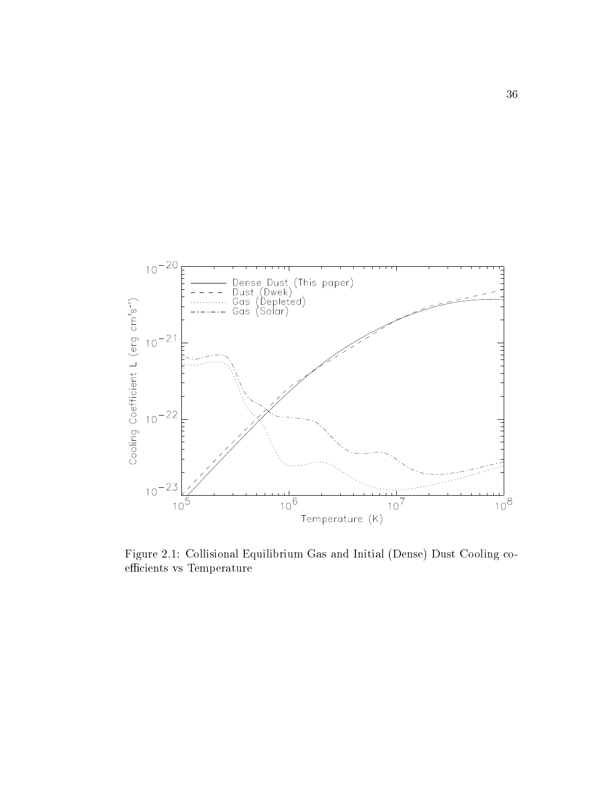

Figure 2.1: Collisional Equilibrium Gas and Initial (Dense) Dust Cooling coefficients vs Temperature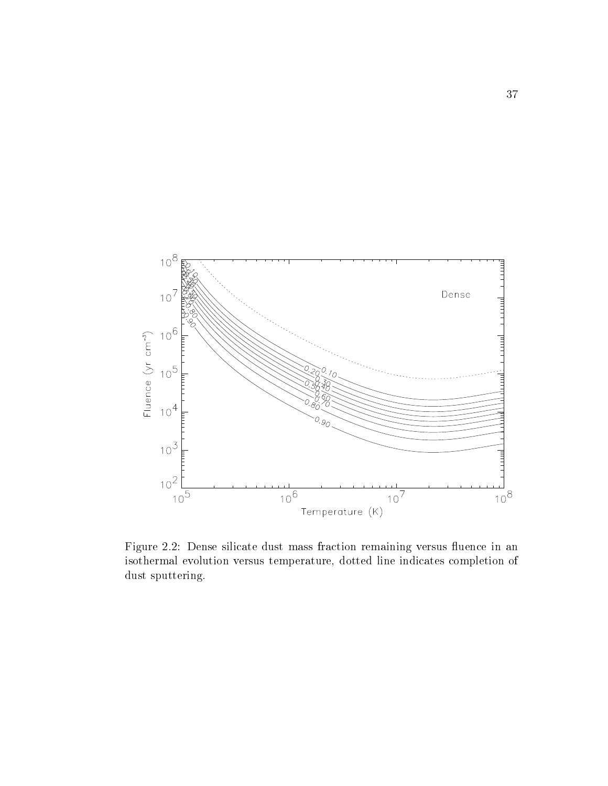

Figure 2.2: Dense silicate dust mass fraction remaining versus fluence in an isothermal evolution versus temperature, dotted line indicates completion of dust sputtering.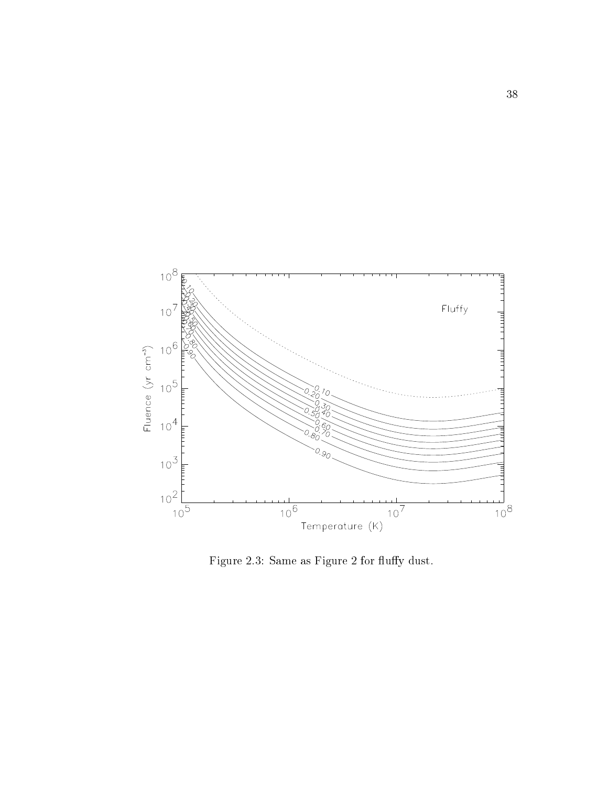

Figure 2.3: Same as Figure 2 for fluffy dust.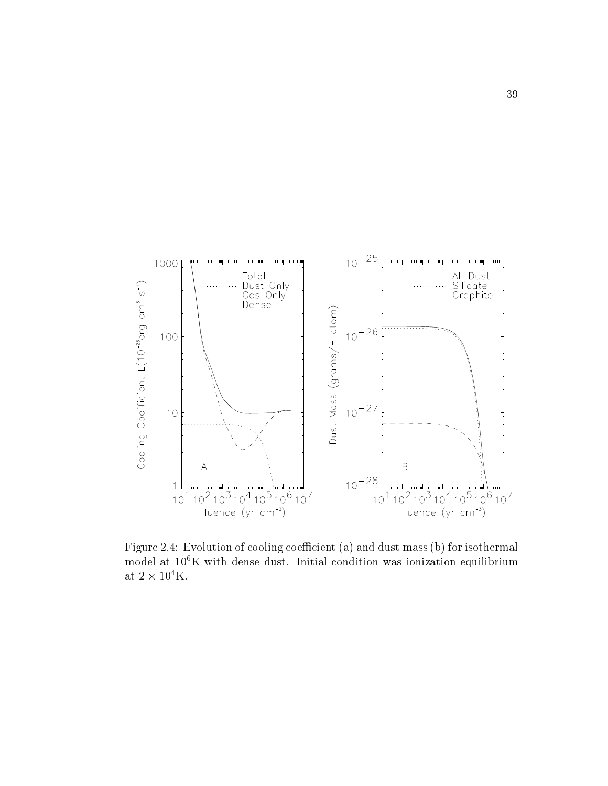

Figure 2.4: Evolution of cooling coefficient (a) and dust mass (b) for isothermal model at  $10^6$ K with dense dust. Initial condition was ionization equilibrium at  $2\times 10^4 {\rm K}.$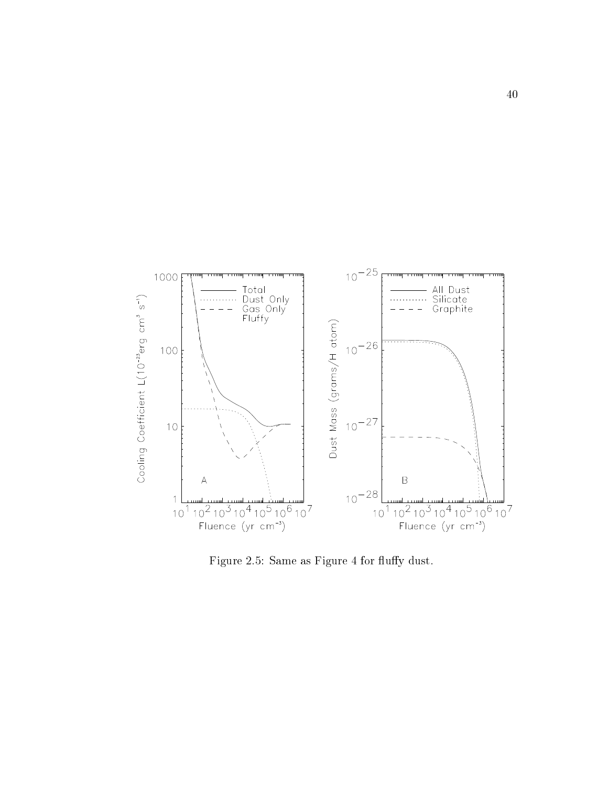

Figure 2.5: Same as Figure 4 for fluffy dust.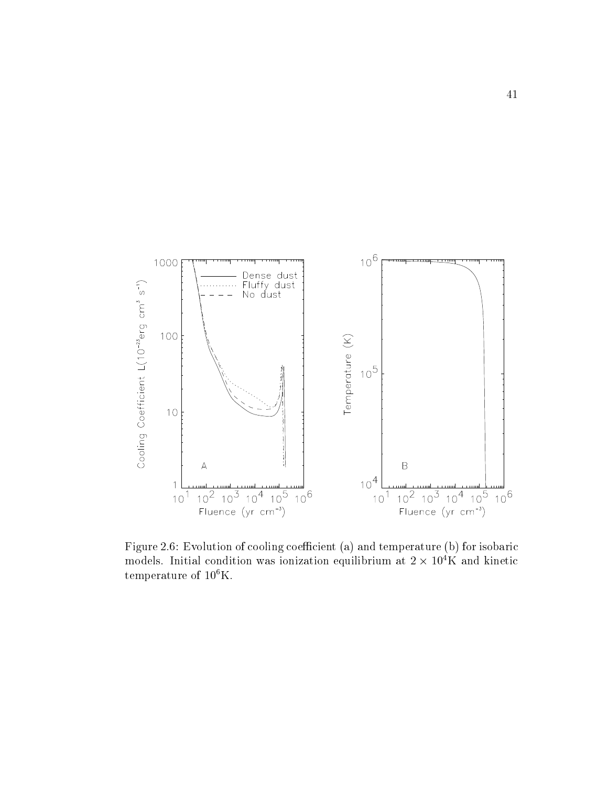

Figure Evolution of cooling coecient a and temperature b for isobaric models. Initial condition was ionization equilibrium at  $2 \times 10^4$ K and kinetic temperature of  $10^6$ K.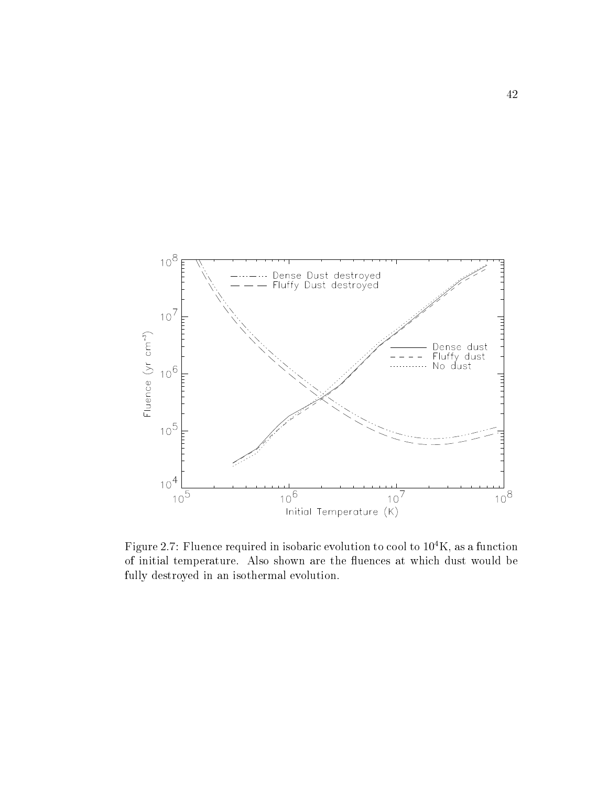

Figure 2.7: Fluence required in isobaric evolution to cool to  $10^4$ K, as a function of initial temperature. Also shown are the fluences at which dust would be fully destroyed in an isothermal evolution.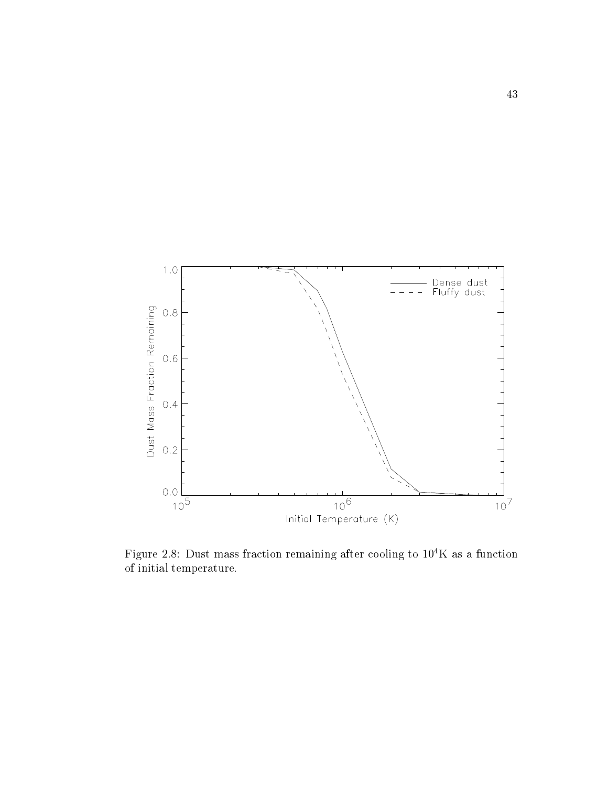

Figure 2.8: Dust mass fraction remaining after cooling to  $10^4$ K as a function of initial temperature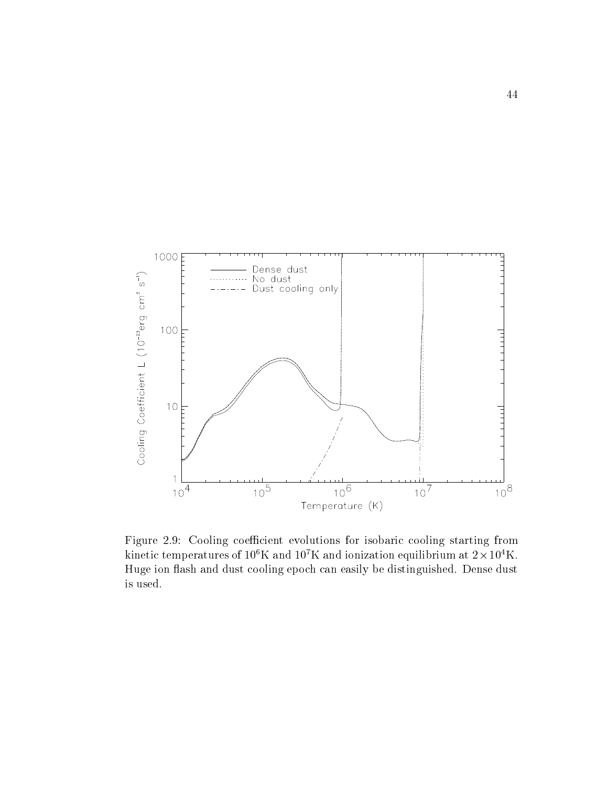

Figure 2.9: Cooling coefficient evolutions for isobaric cooling starting from kinetic temperatures of Tu-K and Tu-K and ionization equilibrium at Z  $\times$  Tu-K. Huge ion flash and dust cooling epoch can easily be distinguished. Dense dust is used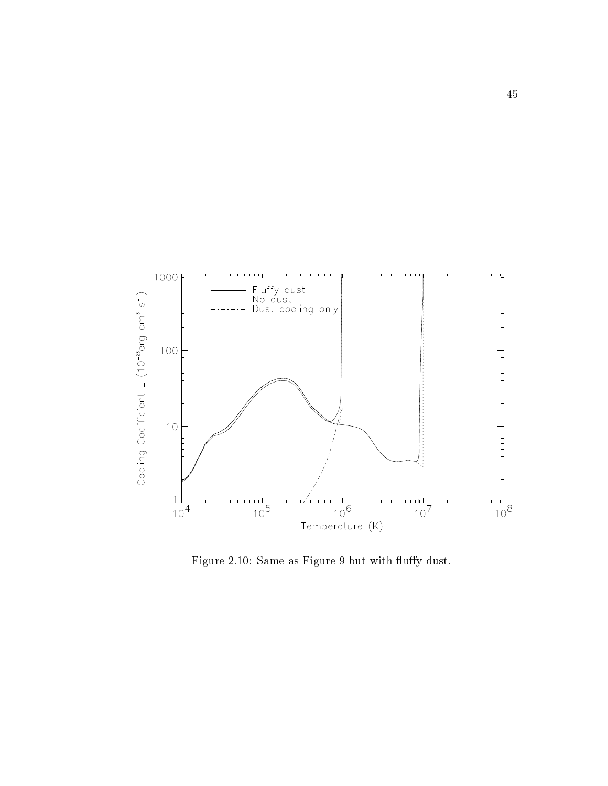

Figure 2.10: Same as Figure 9 but with fluffy dust.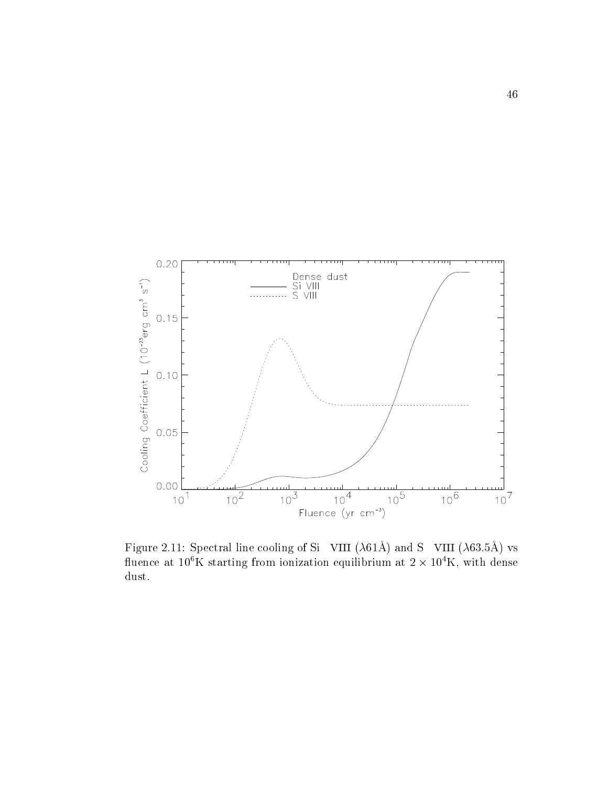

 $\Gamma$  igure 2.11. Decementing cooling of Si Vi VIII (A011) and S  $\Gamma$  VIII (A00.011) to fluence at  $10^6$ K starting from ionization equilibrium at  $2 \times 10^4$ K, with dense dust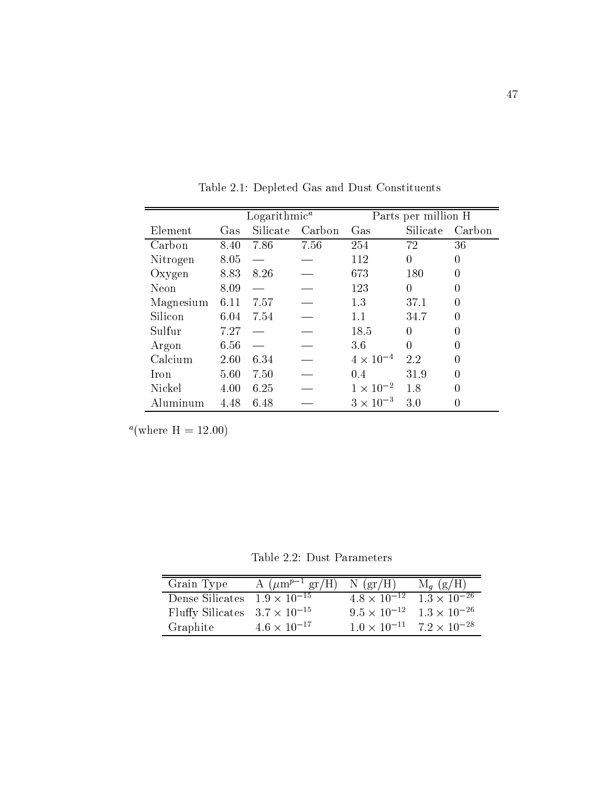|              | $Logarithmic^a$ |          |        | Parts per million H |          |                |
|--------------|-----------------|----------|--------|---------------------|----------|----------------|
| Element      | $\rm Gas$       | Silicate | Carbon | Gas                 | Silicate | Carbon         |
| Carbon       | 8.40            | 7.86     | 7.56   | 254                 | 72       | 36             |
| Nitrogen     | 8.05            |          |        | 112                 | $\theta$ | $\overline{0}$ |
| Oxygen       | 8.83            | 8.26     |        | 673                 | 180      | $\overline{0}$ |
| Neon         | 8.09            |          |        | 123                 | $\theta$ | $\theta$       |
| Magnesium    | 6.11            | 7.57     |        | 1.3                 | 37.1     | 0              |
| Silicon      | 6.04            | 7.54     |        | 1.1                 | 34.7     | $\overline{0}$ |
| Sulfur       | 7.27            |          |        | 18.5                | $\theta$ | $\overline{0}$ |
| Argon        | 6.56            |          |        | 3.6                 | $\theta$ | $\overline{0}$ |
| Calcium      | 2.60            | 6.34     |        | $4 \times 10^{-4}$  | 2.2      | $\theta$       |
| <i>I</i> ron | 5.60            | 7.50     |        | 0.4                 | 31.9     | $\overline{0}$ |
| Nickel       | 4.00            | 6.25     |        | $1 \times 10^{-2}$  | 1.8      | $\overline{0}$ |
| Aluminum     | 4.48            | 6.48     |        | $3 \times 10^{-3}$  | 3.0      | 0              |

Table 2.1: Depleted Gas and Dust Constituents

<sup>a</sup>(where H = 12.00)

Table 2.2: Dust Parameters

| Grain Type                             | A $(\mu m^{p-1} \text{ gr}/H)$ N $(\text{gr}/H)$ |                                             | $M_g$ (g/H)                                 |
|----------------------------------------|--------------------------------------------------|---------------------------------------------|---------------------------------------------|
| Dense Silicates $1.9 \times 10^{-15}$  |                                                  |                                             | $4.8 \times 10^{-12}$ $1.3 \times 10^{-26}$ |
| Fluffy Silicates $3.7 \times 10^{-15}$ |                                                  | $9.5 \times 10^{-12}$ $1.3 \times 10^{-26}$ |                                             |
| Graphite                               | $4.6 \times 10^{-17}$                            |                                             | $1.0 \times 10^{-11}$ $7.2 \times 10^{-28}$ |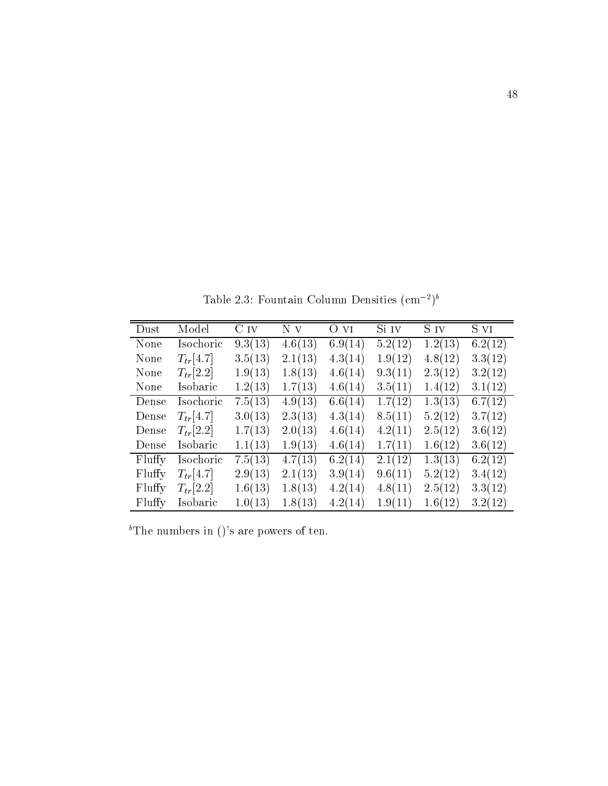Table 2.5: Fountain Column Densities (cm - )

| Dust   | Model         | C <sub>IV</sub> | N v     | OVI     | $\overline{Si}$ IV | S IV    | S vI    |
|--------|---------------|-----------------|---------|---------|--------------------|---------|---------|
| None   | Isochoric     | 9.3(13)         | 4.6(13) | 6.9(14) | 5.2(12)            | 1.2(13) | 6.2(12) |
| None   | $T_{tr}[4.7]$ | 3.5(13)         | 2.1(13) | 4.3(14) | 1.9(12)            | 4.8(12) | 3.3(12) |
| None   | $T_{tr}[2.2]$ | 1.9(13)         | 1.8(13) | 4.6(14) | 9.3(11)            | 2.3(12) | 3.2(12) |
| None   | Isobaric      | 1.2(13)         | 1.7(13) | 4.6(14) | 3.5(11)            | 1.4(12) | 3.1(12) |
| Dense  | Isochoric     | 7.5(13)         | 4.9(13) | 6.6(14) | 1.7(12)            | 1.3(13) | 6.7(12) |
| Dense  | $T_{tr}[4.7]$ | 3.0(13)         | 2.3(13) | 4.3(14) | 8.5(11)            | 5.2(12) | 3.7(12) |
| Dense  | $T_{tr}[2.2]$ | 1.7(13)         | 2.0(13) | 4.6(14) | 4.2(11)            | 2.5(12) | 3.6(12) |
| Dense  | Isobaric      | 1.1(13)         | 1.9(13) | 4.6(14) | 1.7(11)            | 1.6(12) | 3.6(12) |
| Fluffy | Isochoric     | 7.5(13)         | 4.7(13) | 6.2(14) | 2.1(12)            | 1.3(13) | 6.2(12) |
| Fluffy | $T_{tr}[4.7]$ | 2.9(13)         | 2.1(13) | 3.9(14) | 9.6(11)            | 5.2(12) | 3.4(12) |
| Fluffy | $T_{tr}[2.2]$ | 1.6(13)         | 1.8(13) | 4.2(14) | 4.8(11)            | 2.5(12) | 3.3(12) |
| Fluffy | Isobaric      | 1.0(13)         | 1.8(13) | 4.2(14) | 1.9(11)            | 1.6(12) | 3.2(12) |

<sup>b</sup>The numbers in ()'s are powers of ten.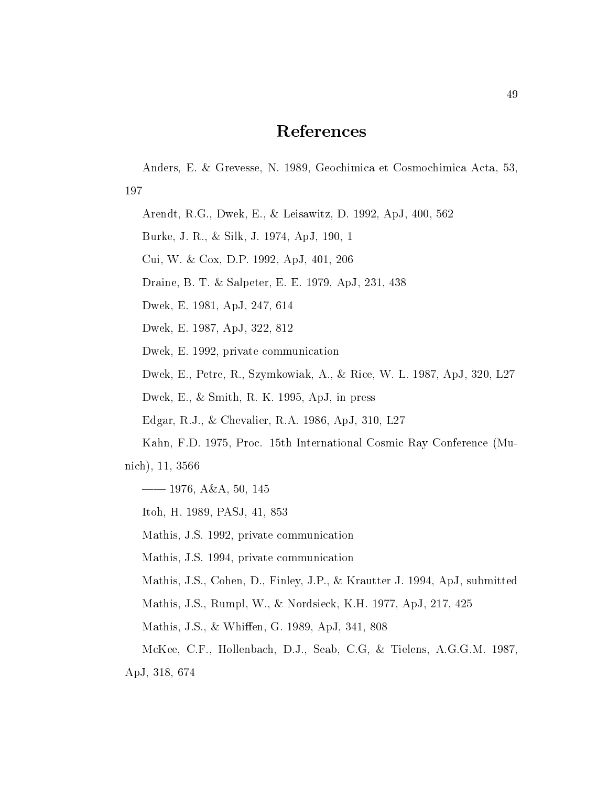## References

Anders, E. & Grevesse, N. 1989, Geochimica et Cosmochimica Acta, 53, 197

Arendt RG Dwek E Leisawitz Dwek E Leisawitz Dwek E Leisawitz Dwek E Leisawitz Dwek E Leisawitz Dwek E Le

Burke, J. R., & Silk, J. 1974, ApJ, 190, 1

Cui, W. & Cox, D.P. 1992, ApJ,  $401$ ,  $206$ 

Draine, B. T. & Salpeter, E. E. 1979, ApJ, 231, 438

Dwek E Apple E Apple E Apple E Apple E Apple E Apple E Apple E Apple E Apple E Apple E Apple E Apple E Apple E

Dwek, E. 1987, ApJ, 322, 812

Dwek, E. 1992, private communication

Dwek, E., Petre, R., Szymkowiak, A., & Rice, W. L. 1987, ApJ, 320, L27

Dwek, E.,  $&$  Smith, R. K. 1995, ApJ, in press

Edgar RJ Chevalier RA ApJ L

Kahn, F.D. 1975, Proc. 15th International Cosmic Ray Conference (Mu-

nich nicht in eine Statistike und Statistike und Statistike und Statistike und Statistike und Statistike und S

 AA

Itoh, H. 1989, PASJ, 41, 853

Mathis, J.S. 1992, private communication

Mathis, J.S. 1994, private communication

Mathis, J.S., Cohen, D., Finley, J.P., & Krautter J. 1994, ApJ, submitted

Mathis, J.S., Rumpl, W., & Nordsieck, K.H. 1977, ApJ, 217, 425

Mathis, J.S., & Whiffen, G. 1989, ApJ, 341, 808

McKee, C.F., Hollenbach, D.J., Seab, C.G, & Tielens, A.G.G.M. 1987,

and the contract of the contract of the contract of the contract of the contract of the contract of the contract of the contract of the contract of the contract of the contract of the contract of the contract of the contra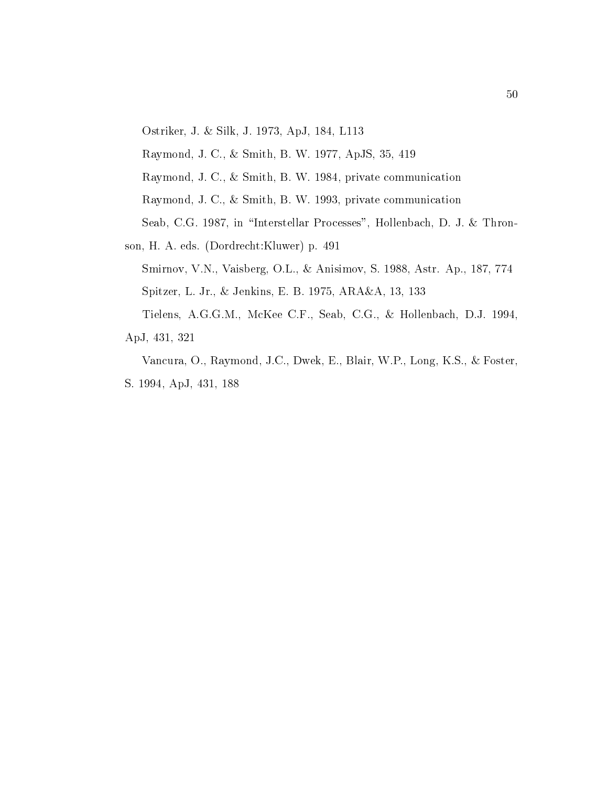Ostriker, J. & Silk, J. 1973, ApJ, 184, L113

Raymond, J. C., & Smith, B. W. 1977, ApJS, 35, 419

Raymond, J. C., & Smith, B. W. 1984, private communication

Raymond, J. C., & Smith, B. W. 1993, private communication

Seab, C.G. 1987, in "Interstellar Processes", Hollenbach, D. J. & Thron-

son, H. A. eds. (Dordrecht:Kluwer) p. 491

Smirnov, V.N., Vaisberg, O.L., & Anisimov, S. 1988, Astr. Ap., 187, 774 Spitzer, L. Jr., & Jenkins, E. B. 1975, ARA&A, 13, 133 Tielens, A.G.G.M., McKee C.F., Seab, C.G., & Hollenbach, D.J. 1994,

ApJ, 431, 321

Vancura, O., Raymond, J.C., Dwek, E., Blair, W.P., Long, K.S., & Foster, S. 1994, ApJ, 431, 188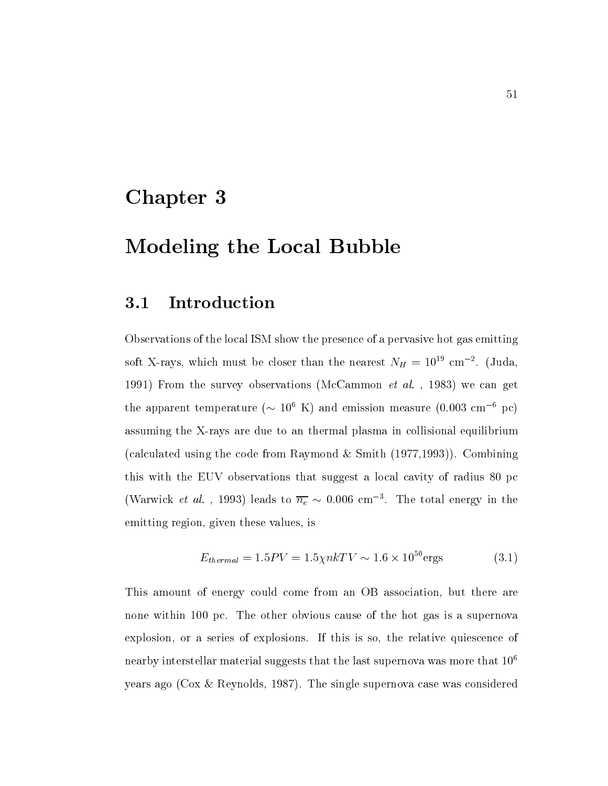# Chapter 3

# Modeling the Local Bubble

#### 3.1 Introduction

Observations of the local ISM show the presence of a pervasive hot gas emitting soft A-rays, which must be closer than the hearest  $N_H = 10$  cm  $\,$  . (Juda,  $\,$  From the survey observations McCammon et al- we can get the apparent temperature  $(\sim 10^{8}~{\rm K})$  and emission measure (0.005 cm  $^{-1}$  pc) rays are due to an thermal plasma in the top collision and thermal plasma in collision and the collision of the (calculated using the code from Raymond & Smith  $(1977,1993)$ ). Combining this with the EUV observations that suggest a local cavity of radius 80 pc (warwick *et al.*, 1995) leads to  $n_e$   $\sim$  0.000 cm  $\,$  . The total energy in the emitting region, given these values, is

$$
E_{thermal} = 1.5PV = 1.5\chi n kTV \sim 1.6 \times 10^{50} \text{ergs}
$$
 (3.1)

This amount of energy could come from an OB association, but there are none within 100 pc. The other obvious cause of the hot gas is a supernova explosion, or a series of explosions. If this is so, the relative quiescence of nearby interstellar material suggests that the last supernova was more that  $10^6$ years ago ( $\cos \&$  Reynolds, 1987). The single supernova case was considered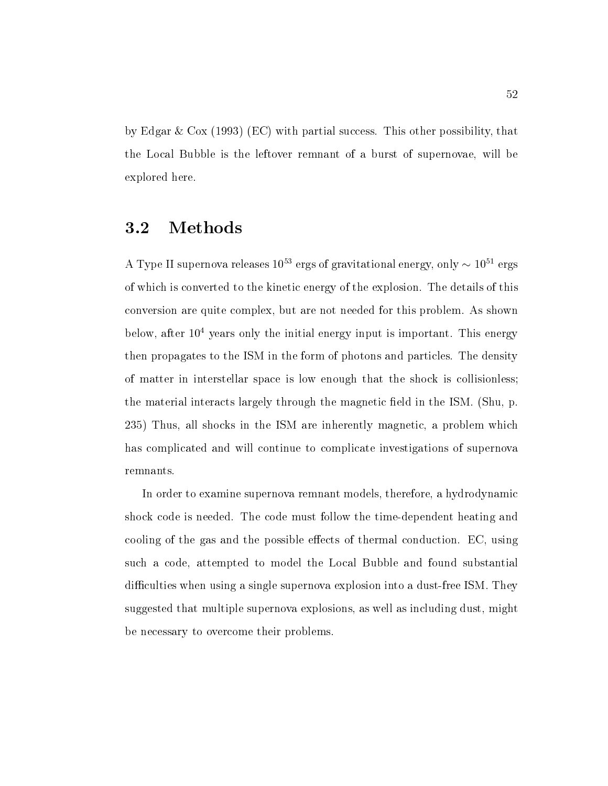by Edgar & Cox  $(1993)$  (EC) with partial success. This other possibility, that the Local Bubble is the leftover remnant of a burst of supernovae will be explored here

#### 3.2 Methods

A Type II supernova releases to ergs of gravitational energy, only  $\sim$  10  $\,$  ergs  $\,$ of which is converted to the kinetic energy of the explosion The details of this conversion are quite complex, but are not needed for this problem. As shown below, after  $10^4$  years only the initial energy input is important. This energy then propagates to the ISM in the form of photons and particles. The density of matter in interstellar space is low enough that the shock is collisionless the material interacts largely through the magnetic field in the ISM.  $(Shu, p$ . 235) Thus, all shocks in the ISM are inherently magnetic, a problem which has complicated and will continue to complicate investigations of supernova remnants

In order to examine supernova remnant models, therefore, a hydrodynamic shock code is needed The code must follow the time-dependent heating and cooling of the gas and the possible effects of thermal conduction.  $EC$ , using such a code, attempted to model the Local Bubble and found substantial diculties when when  $\pi$  is single supernoval explosion into a dust-supernoval explosion in the single  $\pi$ suggested that multiple supernova explosions, as well as including dust, might be necessary to overcome their problems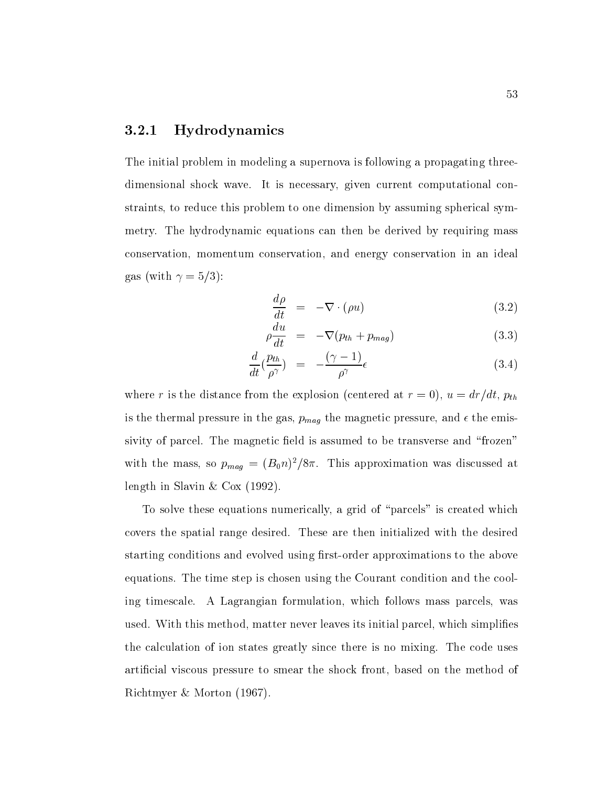### Hydrodynamics

The initial problem in modeling a supernova is following a propagating threedimensional shock wave. It is necessary, given current computational constraints, to reduce this problem to one dimension by assuming spherical symmetry. The hydrodynamic equations can then be derived by requiring mass conservation, momentum conservation, and energy conservation in an ideal  $\cdots$  with  $\cdots$  with  $\cdots$ 

$$
\frac{d\rho}{dt} = -\nabla \cdot (\rho u) \tag{3.2}
$$

$$
\rho \frac{du}{dt} = -\nabla (p_{th} + p_{mag}) \tag{3.3}
$$

$$
\frac{d}{dt}\left(\frac{p_{th}}{\rho^{\gamma}}\right) = -\frac{(\gamma - 1)}{\rho^{\gamma}}\epsilon
$$
\n(3.4)

where a construction of the distance from the explosion of the explosion at  $\alpha$  ,  $\alpha$  and  $\alpha$  at  $\alpha$  ,  $\alpha$ is the thermal pressure in the gas pmag the magnetic pressure and the emissivity of parcel. The magnetic field is assumed to be transverse and "frozen" with the mass, so  $p_{maq} = (D_0 n)/\delta n$ . This approximation was discussed at length in Slavin & Cox (1992).

To solve these equations numerically, a grid of "parcels" is created which covers the spatial range desired. These are then initialized with the desired starting conditions and evolved using rst-order approximations to the above equations The time step is chosen using the Courant condition and the cooling timescale. A Lagrangian formulation, which follows mass parcels, was used. With this method, matter never leaves its initial parcel, which simplifies the calculation of ion states greatly since there is no mixing. The code uses artificial viscous pressure to smear the shock front, based on the method of Richtmyer Morton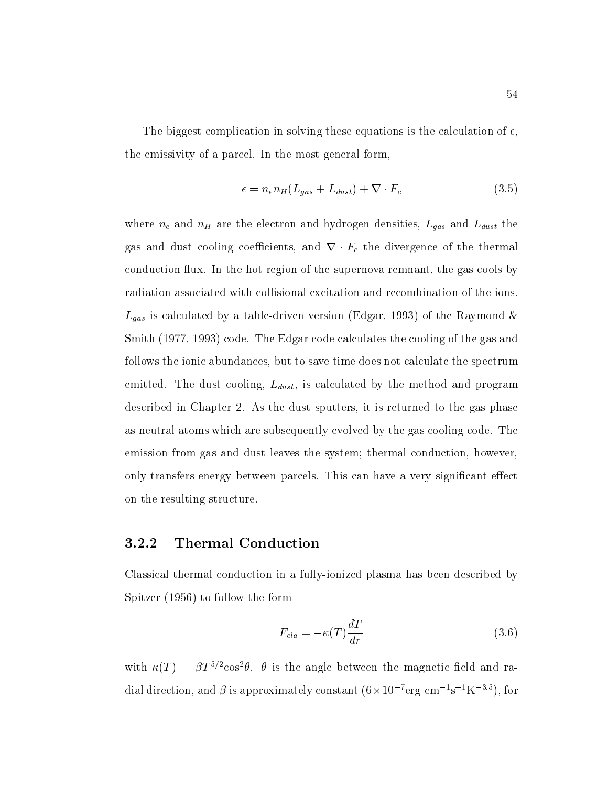The biggest complication in solving these equations is the calculation of  $\epsilon$ , the emissivity of a parcel. In the most general form

$$
\epsilon = n_e n_H (L_{gas} + L_{dust}) + \nabla \cdot F_c \tag{3.5}
$$

 $\omega$  and ne and nH are the electron and hydrogen densities  $\omega$  and L and L and L and L and L and L and L and L and L and L and L and L and L and L and L and L and L and L and L and L and L and L and L and L and L and L a gas and dust cooling coecients and <sup>r</sup> Fc the divergence of the thermal conduction flux. In the hot region of the supernova remnant, the gas cools by radiation associated with collisional excitation and recombination of the ions Latter is calculated by a table-driven version  $\mathcal{L}$  the Raymond Edgar  $\mathcal{L}$  of the Raymond Edgar  $\mathcal{L}$ Smith (1977, 1993) code. The Edgar code calculates the cooling of the gas and follows the ionic abundances but to save time does not calculate the spectrum emitted The dust cooling Language Cooling Language and program and program and program and program and program described in Chapter 2. As the dust sputters, it is returned to the gas phase as neutral atoms which are subsequently evolved by the gas cooling code. The emission from gas and dust leaves the system; thermal conduction, however, only transfers energy between parcels. This can have a very significant effect on the resulting structure

### Thermal Conduction

Classical thermal conduction in a fully-ionized plasma has been described by Spitzer in the following the following the following the following the following the following the following the following the following the following the following the following the following the following the following t

$$
F_{cla} = -\kappa(T)\frac{dT}{dr} \tag{3.6}
$$

with  $\kappa(T) \, \equiv \, \rho \, T^{\circ/2} \cos^2 \theta, \; \; \theta$  is the angle between the magnetic field and radial direction, and  $\rho$  is approximately constant (0  $\times$  10  $^+$  erg cm  $^+$  s  $^-$  K  $^ ^-$  ), for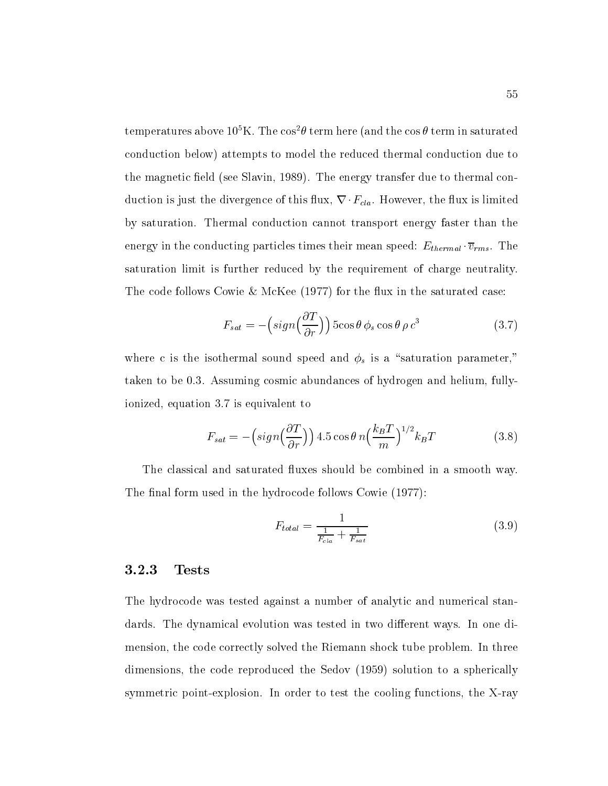temperatures above  $10^{\circ}$  K . The cos  $t$  term here (and the cos  $t$  term in saturated conduction below) attempts to model the reduced thermal conduction due to the magnetic field (see Slavin, 1989). The energy transfer due to thermal conduction is just the divergence of this flux,  $\nabla \cdot F_{cla}$ . However, the flux is limited by saturation. Thermal conduction cannot transport energy faster than the energy in the conduction there are conducting the conducting particles the conductivity of the conduction  $\sim$ saturation limit is further reduced by the requirement of charge neutrality The code follows Cowie & McKee  $(1977)$  for the flux in the saturated case:

$$
F_{sat} = -\left(sign\left(\frac{\partial T}{\partial r}\right)\right)5\cos\theta \phi_s \cos\theta \rho c^3 \tag{3.7}
$$

where c is the isothermal sound speed and speed and speed  $\tau_{\theta}$  as an "saturation parameter", taken to be 0.3. Assuming cosmic abundances of hydrogen and helium, fullyionized, equation 3.7 is equivalent to

$$
F_{sat} = -\left(sign\left(\frac{\partial T}{\partial r}\right)\right) 4.5 \cos \theta \ n \left(\frac{k_B T}{m}\right)^{1/2} k_B T \tag{3.8}
$$

The classical and saturated fluxes should be combined in a smooth way. The final form used in the hydrocode follows Cowie  $(1977)$ :

$$
F_{total} = \frac{1}{\frac{1}{F_{cla}} + \frac{1}{F_{sat}}} \tag{3.9}
$$

### Tests

The hydrocode was tested against a number of analytic and numerical standards. The dynamical evolution was tested in two different ways. In one dimension, the code correctly solved the Riemann shock tube problem. In three dimensions, the code reproduced the Sedov (1959) solution to a spherically symmetric point-explosion In order to test the cooling functions the X-ray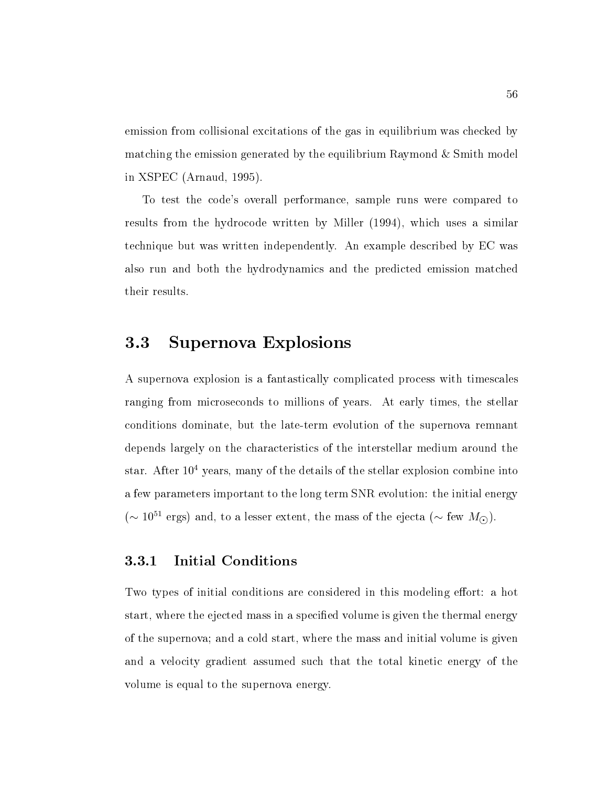emission from collisional excitations of the gas in equilibrium was checked by matching the emission generated by the equilibrium Raymond  $\&$  Smith model in XSPEC (Arnaud, 1995).

To test the code's overall performance, sample runs were compared to results from the hydrocode written by Miller (1994), which uses a similar technique but was written independently An example described by EC was also run and both the hydrodynamics and the predicted emission matched their results

#### 3.3 Supernova Explosions

A supernova explosion is a fantastically complicated process with timescales ranging from microseconds to millions of years. At early times, the stellar conditions dominate but the late-term evolution of the supernova remnant depends largely on the characteristics of the interstellar medium around the star. After  $10<sup>4</sup>$  years, many of the details of the stellar explosion combine into a few parameters important to the long term SNR evolution: the initial energy ( $\sim$  10<sup>--</sup> ergs) and, to a lesser extent, the mass of the ejecta ( $\sim$  1ew  $M_{\odot}$ ).

### Initial Conditions

Two types of initial conditions are considered in this modeling effort: a hot start, where the ejected mass in a specified volume is given the thermal energy of the supernova; and a cold start, where the mass and initial volume is given and <sup>a</sup> velocity gradient assumed such that the total kinetic energy of the volume is equal to the supernova energy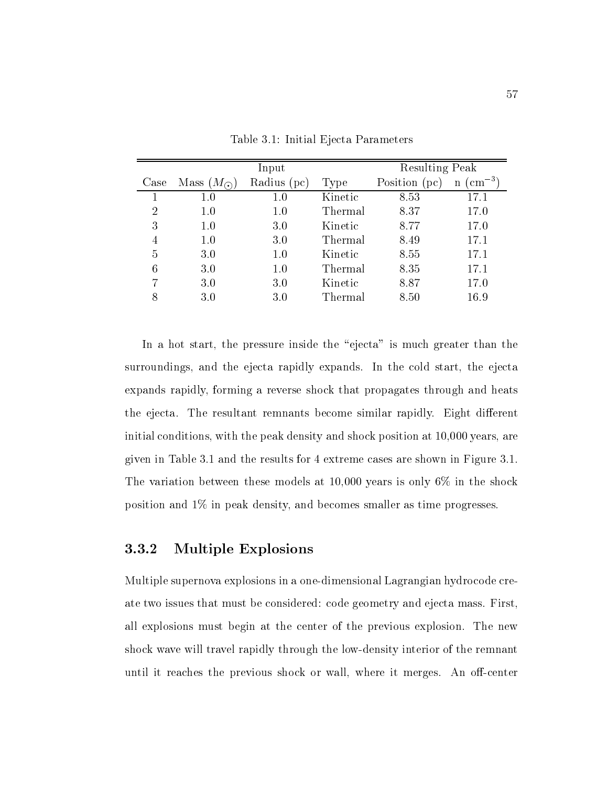|                |                    | Input       | <b>Resulting Peak</b> |               |                                 |
|----------------|--------------------|-------------|-----------------------|---------------|---------------------------------|
| Case           | Mass $(M_{\odot})$ | Radius (pc) | Type                  | Position (pc) | $\rm (cm^{-3})$<br>$\mathbf{n}$ |
|                | 1.0                | 1.0         | Kinetic               | 8.53          | 17.1                            |
| $\overline{2}$ | $1.0\,$            | 1.0         | Thermal               | 8.37          | 17.0                            |
| 3              | 1.0                | 3.0         | Kinetic               | 8.77          | 17.0                            |
| $\overline{4}$ | 1.0                | 3.0         | Thermal               | 8.49          | 17.1                            |
| 5              | 3.0                | 1.0         | Kinetic               | 8.55          | 17.1                            |
| 6              | 3.0                | 1.0         | Thermal               | 8.35          | 17.1                            |
| 7              | 3.0                | 3.0         | Kinetic               | 8.87          | 17.0                            |
| 8              | 3.0                | 3.0         | Thermal               | 8.50          | 16.9                            |

Table 3.1: Initial Ejecta Parameters

In a hot start, the pressure inside the "ejecta" is much greater than the surroundings, and the ejecta rapidly expands. In the cold start, the ejecta expands rapidly forming a reverse shock that propagates through and heats the ejecta. The resultant remnants become similar rapidly. Eight different initial conditions, with the peak density and shock position at  $10,000$  years, are given in Table  $3.1$  and the results for  $4$  extreme cases are shown in Figure  $3.1$ . The variation between the variation between the shock at  $\mathbb{R}^n$  ,  $\mathbb{R}^n$  ,  $\mathbb{R}^n$ position and  $1\%$  in peak density, and becomes smaller as time progresses.

## Multiple Explosions

Multiple supernova explosions in a one-dimensional Lagrangian hydrocode create two issues that must be considered: code geometry and ejecta mass. First. all explosions must begin at the center of the previous explosion. The new shock wave will travel rapidly through the low-density interior of the remnant until it reaches the previous shock or wall where it measures  $\mathcal{L}$  and  $\mathcal{L}$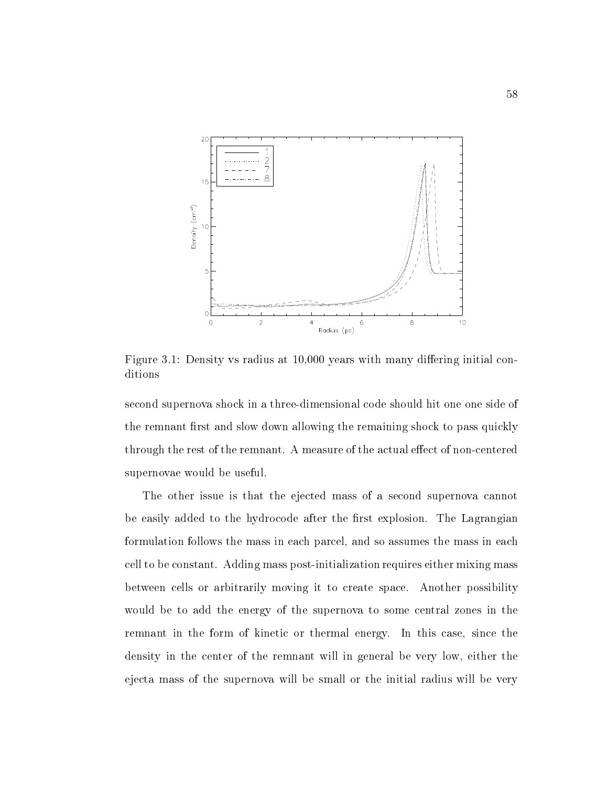

Figure 3.1: Density vs radius at  $10,000$  years with many differing initial conditions

second supernova showled three-dimensional code showled showled in a three-dimensional code showled a threethe remnant first and slow down allowing the remaining shock to pass quickly through the rest of the remnant A measure of the actual eect of non-centered supernovae would be useful

The other issue is that the ejected mass of a second supernova cannot be easily added to the hydrocode after the first explosion. The Lagrangian formulation follows the mass in each parcel, and so assumes the mass in each cell to be constant Adding mass post-initialization requires either mixing mass between cells or arbitrarily moving it to create space. Another possibility would be to add the energy of the supernova to some central zones in the remnant in the form of kinetic or thermal energy. In this case, since the density in the center of the remnant will in general be very low, either the ejecta mass of the supernova will be small or the initial radius will be very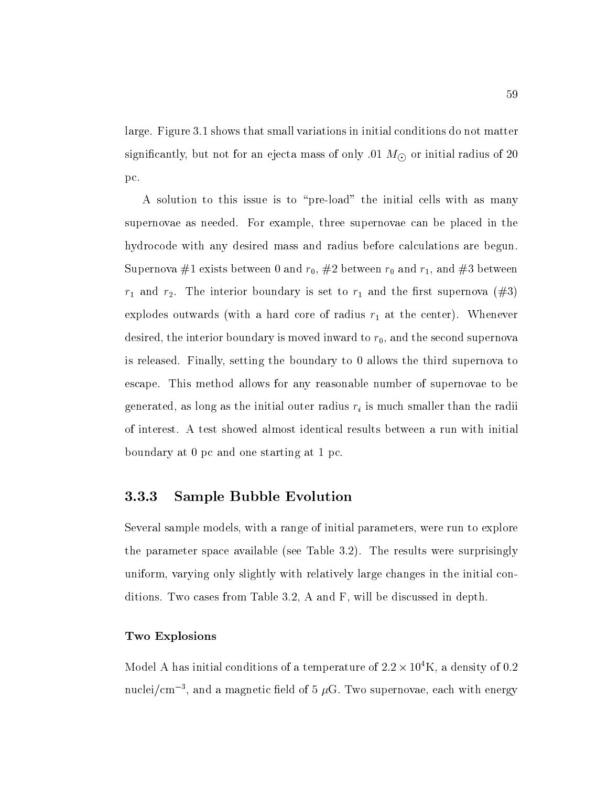large. Figure 3.1 shows that small variations in initial conditions do not matter significantly but not for an eigenvalue of  $\mathcal{S}$  ,  $\mathcal{S}$  ,  $\mathcal{S}$  ,  $\mathcal{S}$  ,  $\mathcal{S}$  ,  $\mathcal{S}$  ,  $\mathcal{S}$  ,  $\mathcal{S}$  ,  $\mathcal{S}$  ,  $\mathcal{S}$  ,  $\mathcal{S}$  ,  $\mathcal{S}$  ,  $\mathcal{S}$  ,  $\mathcal{S}$  ,  $\mathcal{S}$  ,  $\mathcal{S}$  ,  $\$ pc

a solution to this issue is to "pre-ation" that issue the issue is the initial cells with  $\mathcal{L}_{\mathcal{A}}$ supernovae as needed. For example, three supernovae can be placed in the hydrocode with any desired mass and radius before calculations are begun Supernova #1 exists between 0 and  $r_0$ , #2 between  $r_0$  and  $r_1$ , and #3 between  $r_1$  and  $r_2$ . The interior boundary is set to  $r_1$  and the first supernova (#3) explodes outwards (with a hard core of radius  $r_1$  at the center). Whenever desired, the interior boundary is moved inward to  $r_0$ , and the second supernova is released. Finally, setting the boundary to  $0$  allows the third supernova to escape. This method allows for any reasonable number of supernovae to be  $\Omega$  as as the initial outer radii is much smaller than the radii is much smaller than the radii is much smaller than the radii is much smaller than the radii is much smaller than the radii is much smaller than the radii of interest A test showed almost identical results between a run with initial boundary at  $0$  pc and one starting at  $1$  pc.

### Sample Bubble Evolution

Several sample models, with a range of initial parameters, were run to explore the parameter space available (see Table  $3.2$ ). The results were surprisingly uniform, varying only slightly with relatively large changes in the initial conditions. Two cases from Table 3.2, A and  $F$ , will be discussed in depth.

### Two Explosions

Model A has initial conditions of a temperature of  $2.2 \times 10^4$ K, a density of 0.2 nuclei/cm  $^{-}$ , and a magnetic neid of 5  $\mu$ G. I wo supernovae, each with energy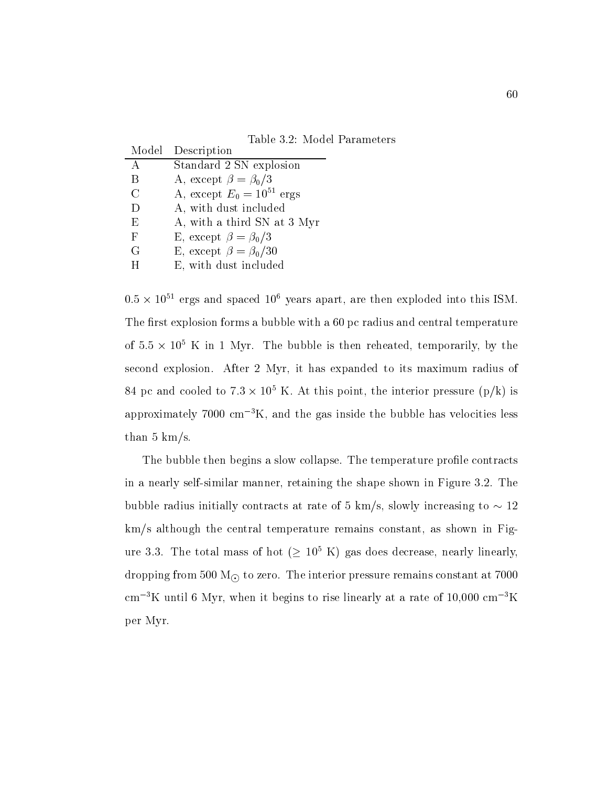Table 3.2: Model Parameters

| Model | Description                    |
|-------|--------------------------------|
| А     | Standard 2 SN explosion        |
| Β     | A, except $\beta = \beta_0/3$  |
| C     | A, except $E_0 = 10^{51}$ ergs |
| D     | A, with dust included          |
| Ε     | A, with a third SN at 3 Myr    |
| F     | E, except $\beta = \beta_0/3$  |
| G     | E, except $\beta = \beta_0/30$ |
|       | E, with dust included          |

 ergs and spaced years apart are then exploded into this ISM The rst explosion forms a bubble with a pc radius and central temperature of  $3.5\times 10^5$  K in T Myr. The bubble is then reheated, temporarily, by the  $$ second explosion. After 2 Myr, it has expanded to its maximum radius of  $\delta$ 4 pc and cooled to 7.3  $\times$  10° K. At this point, the interior pressure (p/K) is approximately  $7000 \text{ cm}^{-3}$ K, and the gas inside the bubble has velocities less than  $5 \text{ km/s}$ .

The bubble then begins a slow collapse. The temperature profile contracts in a nearly self-continued manufacturely the shown in Figure . The shown in Figure 1 and the shown in Figure 1 believe radius in the contracts at rate of  $\sigma$  ,  $\sigma$  and  $\sigma$   $\sigma$  -  $\sigma$  -  $\sigma$  -  $\sigma$  -  $\sigma$  -  $\sigma$  -  $\sigma$  -  $\sigma$  $km/s$  although the central temperature remains constant, as shown in Figure  $5.5$ . The total mass of not ( $\geq 10~\,$  K) gas does decrease, hearly linearly, dropping from the interior pressure remains constant at the interior pressure remains constant at the interior cm  $\sim$  K until 6 Myr, when it begins to rise imearly at a rate of 10,000 cm  $\sim$  K  $\sim$ per Myr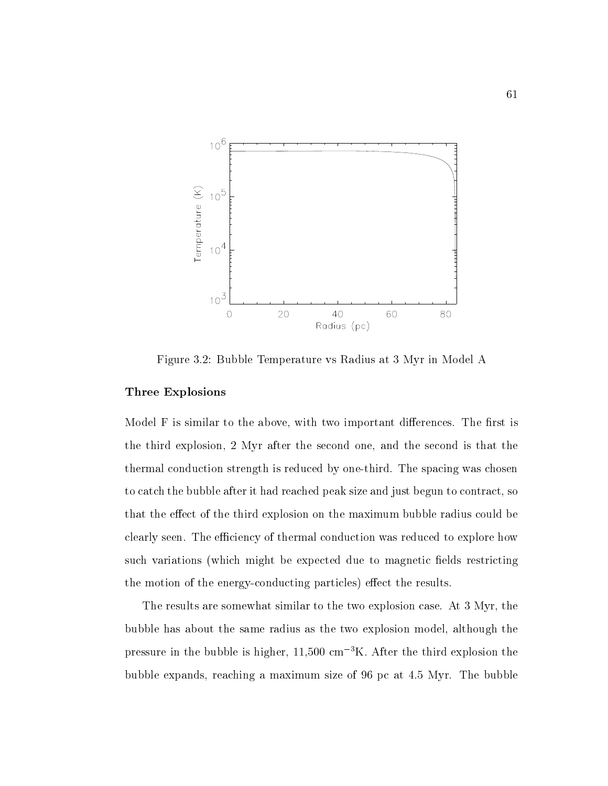

Figure 3.2: Bubble Temperature vs Radius at 3 Myr in Model A

### Three Explosions

Model F is similar to the above, with two important differences. The first is the third explosion, 2 Myr after the second one, and the second is that the thermal conduction strength is reduced by one-third The spacing was chosen to catch the bubble after it had reached peak size and just begun to contract, so that the effect of the third explosion on the maximum bubble radius could be clearly seen. The efficiency of thermal conduction was reduced to explore how such variations (which might be expected due to magnetic fields restricting the motion of the energy-conducting particles eect the results

The results are somewhat similar to the two explosion case. At 3 Myr, the bubble has about the same radius as the two explosion model, although the pressure in the bubble is higher,  $11,500 \text{ cm}^{-3}$ K. After the third explosion the bubble expands reaching a maximum size of  $\rho$  ,  $\rho$  and  $\rho$  are bubbles of  $\rho$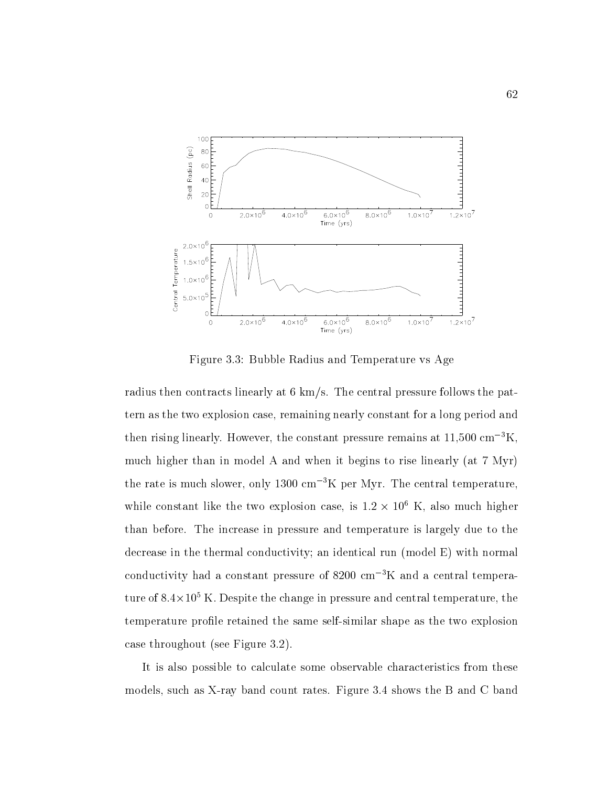

Figure 3.3: Bubble Radius and Temperature vs Age

radius then contracts linearly at kms The central pressure follows the pattern as the two explosion case, remaining nearly constant for a long period and then rising linearly. However, the constant pressure remains at  $11{,}500 \text{ cm}^{-3}$ K, much higher than in model A and when it begins to rise linearly (at  $7$  Myr) the rate is much slower, only  $1300 \text{ cm}^{-3}\text{K}$  per Myr. The central temperature, while constant like the two explosion case, is  $1.2 \times 10^6$  K, also much higher than before. The increase in pressure and temperature is largely due to the decrease in the thermal conductivity; an identical run (model  $E$ ) with normal conductivity had a constant pressure of  $8200 \text{ cm}^{-3}$ K and a central tempera- $\frac{1}{100}$  to  $\frac{1}{100}$  . The change in pressure and central temperature, the temperature prolesse the same self-shape shape self-same self-the same self-same shape as the two explosions of case throughout (see Figure  $3.2$ ).

It is also possible to calculate some observable characteristics from these models such asX-ray band count rates Figure shows the B and C band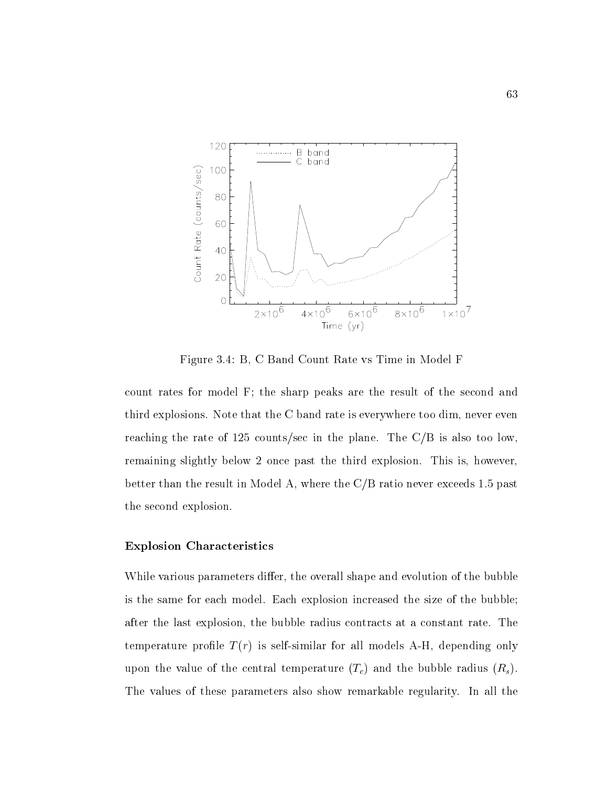

Figure 3.4: B, C Band Count Rate vs Time in Model F

count rates for model F; the sharp peaks are the result of the second and third explosions. Note that the C band rate is everywhere too dim, never even reaching the rate of 125 counts/sec in the plane. The  $C/B$  is also too low, remaining slightly below 2 once past the third explosion. This is, however, better than the result in Model A, where the  $C/B$  ratio never exceeds 1.5 past the second explosion

### Explosion Characteristics

While various parameters differ, the overall shape and evolution of the bubble is the same for each model. Each explosion increased the size of the bubble; after the last explosion, the bubble radius contracts at a constant rate. The temperature product  $\mathcal{L}$  , as seen all models and depending only we produce  $\mathcal{L}$  and  $\mathcal{L}$ upon the value of the central temperature  $(T_c)$  and the bubble radius  $(R_s)$ . The values of these parameters also show remarkable regularity. In all the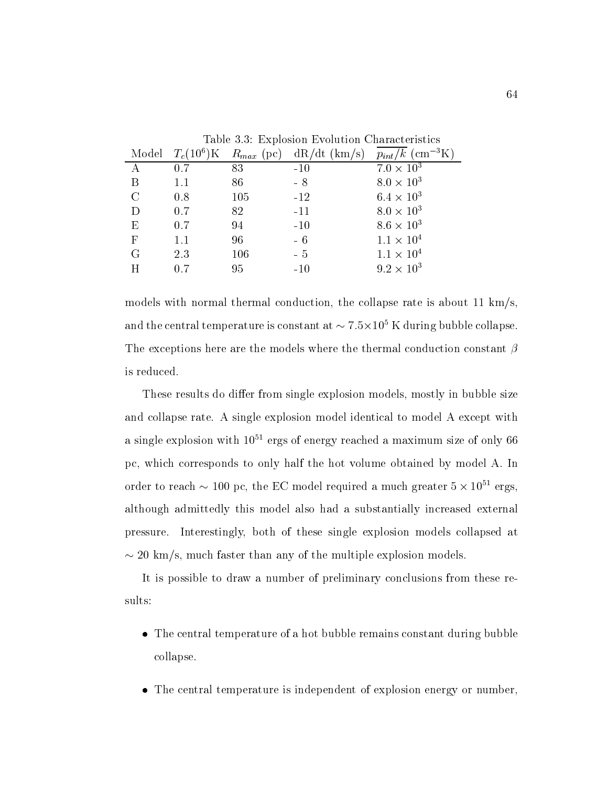|              | Model $T_c(10^6)$ K |     | rapie 9.9. Explosion Evolution Characteristics<br>$R_{max}$ (pc) dR/dt (km/s) | $p_{int}/k~(\text{cm}^{-3}\text{K})$ |
|--------------|---------------------|-----|-------------------------------------------------------------------------------|--------------------------------------|
|              | 0.7                 | 83  | $-10$                                                                         | $7.0 \times 10^3$                    |
| B            | 1.1                 | 86  | $-8$                                                                          | $8.0 \times 10^3$                    |
| $\rm C$      | 0.8                 | 105 | $-12$                                                                         | $6.4 \times 10^{3}$                  |
| D            | 0.7                 | 82  | $-11$                                                                         | $8.0 \times 10^3$                    |
| Ε            | 0.7                 | 94  | $-10$                                                                         | $8.6 \times 10^3$                    |
| $\mathbf{F}$ | 1.1                 | 96  | $-6$                                                                          | $1.1 \times 10^{4}$                  |
| G            | 2.3                 | 106 | $-5$                                                                          | $1.1 \times 10^{4}$                  |
| H            | 0.7                 | 95  | $-10$                                                                         | $9.2 \times 10^{3}$                  |

Table 3.3: Explosion Evolution Characteristics

models with normal thermal conduction, the collapse rate is about 11  $km/s$ , and the central temperature is constant at  $\sim$  7.5  $\times$  10  $\,$  K during bubble conapse. The exceptions here are the models where the thermal conduction constant  $\beta$ is reduced

These results do differ from single explosion models, mostly in bubble size and collapse rate. A single explosion model identical to model A except with a single explosion with 10<sup>--</sup> ergs of energy reached a maximum size of only 60 pc, which corresponds to only half the hot volume obtained by model A. In order to reach  $\sim$  100 pc, the EC model required a much greater 5  $\times$  10  $^\circ$  ergs, although admittedly this model also had a substantially increased external pressure Interestingly both of these single explosion models collapsed at - kms much faster than any of the multiple explosion models

It is possible to draw a number of preliminary conclusions from these results

- The central temperature of a hot bubble remains constant during bubble collapse
- The central temperature is independent of explosion energy or number,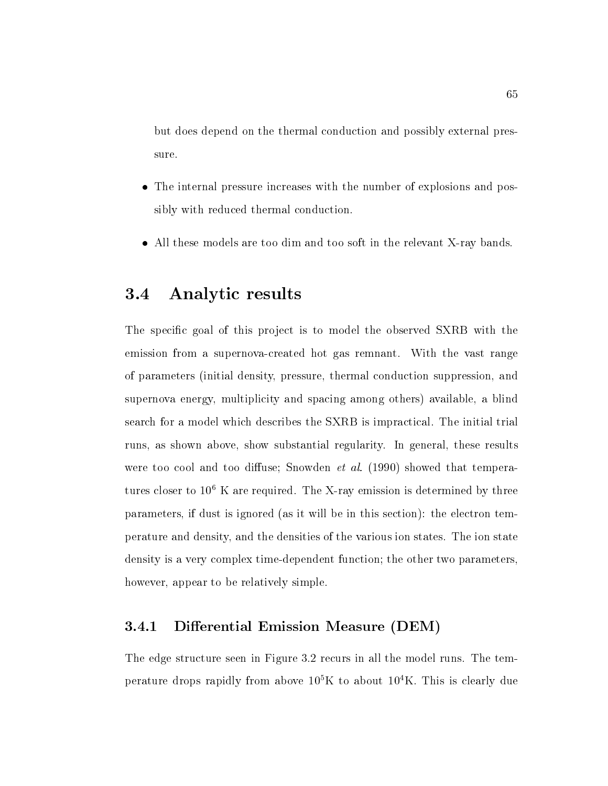but does depend on the thermal conduction and possibly external pressure.

- The internal pressure increases with the number of explosions and possibly with reduced thermal conduction
- All these models are too dim and too soft in the relevant X-ray bands

# 3.4 Analytic results

The specific goal of this project is to model the observed SXRB with the emission from a supernova-created hot gas remnant With the vast range of parameters (initial density, pressure, thermal conduction suppression, and supernova energy, multiplicity and spacing among others) available, a blind search for a model which describes the SXRB is impractical The initial trial runs, as shown above, show substantial regularity. In general, these results were too cool and too cool and temperature  $\mathbf{S}$  showed that temperature  $\mathbf{S}$ tures closer to 10°  $\Lambda$  are required. The  $\Lambda$ -ray emission is determined by three parameters, if dust is ignored (as it will be in this section): the electron temperature and density and the densities of the various ion states The ion state density is a very complex time-dependent function the other two parameters however, appear to be relatively simple.

## Di erential Emission Measure DEM

The edge structure seen in Figure 3.2 recurs in all the model runs. The temperature drops rapidly from above K to about K This is clearly due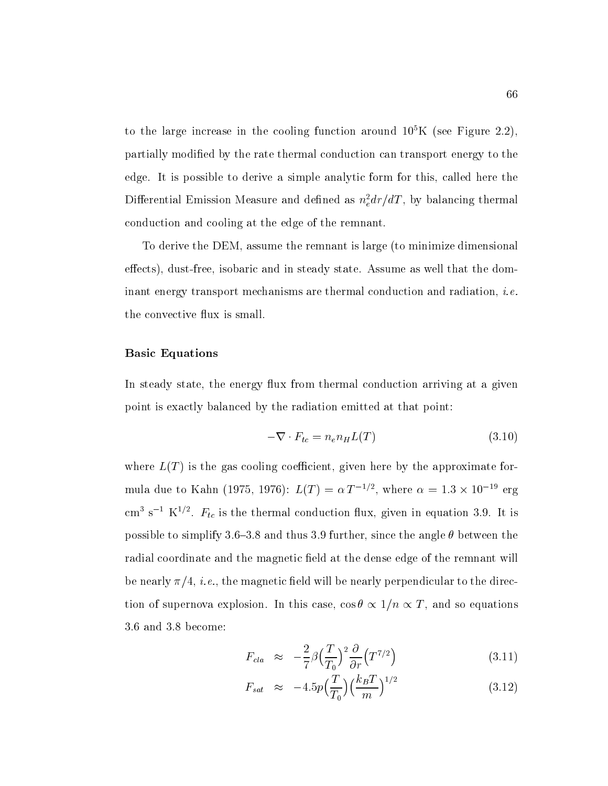to the large increase in the cooling function around Tu K (see Figure 2.2),  $\,$ partially modified by the rate thermal conduction can transport energy to the edge. It is possible to derive a simple analytic form for this, called here the Differential Emission Measure and defined as  $n_e a r/a T$ , by balancing thermal conduction and cooling at the edge of the remnant

To derive the DEM, assume the remnant is large (to minimize dimensional eects dust-free isobaric and in steady state Assume as well that the dominant energy transport mechanisms are thermal conduction and radiation i-ethe convective flux is small.

### Basic Equations

In steady state, the energy flux from thermal conduction arriving at a given point is exactly balanced by the radiation emitted at that point

$$
-\nabla \cdot F_{tc} = n_e n_H L(T) \tag{3.10}
$$

where  $L(T)$  is the gas cooling coefficient, given here by the approximate formula que to Kann (1975, 1970):  $L(T) = \alpha |T|^{-\gamma}$ , where  $\alpha = 1.5 \times 10^{-15}$  erg cm  $s$  + K- $\cdot$  -  $F_{tc}$  is the thermal conduction nux, given in equation 3.9. It is possible to simplify  $5.0-5.0$  and thus  $5.5$  further, since the angle  $\sigma$  between the radial coordinate and the magnetic field at the dense edge of the remnant will be nearly - i-e- the magnetic eld will be nearly perpendicular to the direction of supernova explosion In this case cost is case cost in this case cost in this case cost in this case co

$$
F_{cla} \approx -\frac{2}{7}\beta \left(\frac{T}{T_0}\right)^2 \frac{\partial}{\partial r} \left(T^{7/2}\right) \tag{3.11}
$$

$$
F_{sat} \approx -4.5p\left(\frac{T}{T_0}\right)\left(\frac{k_B T}{m}\right)^{1/2} \tag{3.12}
$$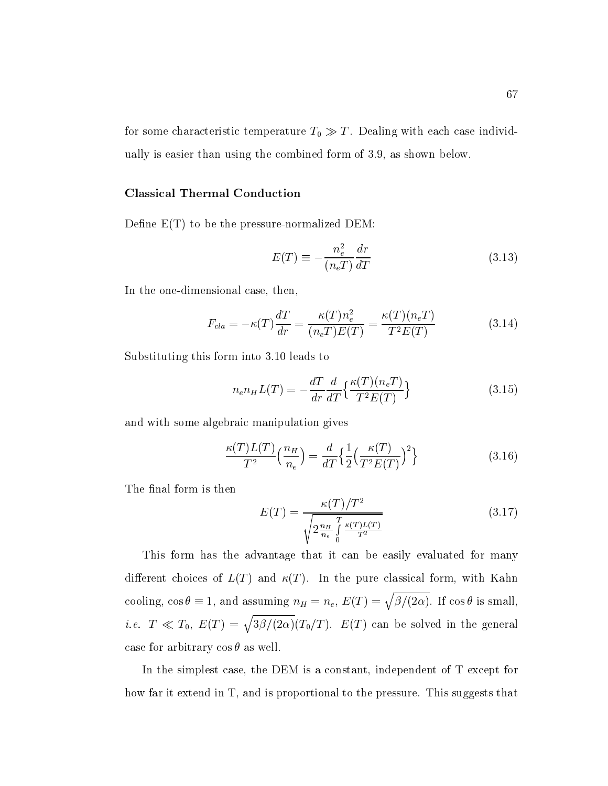for some characteristic temperature  $T_0 \gg T$ . Dealing with each case individually is easier than using the combined form of 3.9, as shown below.

### Classical Thermal Conduction

Dene ET to be the pressure-normalized DEM

$$
E(T) \equiv -\frac{n_e^2}{(n_e T)} \frac{dr}{dT}
$$
\n(3.13)

In the one-dimensional case then

$$
F_{cla} = -\kappa(T)\frac{dT}{dr} = \frac{\kappa(T)n_e^2}{(n_eT)E(T)} = \frac{\kappa(T)(n_eT)}{T^2E(T)}
$$
(3.14)

Substituting this form into 3.10 leads to

$$
n_e n_H L(T) = -\frac{dT}{dr} \frac{d}{dT} \left\{ \frac{\kappa(T)(n_e T)}{T^2 E(T)} \right\} \tag{3.15}
$$

and with some algebraic manipulation gives

$$
\frac{\kappa(T)L(T)}{T^2} \left(\frac{n_H}{n_e}\right) = \frac{d}{dT} \left\{ \frac{1}{2} \left(\frac{\kappa(T)}{T^2 E(T)}\right)^2 \right\} \tag{3.16}
$$

The final form is then

$$
E(T) = \frac{\kappa(T)/T^2}{\sqrt{2\frac{n_H}{n_e} \int_0^T \frac{\kappa(T)L(T)}{T^2}}}
$$
(3.17)

This form has the advantage that it can be easily evaluated for many different choices of  $L(T)$  and  $\kappa(T)$ . In the pure classical form, with Kahn cooling,  $\cos \theta \equiv 1$ , and assuming  $n_H = n_e$ ,  $E(T) = \sqrt{\beta/(2\alpha)}$ . If  $\cos \theta$  is small, *i.e.*  $T \ll T_0$ ,  $E(T) = \sqrt{3\beta/(2\alpha)} (T_0/T)$ .  $E(T)$  can be solved in the general case for arbitrary  $\cos \theta$  as well.

In the simplest case, the DEM is a constant, independent of  $T$  except for how far it extend in  $T$ , and is proportional to the pressure. This suggests that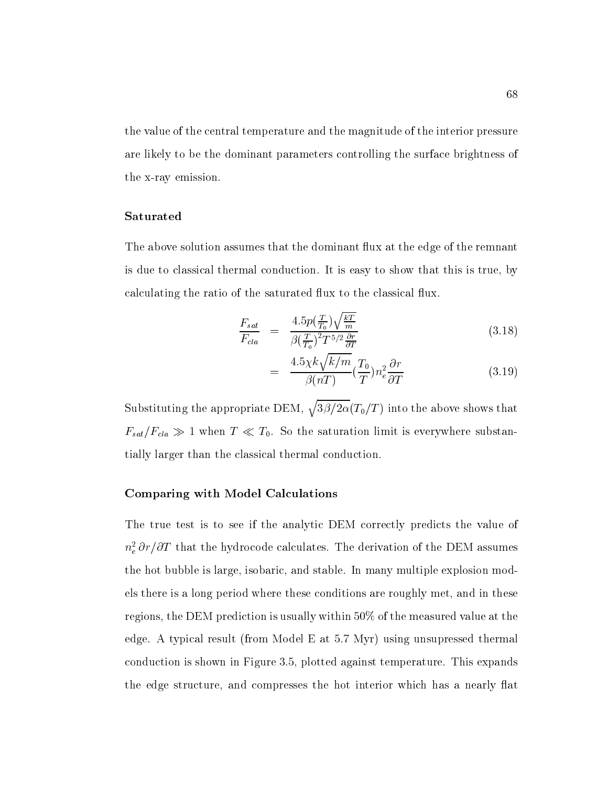the value of the central temperature and the magnitude of the interior pressure are likely to be the dominant parameters controlling the surface brightness of the x-ray emission

#### Saturated

The above solution assumes that the dominant flux at the edge of the remnant is due to classical thermal conduction. It is easy to show that this is true, by calculating the ratio of the saturated flux to the classical flux.

$$
\frac{F_{sat}}{F_{cla}} = \frac{4.5p(\frac{T}{T_0})\sqrt{\frac{kT}{m}}}{\beta(\frac{T}{T_0})^2 T^{5/2} \frac{\partial r}{\partial T}}
$$
\n(3.18)

$$
= \frac{4.5\chi k\sqrt{k/m}}{\beta(nT)} \left(\frac{T_0}{T}\right) n_e^2 \frac{\partial r}{\partial T}
$$
\n(3.19)

Substituting the appropriate DEM,  $\sqrt{3\beta/2\alpha}(T_0/T)$  into the above shows that  $F_{s}$  and  $F_{s}$  for the saturation limit is even as a saturation limit is even as a substance substance substance substance is even as a substance of  $\mu$ tially larger than the classical thermal conduction

### Comparing with Model Calculations

The true test is to see if the analytic DEM correctly predicts the value of  $n_{e} \sigma r/\sigma T$  that the hydrocode calculates. The derivation of the DEM assumes the hot bubble is large isobaric and stable In many multiple explosion models there is a long period where these conditions are roughly met, and in these regions, the DEM prediction is usually within  $50\%$  of the measured value at the edge. A typical result (from Model E at  $5.7 \text{ Myr}$ ) using unsupressed thermal conduction is shown in Figure 3.5, plotted against temperature. This expands the edge structure, and compresses the hot interior which has a nearly flat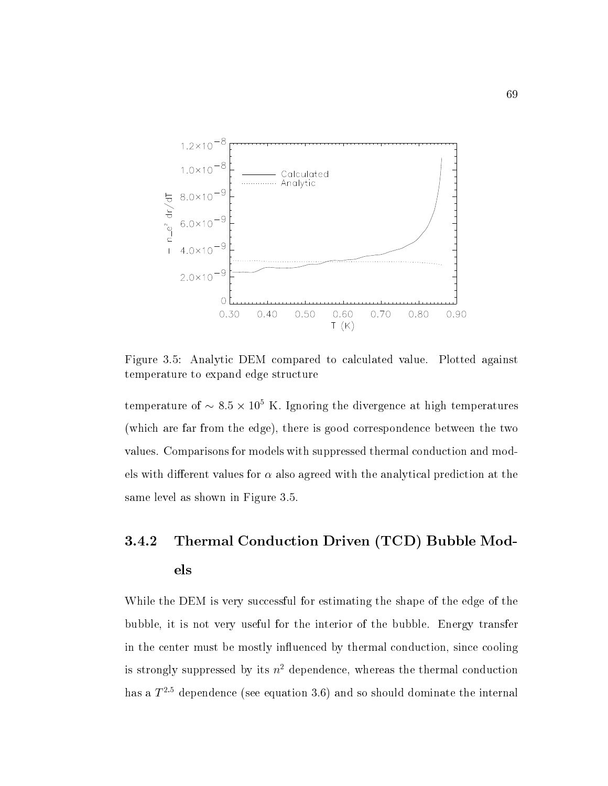

Figure 3.5: Analytic DEM compared to calculated value. Plotted against temperature to expand edge structure

temperature of  $\sim$  8.5  $\times$  10 K. Ignoring the divergence at high temperatures (which are far from the edge), there is good correspondence between the two values Comparisons for models with suppressed thermal conduction and models with different values for  $\alpha$  also agreed with the analytical prediction at the same level as shown in Figure 3.5.

# Thermal Conduction Driven (TCD) Bubble Mod-3.4.2 els

While the DEM is very successful for estimating the shape of the edge of the bubble, it is not very useful for the interior of the bubble. Energy transfer in the center must be mostly influenced by thermal conduction, since cooling is strongly suppressed by its  $n^2$  dependence, whereas the thermal conduction nas a  $T$   $\sim$  dependence (see equation 5.0) and so should dominate the internal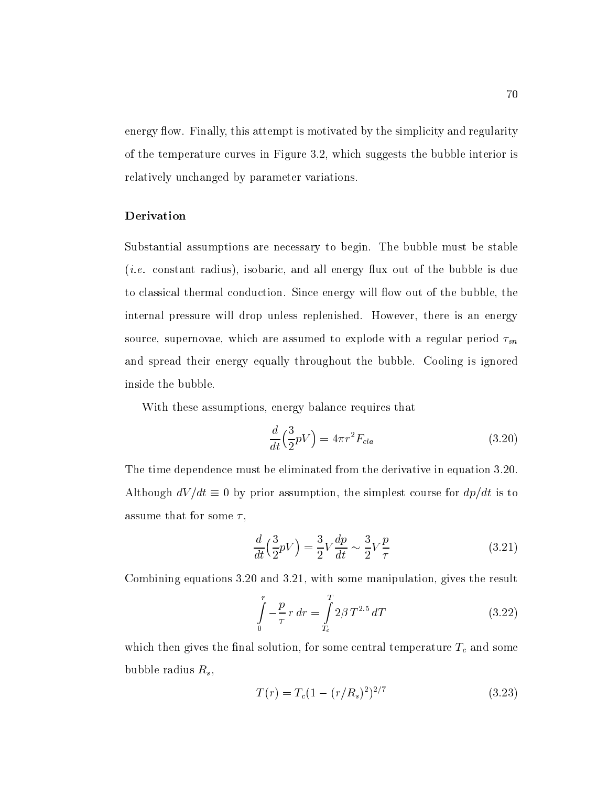energy flow. Finally, this attempt is motivated by the simplicity and regularity of the temperature curves in Figure 3.2, which suggests the bubble interior is relatively unchanged by parameter variations

### Derivation

Substantial assumptions are necessary to begin. The bubble must be stable i-e- constant radius isobaric and all energy ux out of the bubble is due to classical thermal conduction. Since energy will flow out of the bubble, the internal pressure will drop unless replenished. However, there is an energy source, supernovae, which are assumed to explode with a regular period  $\tau_{sn}$ and spread their energy equally throughout the bubble Cooling is ignored inside the bubble

With these assumptions, energy balance requires that

$$
\frac{d}{dt}\left(\frac{3}{2}pV\right) = 4\pi r^2 F_{cla} \tag{3.20}
$$

The time dependence must be eliminated from the derivative in equation 3.20. although dv - assumption that is to determine the simplest course for determine the simplest course of the simplest course of the simplest course of the simplest course of the simplest course of the simplest course of the assume that for some  $\tau$ ,

$$
\frac{d}{dt}\left(\frac{3}{2}pV\right) = \frac{3}{2}V\frac{dp}{dt} \sim \frac{3}{2}V\frac{p}{\tau}
$$
\n(3.21)

Combining equations  $3.20$  and  $3.21$ , with some manipulation, gives the result

$$
\int_{0}^{r} -\frac{p}{\tau} r dr = \int_{T_c}^{T} 2\beta T^{2.5} dT
$$
\n(3.22)

which the solution that solution for solution for some central temperature Tc and some central temperature Tc bubble radius  $R_s$ ,

$$
T(r) = T_c (1 - (r/R_s)^2)^{2/7}
$$
\n(3.23)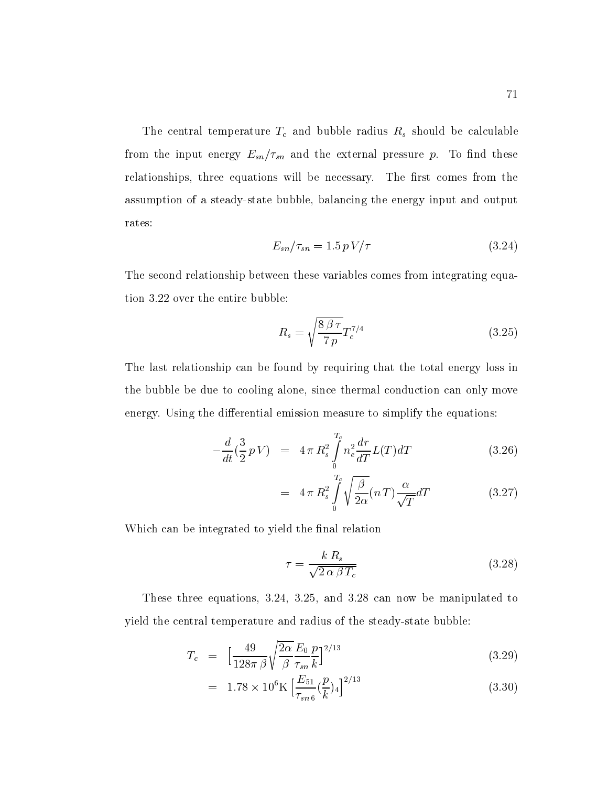The central temperature T<sub>b</sub> and bubble radius Rs showld be calculated by the calculated be calculated be calculated from the input energy Esternal pressure pressure pressure pressure pressure pressure pressure pressure pressure relationships, three equations will be necessary. The first comes from the assumption of a state bubble bubble bubble bubble bubble  $\lambda$  states  $\lambda$  and output and output and output and output and  $\lambda$ rates

$$
E_{sn}/\tau_{sn} = 1.5 \, pV/\tau \tag{3.24}
$$

The second relationship between these variables comes from integrating equation  $3.22$  over the entire bubble:

$$
R_s = \sqrt{\frac{8\,\beta\,\tau}{7\,p}} T_c^{7/4} \tag{3.25}
$$

The last relationship can be found by requiring that the total energy loss in the bubble be due to cooling alone, since thermal conduction can only move energy. Using the differential emission measure to simplify the equations:

$$
-\frac{d}{dt}(\frac{3}{2}pV) = 4 \pi R_s^2 \int_0^{T_e} n_e^2 \frac{dr}{dT} L(T) dT \qquad (3.26)
$$

$$
= 4 \pi R_s^2 \int_0^{T_c} \sqrt{\frac{\beta}{2\alpha}} (n \, T) \frac{\alpha}{\sqrt{T}} dT \tag{3.27}
$$

Which can be integrated to yield the final relation

$$
\tau = \frac{k R_s}{\sqrt{2 \alpha \beta T_c}}
$$
\n(3.28)

These three equations,  $3.24$ ,  $3.25$ , and  $3.28$  can now be manipulated to yield the central temperature and radius of the steady-state bubble

$$
T_c = \left[\frac{49}{128\pi\beta}\sqrt{\frac{2\alpha}{\beta}}\frac{E_0}{\tau_{sn}}\frac{p}{k}\right]^{2/13} \tag{3.29}
$$

$$
= 1.78 \times 10^{6} \text{K} \left[ \frac{E_{51}}{\tau_{sn6}} (\frac{p}{k})_{4} \right]^{2/13} \tag{3.30}
$$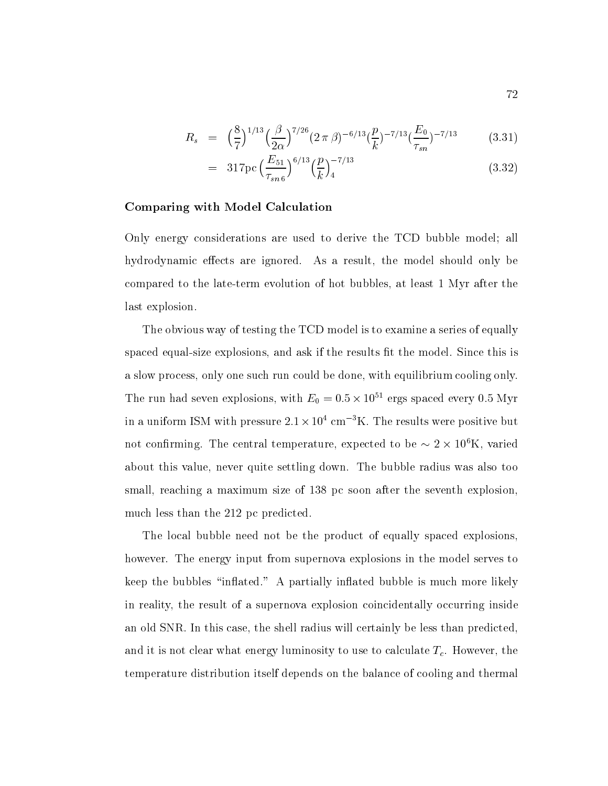$$
R_s = \left(\frac{8}{7}\right)^{1/13} \left(\frac{\beta}{2\alpha}\right)^{7/26} (2\pi\beta)^{-6/13} \left(\frac{p}{k}\right)^{-7/13} \left(\frac{E_0}{\tau_{sn}}\right)^{-7/13} \tag{3.31}
$$

$$
= 317 \text{pc} \left(\frac{E_{51}}{\tau_{sn\,6}}\right)^{6/13} \left(\frac{p}{k}\right)_4^{-7/13} \tag{3.32}
$$

### Comparing with Model Calculation

Only energy considerations are used to derive the TCD bubble model; all hydrodynamic effects are ignored. As a result, the model should only be compared to the late-term evolution of hot bubbles at least Myr after the last explosion

The obvious way of testing the TCD model is to examine a series of equally spaced equal-size explosions and ask if the results t the model Since this is a slow process, only one such run could be done, with equilibrium cooling only. The run had seven explosions, with  $E_0 = 0.5 \times 10^{12}$  ergs spaced every 0.5 Myr in a uniform ISM with pressure  $2.1 \times 10^4$  cm<sup>-3</sup>K. The results were positive but not confirming. The central temperature, expected to be  $\sim$  z  $\times$  10 K, varied about this value, never quite settling down. The bubble radius was also too small, reaching a maximum size of 138 pc soon after the seventh explosion, much less than the 212 pc predicted.

The local bubble need not be the product of equally spaced explosions however. The energy input from supernova explosions in the model serves to keep the bubbles "inflated." A partially inflated bubble is much more likely in reality the result of a supernova explosion coincidentally occurring inside an old SNR. In this case, the shell radius will certainly be less than predicted, and it is not clear what energy luminosity to use to calculate  $T_c$ . However, the temperature distribution itself depends on the balance of cooling and thermal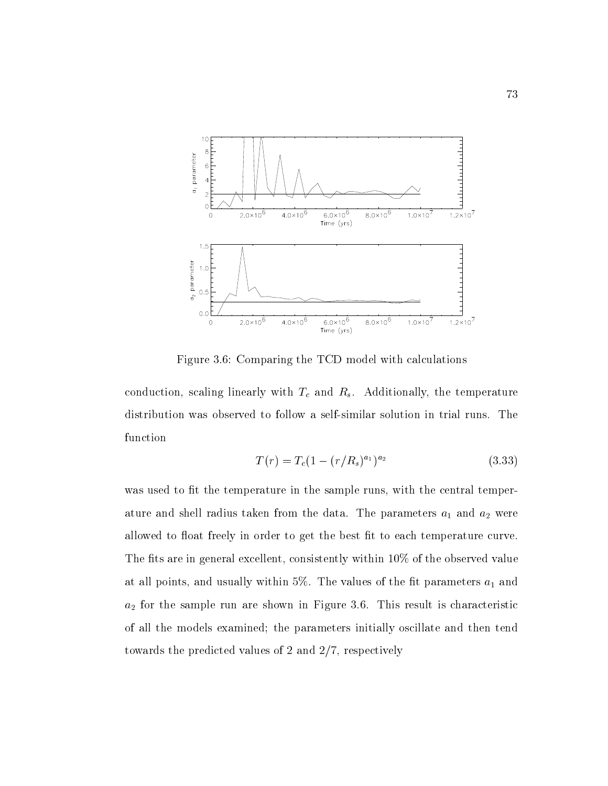

 $F$  for  $F$  and  $F$  and  $F$  and  $F$  and  $F$  and  $F$  and  $F$  and  $F$  and  $F$  and  $F$  and  $F$  and  $F$  and  $F$  and  $F$  and  $F$  and  $F$  and  $F$  and  $F$  and  $F$  and  $F$  and  $F$  and  $F$  and  $F$  and  $F$  and  $F$  and  $F$  and  $F$  a

conduction scaling linearly with the temperature  $\mathcal{U}$  and  $\mathcal{U}$  and  $\mathcal{U}$  and  $\mathcal{U}$  and  $\mathcal{U}$  and  $\mathcal{U}$  and  $\mathcal{U}$  and  $\mathcal{U}$  and  $\mathcal{U}$  and  $\mathcal{U}$  and  $\mathcal{U}$  and  $\mathcal{U}$  and  $\mathcal{U}$  and  $\math$ function

$$
T(r) = T_c (1 - (r/R_s)^{a_1})^{a_2} \tag{3.33}
$$

was used to fit the temperature in the sample runs, with the central temperature and shell radius taken from the data. The parameters  $a_1$  and  $a_2$  were allowed to float freely in order to get the best fit to each temperature curve. The fits are in general excellent, consistently within  $10\%$  of the observed value at all points, and usually within 5%. The values of the fit parameters  $a_1$  and a for the sample run are shown in Figure . This result is characteristic in Figure . This result is characteristic in  $\Omega$ of all the models examined; the parameters initially oscillate and then tend towards the predicted values of 2 and  $2/7$ , respectively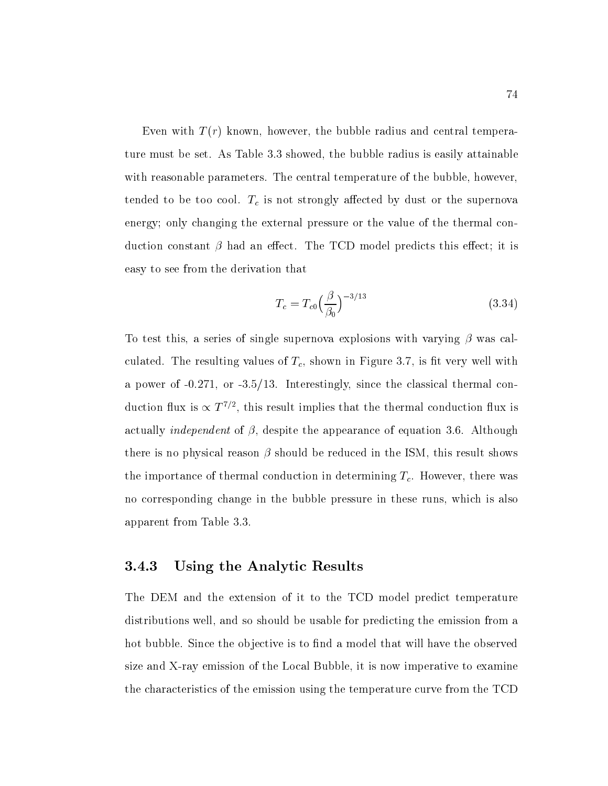Even with  $T(r)$  known, however, the bubble radius and central temperature must be set. As Table 3.3 showed, the bubble radius is easily attainable with reasonable parameters. The central temperature of the bubble, however, tended to be too cool Tc is not strongly aected by dust or the supernova energy; only changing the external pressure or the value of the thermal conduction constant  $\beta$  had an effect. The TCD model predicts this effect; it is easy to see from the derivation that

$$
T_c = T_{c0} \left(\frac{\beta}{\beta_0}\right)^{-3/13} \tag{3.34}
$$

To test this, a series of single supernova explosions with varying  $\beta$  was calculated. The resulting values of  $T_c$ , shown in Figure 3.7, is fit very well with a power of - or - Interestingly since the classical thermal conduction nux is  $\propto$  1  $^{\circ}$  , this result implies that the thermal conduction nux is actually independent of the appearance of the appearance of equation  $\mathcal{A}$ there is no physical reason  $\beta$  should be reduced in the ISM, this result shows the importance of thermal conduction in determining  $T_c$ . However, there was no corresponding change in the bubble pressure in these runs, which is also apparent from Table

## Using the Analytic Results

The DEM and the extension of it to the TCD model predict temperature distributions well, and so should be usable for predicting the emission from a hot bubble. Since the objective is to find a model that will have the observed ray emission of the Local Bubble it is not the Local Bubble it is not to examine the continuum of the complete the characteristics of the emission using the temperature curve from the TCD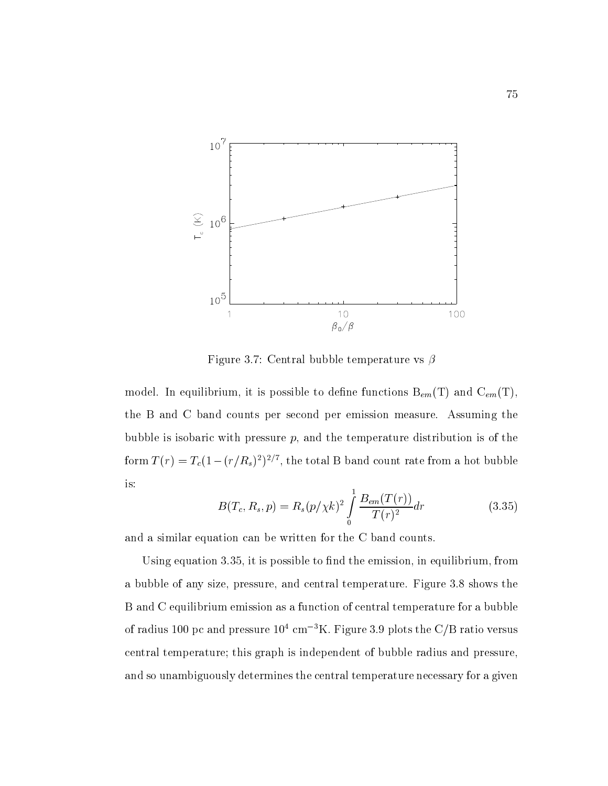

Figure 3.7: Central bubble temperature vs  $\beta$ 

model. In equilibrium, it is possible to define functions  $B_{em}(T)$  and  $C_{em}(T)$ , the B and C band counts per second per emission measure Assuming the bubble is isobaric with pressure  $p$ , and the temperature distribution is of the form  $I(T) = I_c(1 - (T/R_s)^2)^{2/3}$ , the total B band count rate from a not bubble is

$$
B(T_c, R_s, p) = R_s (p/\chi k)^2 \int_0^1 \frac{B_{em}(T(r))}{T(r)^2} dr \qquad (3.35)
$$

and a similar equation can be written for the C band counts

Using equation  $3.35$ , it is possible to find the emission, in equilibrium, from a bubble of any size, pressure, and central temperature. Figure 3.8 shows the B and C equilibrium emission as a function of central temperature for a bubble of radius 100 pc and pressure  $10^4 \text{ cm}^{-3}$ K. Figure 3.9 plots the C/B ratio versus central temperature; this graph is independent of bubble radius and pressure. and so unambiguously determines the central temperature necessary for a given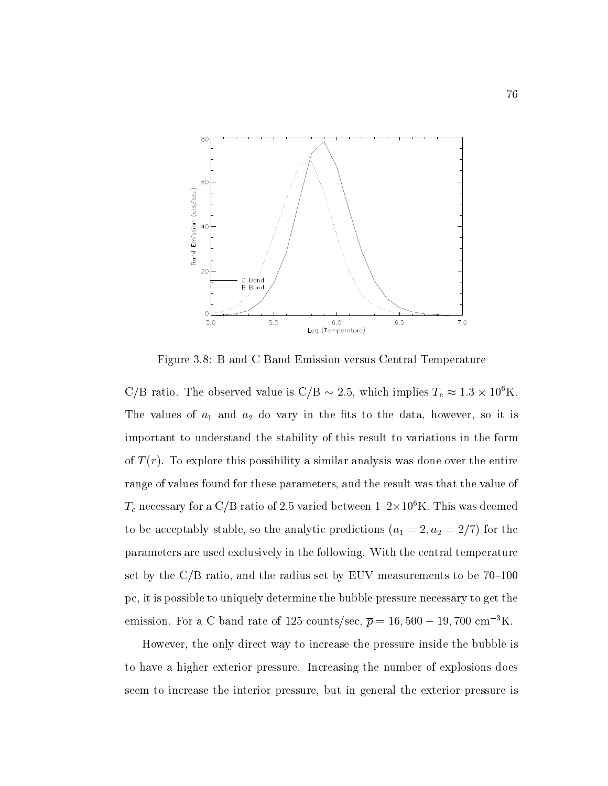

Figure 3.8: B and C Band Emission versus Central Temperature

 $\bigcirc$  is ratio. The observed value is  $\bigcirc$  is  $\sim$  2.5, which implies  $T_c \approx 1.5 \times 10^8$  K. The values of  $a_1$  and  $a_2$  do vary in the fits to the data, however, so it is important to understand the stability of this result to variations in the form of  $T(r)$ . To explore this possibility a similar analysis was done over the entire range of values found for these parameters and the result was that the value of  $T_c$  necessary for a C/D ratio of 2.5 varied between T-2  $\times$  10 °N. This was deemed to be a stable stabilized by the analytic predictions and  $\mathbf{A}$  the analytic predictions are the analytic predictions and  $\mathbf{A}$ parameters are used exclusively in the following. With the central temperature set by the  $C/B$  ratio, and the radius set by EUV measurements to be  $70-100$ pc, it is possible to uniquely determine the bubble pressure necessary to get the emission. For a  $\cup$  band rate of 125 counts/sec,  $p=$  10, 500  $-$  19, 700 cm  $^+$  N.

However, the only direct way to increase the pressure inside the bubble is to have a higher exterior pressure Increasing the number of explosions does seem to increase the interior pressure, but in general the exterior pressure is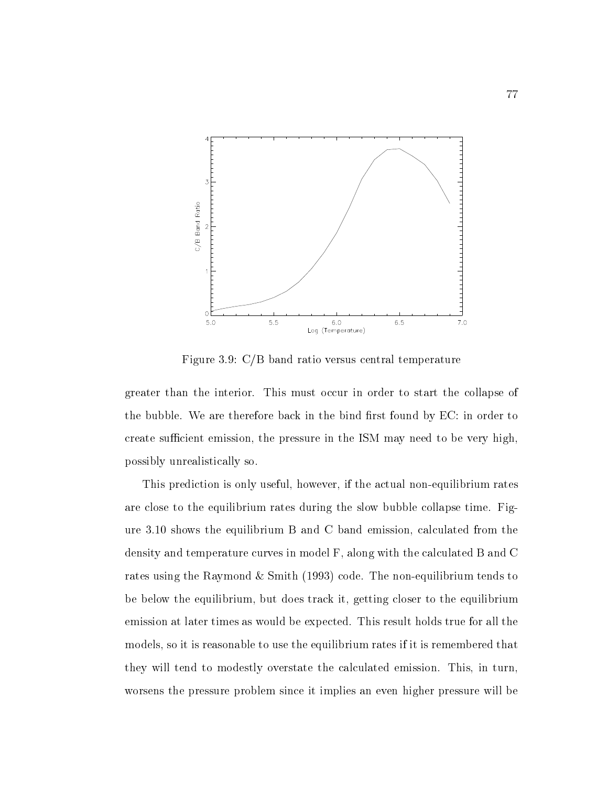

Figure 3.9:  $C/B$  band ratio versus central temperature

greater than the interior. This must occur in order to start the collapse of the bubble. We are therefore back in the bind first found by  $EC$ : in order to create sufficient emission, the pressure in the ISM may need to be very high, possibly unrealistically so

This prediction is only useful however if the actual non-equilibrium rates are close to the equilibrium rates during the slow bubble collapse time. Figure  $3.10$  shows the equilibrium B and C band emission, calculated from the density and temperature curves in model  $F$ , along with the calculated B and C rates using the Raymond is similar (Section ) from Section to American tends to the nonbe below the equilibrium, but does track it, getting closer to the equilibrium emission at later times as would be expected. This result holds true for all the models, so it is reasonable to use the equilibrium rates if it is remembered that they will tend to modestly overstate the calculated emission. This, in turn, worsens the pressure problem since it implies an even higher pressure will be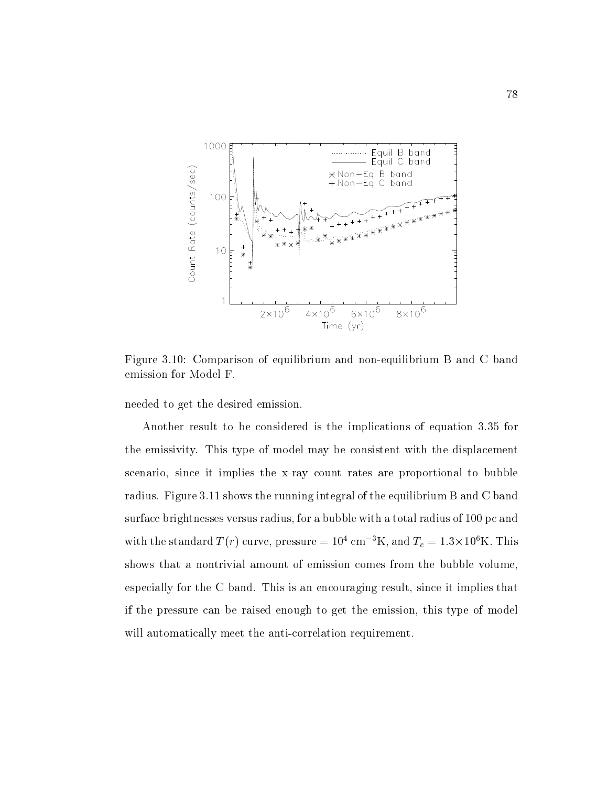

Figure Comparison of equilibrium and non-equilibrium B and C band emission for Model F

needed to get the desired emission

Another result to be considered is the implications of equation 3.35 for the emissivity This type of model may be consistent with the displacement scenario since it implies the x-ray count rates are proportional to bubble radius. Figure 3.11 shows the running integral of the equilibrium B and C band surface brightnesses versus radius, for a bubble with a total radius of 100 pc and with the standard T (T) curve, pressure  $=10^{\circ}$  cm  $\pm$  K, and  $T_c = 1.5 \times 10^{\circ}$  K. This shows that a nontrivial amount of emission comes from the bubble volume especially for the C band. This is an encouraging result, since it implies that if the pressure can be raised enough to get the emission this type of model will allow the anti-correlation requirements in the anti-correlation requirement of the anti-correlation of the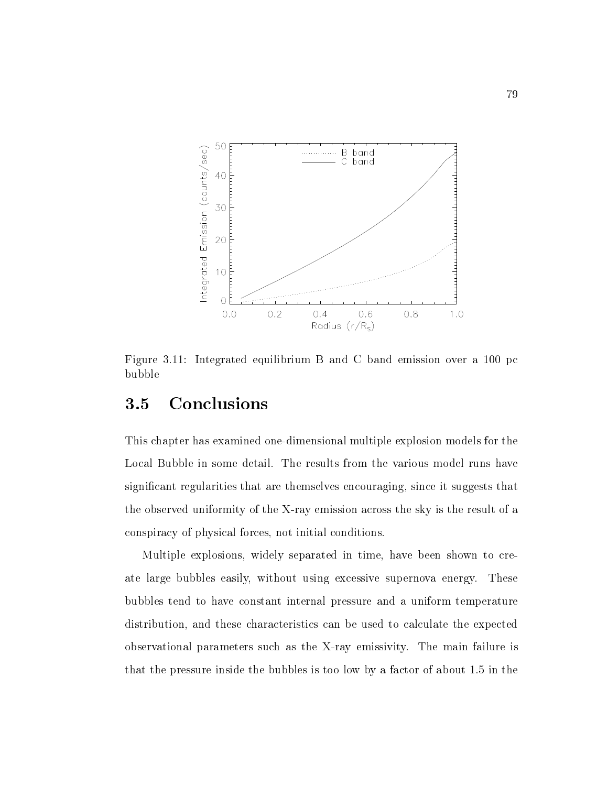

Figure  $3.11$ : Integrated equilibrium B and C band emission over a  $100$  pc bubble

#### Conclusions 3.5

This chapter has examined one-dimensional multiple explosion models for the Local Bubble in some detail. The results from the various model runs have significant regularities that are themselves encouraging, since it suggests that the observed uniformity of the X-ray emission across the sky is the result of a conspiracy of physical forces, not initial conditions.

Multiple explosions, widely separated in time, have been shown to create large bubbles easily, without using excessive supernova energy. These bubbles tend to have constant internal pressure and a uniform temperature distribution, and these characteristics can be used to calculate the expected observational parameters such as the X-ray emissivity The main failure is that the pressure inside the bubbles is too low by a factor of about  $1.5$  in the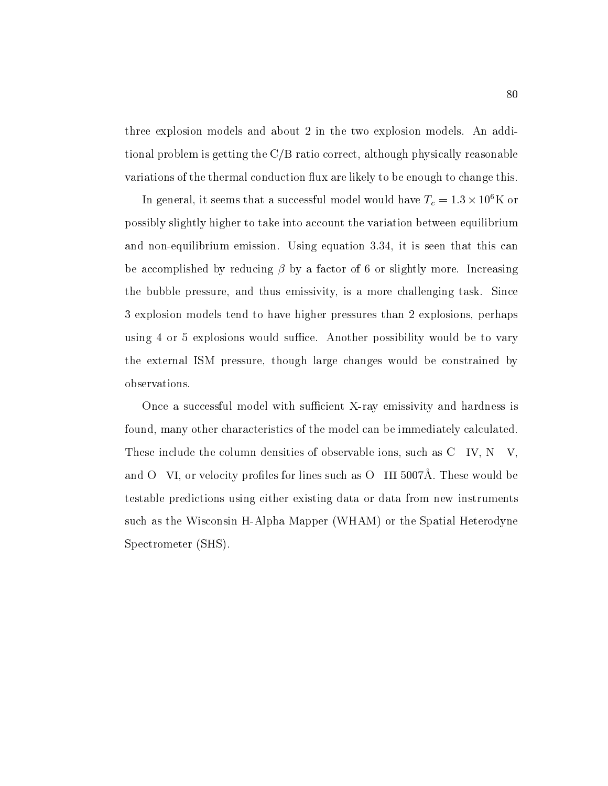three explosion models and about 2 in the two explosion models. An additional problem is getting the  $C/B$  ratio correct, although physically reasonable variations of the thermal conduction flux are likely to be enough to change this.

In general, it seems that a successful model would have  $T_c = 1.5 \times 10^7 \rm K$  or possibly slightly higher to take into account the variation between equilibrium and discussion extension emission is the company equation in the third that the this can be called the canonic be accomplished by reducing by a factor of or slightly more Increasing the bubble pressure, and thus emissivity, is a more challenging task. Since 3 explosion models tend to have higher pressures than 2 explosions, perhaps using 4 or 5 explosions would suffice. Another possibility would be to vary the external ISM pressure, though large changes would be constrained by observations

Once a successful model with sucient X-ray emissivity and hardness is found, many other characteristics of the model can be immediately calculated. These include the column densities of observable ions, such as  $C$  IV,  $N$  V, and O VI, or velocity profiles for lines such as  $O$  III 5007Å. These would be testable predictions using either existing data or data from new instruments such as the Wisconsin H-Alpha Mapper WHAM or the Spatial Heterodyne Spectrometer *(SHS)*.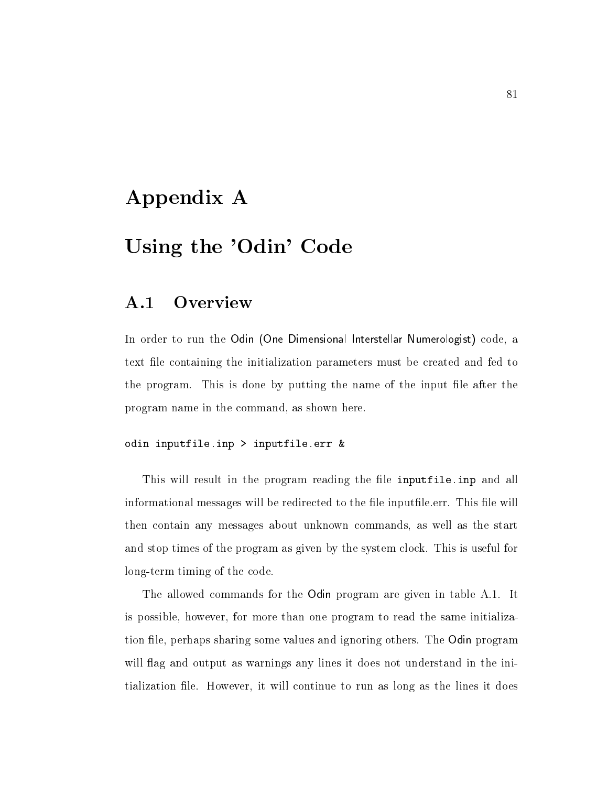# Appendix A

# Using the 'Odin' Code

#### **Overview**  $\mathbf{A.1}$

In order to run the Odin -One Dimensional Interstellar Numerologist code a text le containing the initialization parameters must be created and fed to the program. This is done by putting the name of the input file after the program name in the command, as shown here.

#### odin input file-input file-input file-input file-input file-input file-input file-input file-input file-input f

This will result in the program reading the le inputfile-inp and all informational messages will be redirected to the file inputfile.err. This file will then contain any messages about unknown commands as well as the start and stop times of the program as given by the system clock This is useful for long-term timing of the code

The allowed commands for the Odin program are given in table A.1. It is possible, however, for more than one program to read the same initialization file, perhaps sharing some values and ignoring others. The Odin program will flag and output as warnings any lines it does not understand in the initialization file. However, it will continue to run as long as the lines it does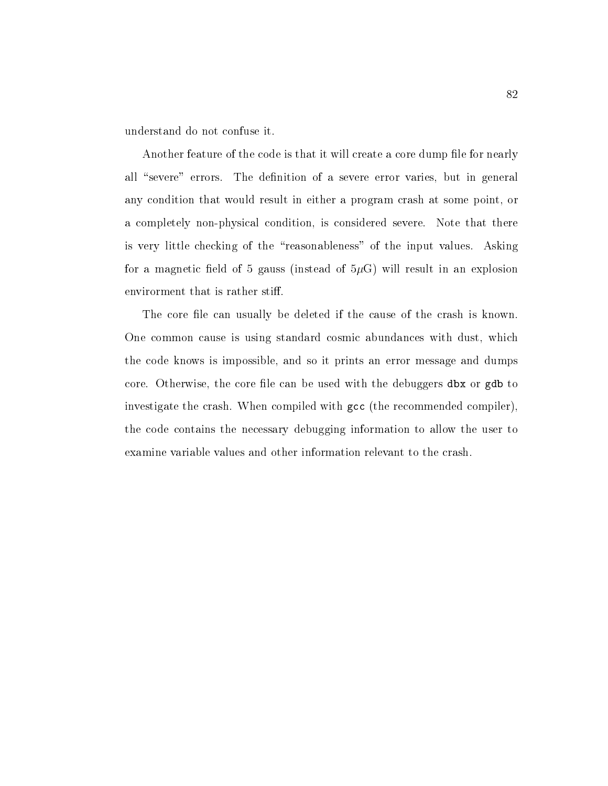understand do not confuse it

Another feature of the code is that it will create a core dump file for nearly all "severe" errors. The definition of a severe error varies, but in general any condition that would result in either a program crash at some point, or a completely non-physical condition is considered severe Note that there is very little checking of the "reasonableness" of the input values. Asking for a magnetic field of 5 gauss (instead of  $5\mu$ G) will result in an explosion envirorment that is rather stiff.

The core file can usually be deleted if the cause of the crash is known. One common cause is using standard cosmic abundances with dust, which the code knows is impossible and so it prints an error message and dumps core. Otherwise, the core file can be used with the debuggers dbx or gdb to investigate the crash. When compiled with gcc (the recommended compiler), the code contains the necessary debugging information to allow the user to examine variable values and other information relevant to the crash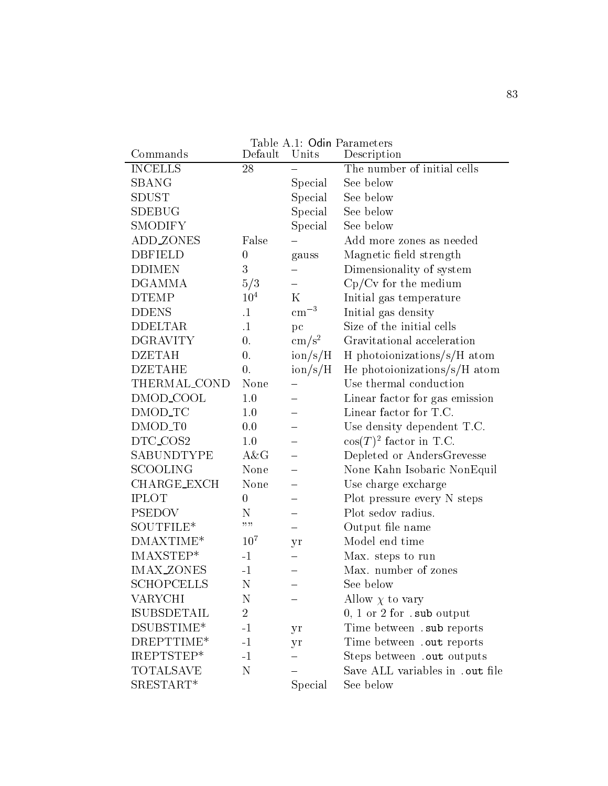| Commands            | Default          | Units                           | Description                              |
|---------------------|------------------|---------------------------------|------------------------------------------|
| <b>INCELLS</b>      | 28               |                                 | The number of initial cells              |
| SBANG               |                  | Special                         | See below                                |
| <b>SDUST</b>        |                  | Special                         | See below                                |
| SDEBUG              |                  | Special                         | See below                                |
| SMODIFY             |                  | Special                         | See below                                |
| ADD_ZONES           | False            |                                 | Add more zones as needed                 |
| <b>DBFIELD</b>      | $\boldsymbol{0}$ | gauss                           | Magnetic field strength                  |
| <b>DDIMEN</b>       | $\overline{3}$   |                                 | Dimensionality of system                 |
| DGAMMA              | 5/3              |                                 | $Cp/Cv$ for the medium                   |
| <b>DTEMP</b>        | 10 <sup>4</sup>  | $\mathbf K$                     | Initial gas temperature                  |
| <b>DDENS</b>        | $\cdot$ 1        | $\rm cm^{-3}$                   | Initial gas density                      |
| <b>DDELTAR</b>      | $\cdot$ 1        | pc                              | Size of the initial cells                |
| <b>DGRAVITY</b>     | $\overline{0}$ . | $\rm cm/s^2$                    | Gravitational acceleration               |
| <b>DZETAH</b>       | $\overline{0}$ . | $\frac{\text{ion}}{\text{s/H}}$ | H photoionizations/s/H atom              |
| <b>DZETAHE</b>      | $\overline{0}$ . | $\frac{\text{ion}}{\text{s/H}}$ | He photoionizations/s/H atom             |
| THERMAL_COND        | None             |                                 | Use thermal conduction                   |
| DMOD_COOL           | 1.0              |                                 | Linear factor for gas emission           |
| DMOD_TC             | 1.0              |                                 | Linear factor for T.C.                   |
| DMOD_T <sub>0</sub> | 0.0              |                                 | Use density dependent T.C.               |
| DTC_COS2            | 1.0              |                                 | $cos(T)^2$ factor in T.C.                |
| SABUNDTYPE          | A&G              |                                 | Depleted or AndersGrevesse               |
| SCOOLING            | None             |                                 | None Kahn Isobaric NonEquil              |
| <b>CHARGE_EXCH</b>  | None             |                                 | Use charge excharge                      |
| <b>IPLOT</b>        | $\boldsymbol{0}$ |                                 | Plot pressure every N steps              |
| PSEDOV              | Ν                |                                 | Plot sedov radius.                       |
| SOUTFILE*           | ,,,,             |                                 | Output file name                         |
| $DMAXTIME*$         | 10 <sup>7</sup>  | yr                              | Model end time                           |
| IMAXSTEP*           | $-1$             |                                 | Max. steps to run                        |
| <b>IMAX_ZONES</b>   | $-1$             |                                 | Max. number of zones                     |
| SCHOPCELLS          | Ν                |                                 | See below                                |
| VARYCHI             | Ν                |                                 | Allow $\chi$ to vary                     |
| ISUBSDETAIL         | $\overline{2}$   |                                 | $0, 1$ or $2$ for $\mathsf{.sub}$ output |
| DSUBSTIME*          | $-1$             | yr                              | Time between . sub reports               |
| DREPTTIME*          | $-1$             | yr                              | Time between . out reports               |
| IREPTSTEP*          | $-1$             |                                 | Steps between . out outputs              |
| TOTALSAVE           | N                |                                 | Save ALL variables in .out file          |
| SRESTART*           |                  | Special                         | See below                                |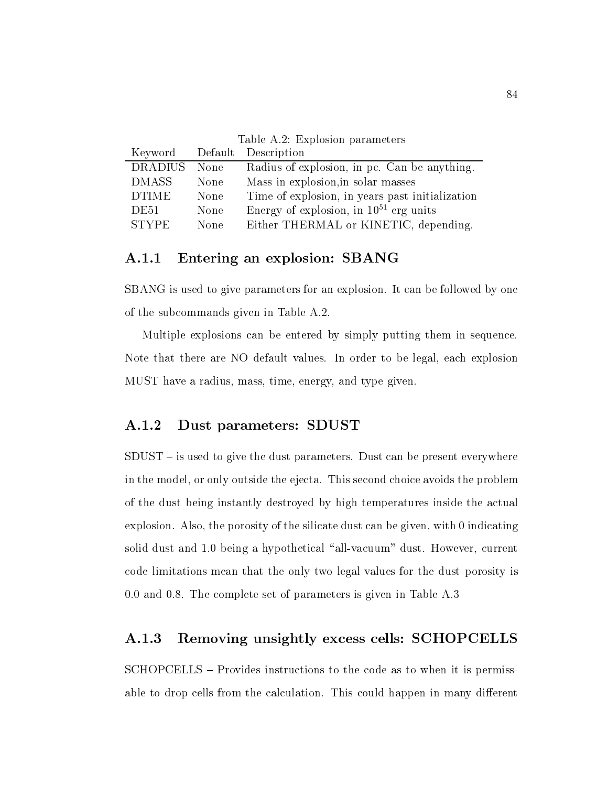Table A.2: Explosion parameters

|                |      | Keyword Default Description                     |
|----------------|------|-------------------------------------------------|
| <b>DRADIUS</b> | None | Radius of explosion, in pc. Can be anything.    |
| DMASS          | None | Mass in explosion, in solar masses              |
| <b>DTIME</b>   | None | Time of explosion, in years past initialization |
| DE51           | None | Energy of explosion, in $10^{51}$ erg units     |
| <b>STYPE</b>   | None | Either THERMAL or KINETIC, depending.           |

## Entering an explosion SBANG

SBANG is used to give parameters for an explosion. It can be followed by one of the subcommands given in Table A

Multiple explosions can be entered by simply putting them in sequence Note that there are NO default values. In order to be legal, each explosion MUST have a radius, mass, time, energy, and type given.

# Dust parameters SDUST

 $SDUST - is used to give the dust parameters.$  Dust can be present everywhere in the model, or only outside the ejecta. This second choice avoids the problem of the dust being instantly destroyed by high temperatures inside the actual explosion. Also, the porosity of the silicate dust can be given, with  $0$  indicating solid dust and being a hypothetical "all-vacuum% dust However current code limitations mean that the only two legal values for the dust porosity is  $0.0$  and  $0.8$ . The complete set of parameters is given in Table A.3

## Removing unsightly excess cells SCHOPCELLS

SCHOPCELLS – Provides instructions to the code as to when it is permissable to drop cells from the calculation. This could happen in many different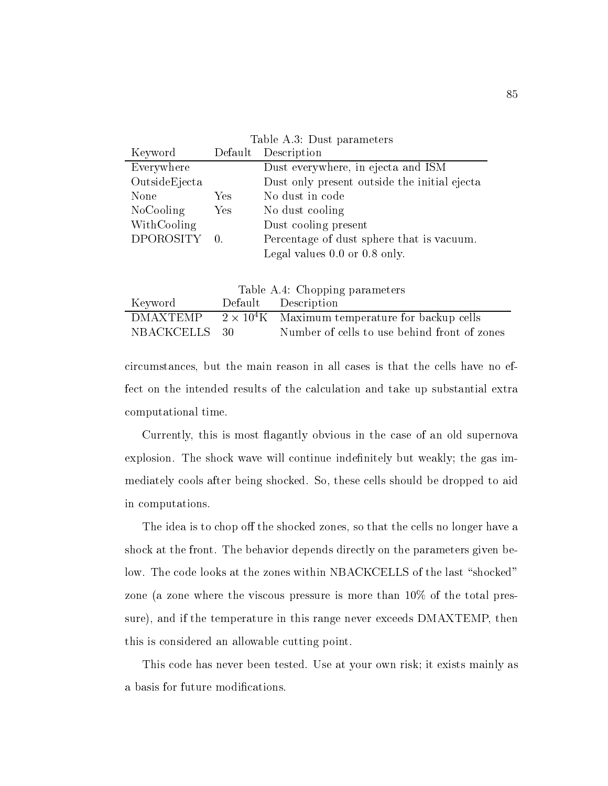| Table A.3: Dust parameters |           |                                              |  |  |
|----------------------------|-----------|----------------------------------------------|--|--|
| Keyword                    |           | Default Description                          |  |  |
| Everywhere                 |           | Dust everywhere, in ejecta and ISM           |  |  |
| OutsideEjecta              |           | Dust only present outside the initial ejecta |  |  |
| None                       | Yes.      | No dust in code                              |  |  |
| <b>NoCooling</b>           | Yes       | No dust cooling                              |  |  |
| WithCooling                |           | Dust cooling present                         |  |  |
| DPOROSITY                  | $\Box$ 0. | Percentage of dust sphere that is vacuum.    |  |  |
|                            |           | Legal values $0.0$ or $0.8$ only.            |  |  |

| Table A.4: Chopping parameters |  |                                                        |  |  |
|--------------------------------|--|--------------------------------------------------------|--|--|
| Keyword                        |  | Default Description                                    |  |  |
| <b>DMAXTEMP</b>                |  | $2 \times 10^4$ K Maximum temperature for backup cells |  |  |
| NBACKCELLS 30                  |  | Number of cells to use behind front of zones           |  |  |

circumstances but the main reason in all cases is that the cells have no effect on the intended results of the calculation and take up substantial extra computational time

Currently, this is most flagantly obvious in the case of an old supernova explosion. The shock wave will continue indefinitely but weakly; the gas immediately cools after being shocked. So, these cells should be dropped to aid in computations

The idea is to chop off the shocked zones, so that the cells no longer have a shock at the front. The behavior depends directly on the parameters given below. The code looks at the zones within NBACKCELLS of the last "shocked" zone (a zone where the viscous pressure is more than  $10\%$  of the total pressure), and if the temperature in this range never exceeds DMAXTEMP, then this is considered an allowable cutting point

This code has never been tested. Use at your own risk; it exists mainly as a basis for future modifications.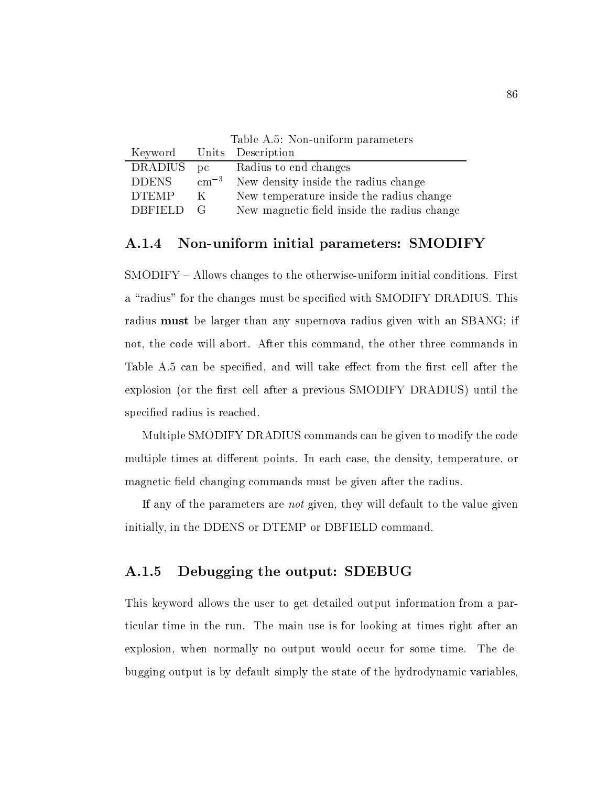|              |               | Keyword Units Description                   |
|--------------|---------------|---------------------------------------------|
| DRADIUS pc   |               | Radius to end changes                       |
| <b>DDENS</b> | $\rm cm^{-3}$ | New density inside the radius change        |
| <b>DTEMP</b> | K             | New temperature inside the radius change    |
| DBFIELD G    |               | New magnetic field inside the radius change |
|              |               |                                             |

## Non-uniform initial parameters: SMODIFY

SMODIFY ' Allows changes to the otherwise-uniform initial conditions First a "radius" for the changes must be specified with SMODIFY DRADIUS. This radius must be larger than any supernova radius given with an SBANG; if not, the code will abort. After this command, the other three commands in Table A.5 can be specified, and will take effect from the first cell after the explosion (or the first cell after a previous SMODIFY DRADIUS) until the specified radius is reached.

Multiple SMODIFY DRADIUS commands can be given to modify the code multiple times at different points. In each case, the density, temperature, or magnetic field changing commands must be given after the radius.

If any of the parameters are *not* given, they will default to the value given initially, in the DDENS or DTEMP or DBFIELD command.

# Debugging the output SDEBUG

This keyword allows the user to get detailed output information from a particular time in the run. The main use is for looking at times right after an explosion, when normally no output would occur for some time. The debugging output is by default simply the state of the hydrodynamic variables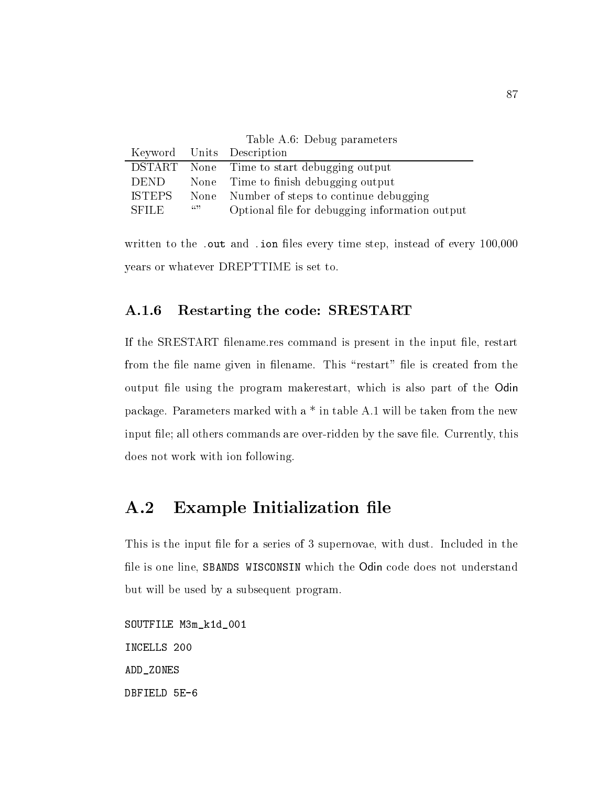| Table A.6: Debug parameters |     |                                                |  |  |  |
|-----------------------------|-----|------------------------------------------------|--|--|--|
|                             |     | Keyword Units Description                      |  |  |  |
|                             |     | DSTART None Time to start debugging output     |  |  |  |
| DEND                        |     | None Time to finish debugging output           |  |  |  |
| ISTEPS                      |     | None Number of steps to continue debugging     |  |  |  |
| <b>SFILE</b>                | (0) | Optional file for debugging information output |  |  |  |

written to the - ion less every time step instead of every time step instead of every time step instead of eve years or whatever DREPTTIME is set to

# Restarting the code SRESTART

If the SRESTART filename.res command is present in the input file, restart from the file name given in filename. This "restart" file is created from the output file using the program makerestart, which is also part of the Odin package. Parameters marked with a  $*$  in table A.1 will be taken from the new input le all others commands are over-ridden by the save le Currently this does not work with ion following

#### Example Initialization file  $A.2$

This is the input file for a series of 3 supernovae, with dust. Included in the file is one line, SBANDS WISCONSIN which the Odin code does not understand but will be used by a subsequent program

SOUTFILE M3m\_k1d\_001 INCELLS 200 ADD\_ZONES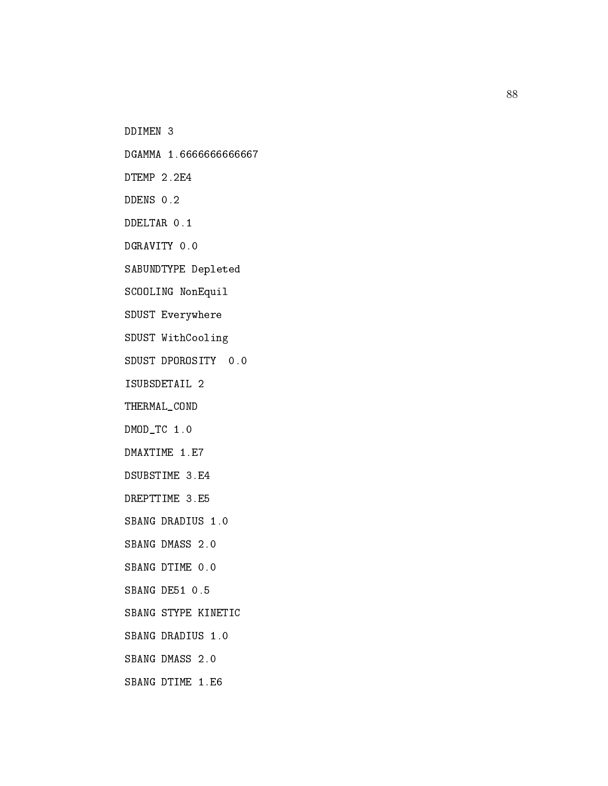DDIMEN

DGAMMA 1.6666666666667

SABUNDTYPE Depleted

SCOOLING NonEquil

SDUST Everywhere

SDUST WithCooling

ISUBSDETAIL 

THERMAL\_COND

DMODTC -

DREPTTIME 3.E5

SBANG DRADIUS 1.0

SBANG STYPE KINETIC

SBANG DRADIUS 1.0

 $SBANG$  DMASS  $2.0$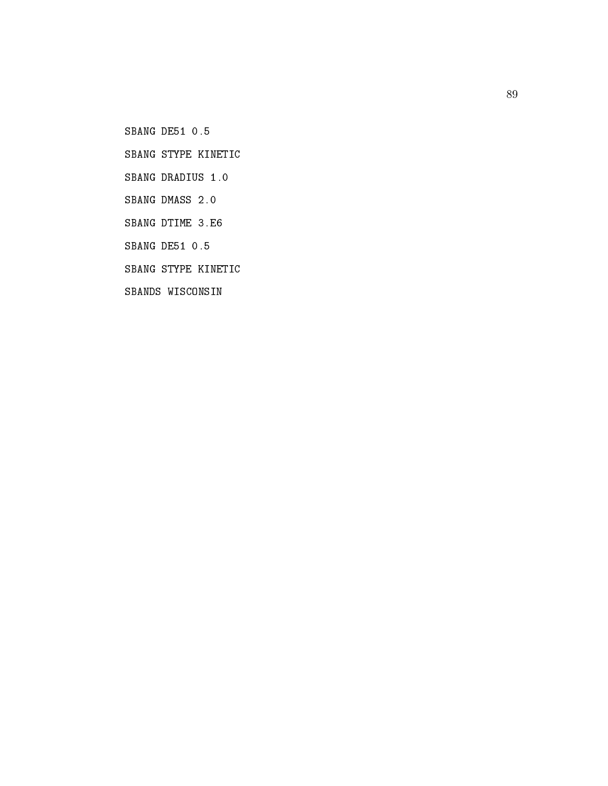SBANG STYPE KINETIC

SBANG STYPE KINETIC

SBANDS WISCONSIN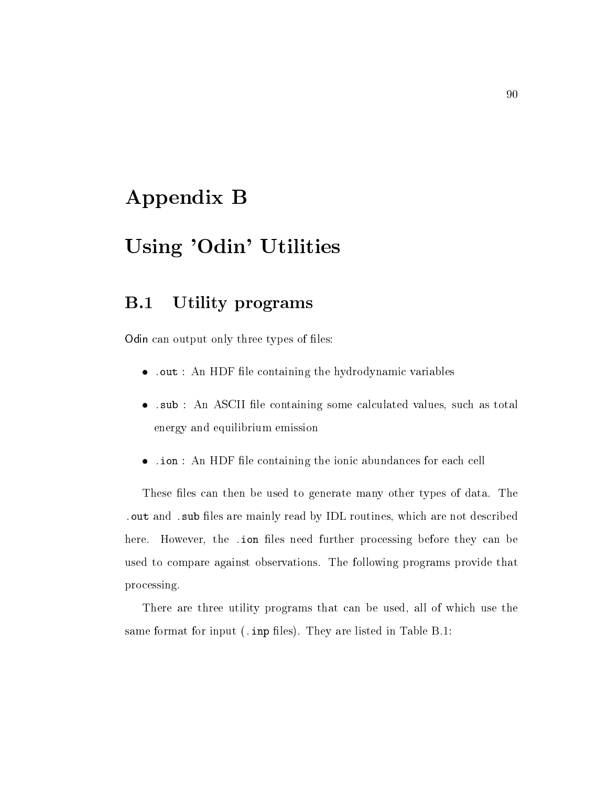# Appendix B

# Using 'Odin' Utilities

#### B-Utility programs

Odin can output on the property of less of less of less of less of less of less of less of less of less of les

- out an HDF le containing the hydrodynamic variables in the hydrodynamic variables in the hydrodynamic variables
- -sub An ASCII le containing some calculated values such as total energy and equilibrium emission
- -ion An HDF le containing the ionic abundances for each cell

These files can then be used to generate many other types of data. The -out and -sub les are mainly read by IDL routines which are not described here However the -ion les need further processing before they can be used to compare against observations. The following programs provide that processing

There are three utility programs that can be used, all of which use the same format for input -inp les They are listed in Table B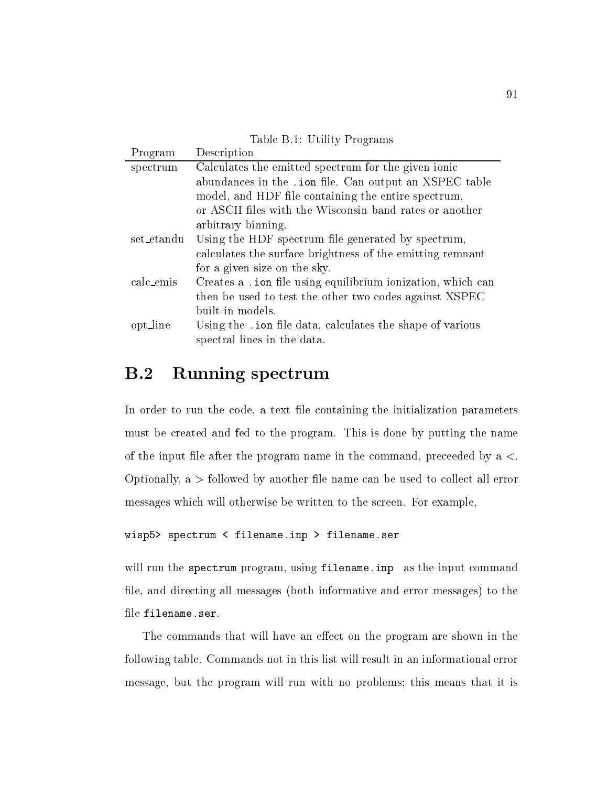Table B.1: Utility Programs

| Program    | Description                                                 |
|------------|-------------------------------------------------------------|
| spectrum   | Calculates the emitted spectrum for the given ionic         |
|            | abundances in the . ion file. Can output an XSPEC table     |
|            | model, and HDF file containing the entire spectrum,         |
|            | or ASCII files with the Wisconsin band rates or another     |
|            | arbitrary binning.                                          |
| set_etandu | Using the HDF spectrum file generated by spectrum,          |
|            | calculates the surface brightness of the emitting remnant   |
|            | for a given size on the sky.                                |
| calc_emis  | Creates a .ion file using equilibrium ionization, which can |
|            | then be used to test the other two codes against XSPEC      |
|            | built-in models.                                            |
| opt_line   | Using the . ion file data, calculates the shape of various  |
|            | spectral lines in the data.                                 |
|            |                                                             |

#### B-Running spectrum

In order to run the code, a text file containing the initialization parameters must be created and fed to the program This is done by putting the name of the input file after the program name in the command, preceeded by a  $\lt$ . Optionally,  $a >$  followed by another file name can be used to collect all error messages which will otherwise be written to the screen. For example,

```
wisp spectrum in the spectrum input of the spectrum in the spectrum in the spectrum in the spectrum in the spectrum in the spectrum in the spectrum in the spectrum in the spectrum in the spectrum in the spectrum in the spe
```
will run the spectrum program using filename-inp as the input command file, and directing all messages (both informative and error messages) to the

The commands that will have an effect on the program are shown in the following table Commands not in this list will result in an informational error message, but the program will run with no problems; this means that it is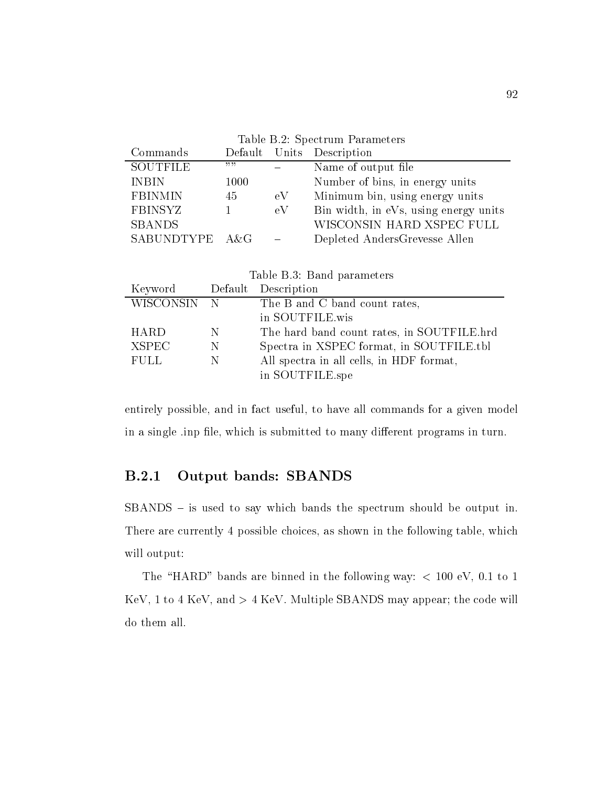| Table B.2: Spectrum Parameters |      |    |                                       |  |
|--------------------------------|------|----|---------------------------------------|--|
| Commands                       |      |    | Default Units Description             |  |
| <b>SOUTFILE</b>                | ,,,, |    | Name of output file                   |  |
| <b>INBIN</b>                   | 1000 |    | Number of bins, in energy units       |  |
| FBINMIN                        | 45   | eV | Minimum bin, using energy units       |  |
| FBINSYZ                        |      | eV | Bin width, in eVs, using energy units |  |
| <b>SBANDS</b>                  |      |    | WISCONSIN HARD XSPEC FULL             |  |
| SABUNDTYPE A&G                 |      |    | Depleted AndersGrevesse Allen         |  |
|                                |      |    |                                       |  |
|                                |      |    |                                       |  |

| Table B.3: Band parameters  |   |                                            |  |  |
|-----------------------------|---|--------------------------------------------|--|--|
| Keyword Default Description |   |                                            |  |  |
| WISCONSIN N                 |   | The B and C band count rates,              |  |  |
|                             |   | in SOUTFILE.wis                            |  |  |
| <b>HARD</b>                 | N | The hard band count rates, in SOUTFILE.hrd |  |  |
| <b>XSPEC</b>                | N | Spectra in XSPEC format, in SOUTFILE.tbl   |  |  |
| <b>FULL</b>                 | N | All spectra in all cells, in HDF format,   |  |  |
|                             |   | in SOUTFILE.spe                            |  |  |

entirely possible, and in fact useful, to have all commands for a given model in a single inp file, which is submitted to many different programs in turn.

in South South South South South South South South South South South South South South South South South South

# Output bands SBANDS

 $SBANDS -$  is used to say which bands the spectrum should be output in. There are currently 4 possible choices, as shown in the following table, which will output:

The "HARD" bands are binned in the following way:  $< 100$  eV, 0.1 to 1 KeV, 1 to 4 KeV, and  $> 4$  KeV. Multiple SBANDS may appear; the code will do them all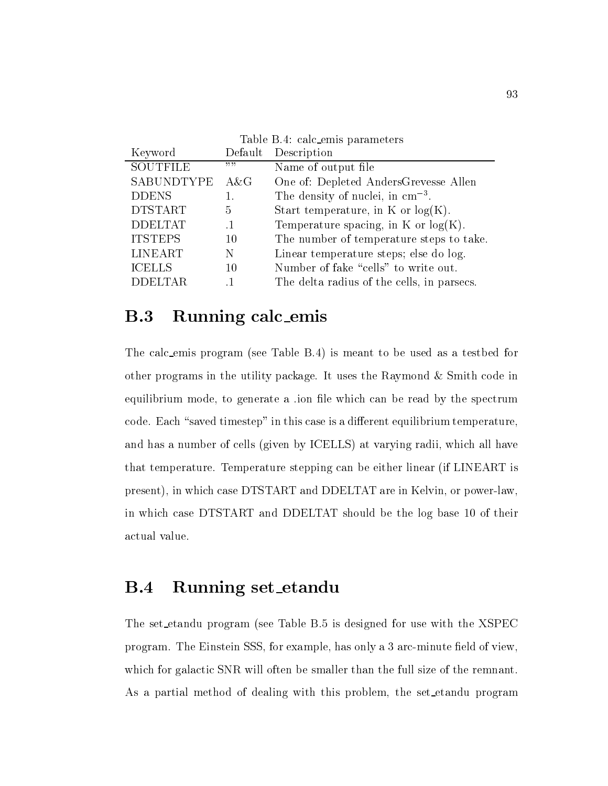| Table B.4: calc_emis parameters |              |                                            |  |  |
|---------------------------------|--------------|--------------------------------------------|--|--|
| Keyword                         | Default      | Description                                |  |  |
| SOUTFILE                        | <b>33.33</b> | Name of output file                        |  |  |
| SABUNDTYPE                      | A&G          | One of: Depleted AndersGrevesse Allen      |  |  |
| <b>DDENS</b>                    | 1.           | The density of nuclei, in $cm^{-3}$ .      |  |  |
| <b>DTSTART</b>                  | 5            | Start temperature, in K or $log(K)$ .      |  |  |
| <b>DDELTAT</b>                  |              | Temperature spacing, in K or $log(K)$ .    |  |  |
| <b>ITSTEPS</b>                  | 10           | The number of temperature steps to take.   |  |  |
| LINEART                         | N            | Linear temperature steps; else do log.     |  |  |
| <b>ICELLS</b>                   | 10           | Number of fake "cells" to write out.       |  |  |
| <b>DDELTAR</b>                  |              | The delta radius of the cells, in parsecs. |  |  |

#### $B.3$ Running calc emis

The calc\_emis program (see Table B.4) is meant to be used as a testbed for other programs in the utility package. It uses the Raymond  $&$  Smith code in equilibrium mode, to generate a ion file which can be read by the spectrum code. Each "saved timestep" in this case is a different equilibrium temperature, and has a number of cells (given by ICELLS) at varying radii, which all have that temperature. Temperature stepping can be either linear (if LINEART is present in which case DTSTART and DDELTAT are in Kelvin or power-law in which case DTSTART and DDELTAT should be the log base 10 of their actual value

#### **B.4** Running set\_etandu

The set etandu program (see Table B.5 is designed for use with the XSPEC program The Einstein State State (SSS) for example has only at a contribute electron of view (  $\sim$ which for galactic SNR will often be smaller than the full size of the remnant. As a partial method of dealing with this problem, the set etandu program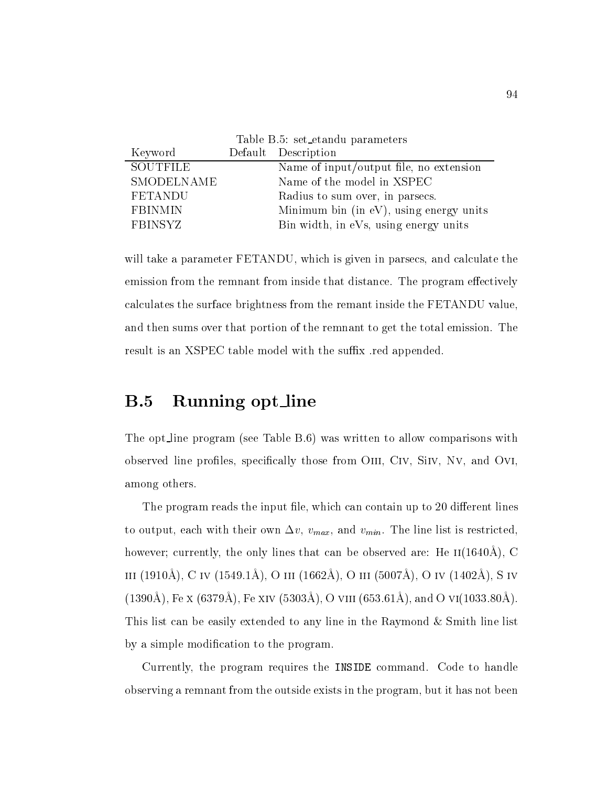| Table B.5: set_etandu parameters |  |                                         |  |
|----------------------------------|--|-----------------------------------------|--|
| Keyword                          |  | Default Description                     |  |
| <b>SOUTFILE</b>                  |  | Name of input/output file, no extension |  |
| SMODELNAME                       |  | Name of the model in XSPEC              |  |
| <b>FETANDU</b>                   |  | Radius to sum over, in parsecs.         |  |
| <b>FBINMIN</b>                   |  | Minimum bin (in eV), using energy units |  |
| <b>FBINSYZ</b>                   |  | Bin width, in eVs, using energy units   |  |

will take a parameter FETANDU, which is given in parsecs, and calculate the emission from the remnant from inside that distance. The program effectively calculates the surface brightness from the remant inside the FETANDU value and then sums over that portion of the remnant to get the total emission. The result is an XSPEC table model with the suffix red appended.

#### $B.5$ Running opt line

The opt line program see Table B was written to allow comparisons with observed line profiles, specifically those from OIII, CIV, SIIV, NV, and OVI, among others

The program reads the input file, which can contain up to 20 different lines to output, each with their own  $\Delta v$ ,  $v_{max}$ , and  $v_{min}$ . The line list is restricted,  $\max$ , currently, the only fines that can be observed are, fie ii(1040.1),  $\cup$  $\lim_{\Delta}$  (1010),  $\cup$  iv (1010).  $\lim_{\Delta}$  (3 iii (1002).  $\lim_{\Delta}$  (5 iii (000 ).  $\lim_{\Delta}$  (0 iv (1102).  $\lim_{\Delta}$  (5 iv  $(100011)$ ,  $1 \circ \Lambda$   $(001011)$ ,  $1 \circ \Lambda$   $\Lambda$   $(000011)$ ,  $\sigma$  viii  $(000.0111)$ , and  $\sigma$  vi(1000.0011). This list can be easily extended to any line in the Raymond  $&$  Smith line list by a simple modification to the program.

Currently, the program requires the INSIDE command. Code to handle observing a remnant from the outside exists in the program, but it has not been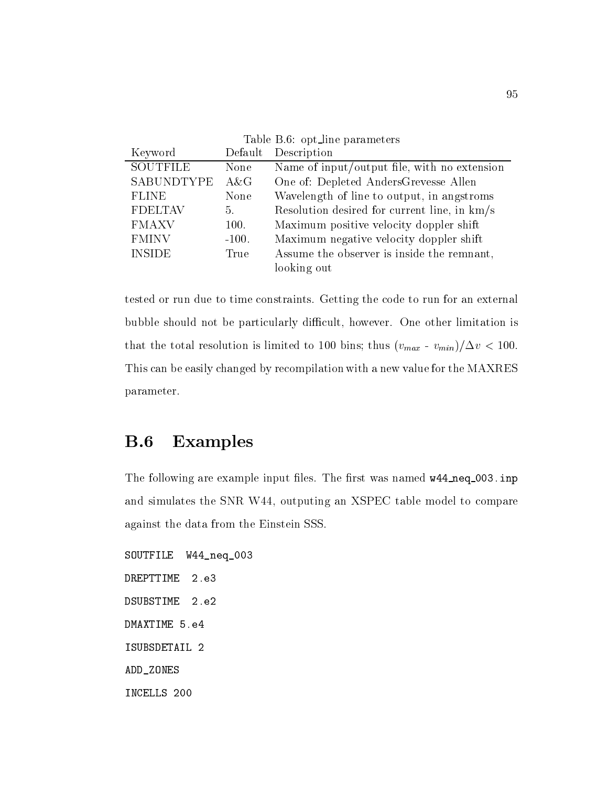| Table B.6: opt_line parameters |         |                                              |  |
|--------------------------------|---------|----------------------------------------------|--|
| Keyword                        | Default | Description                                  |  |
| <b>SOUTFILE</b>                | None    | Name of input/output file, with no extension |  |
| <b>SABUNDTYPE</b>              | $A\&G$  | One of: Depleted AndersGrevesse Allen        |  |
| <b>FLINE</b>                   | None    | Wavelength of line to output, in angstroms   |  |
| <b>FDELTAV</b>                 | 5.      | Resolution desired for current line, in km/s |  |
| <b>FMAXV</b>                   | 100.    | Maximum positive velocity doppler shift      |  |
| <b>FMINV</b>                   | $-100.$ | Maximum negative velocity doppler shift      |  |
| <b>INSIDE</b>                  | True    | Assume the observer is inside the remnant,   |  |
|                                |         | looking out                                  |  |

tested or run due to time constraints Getting the code to run for an external bubble should not be particularly difficult, however. One other limitation is that the total resolution is limited to bins the total resolution is limited to bins the  $\alpha$ This can be easily changed by recompilation with a new value for the MAXRES parameter

#### **B.6** Examples

The following are example input less to rate when  $\alpha$  is the rate  $\alpha$  in the rate  $\eta$  is the rate  $\eta$ and simulates the SNR W44, outputing an XSPEC table model to compare against the data from the Einstein SSS

SOUTFILE W44\_neq\_003 **DREPTTIME**  $2.e3$ **DSUBSTIME**  $2.e2$ ISUBSDETAIL ADD\_ZONES INCELLS 200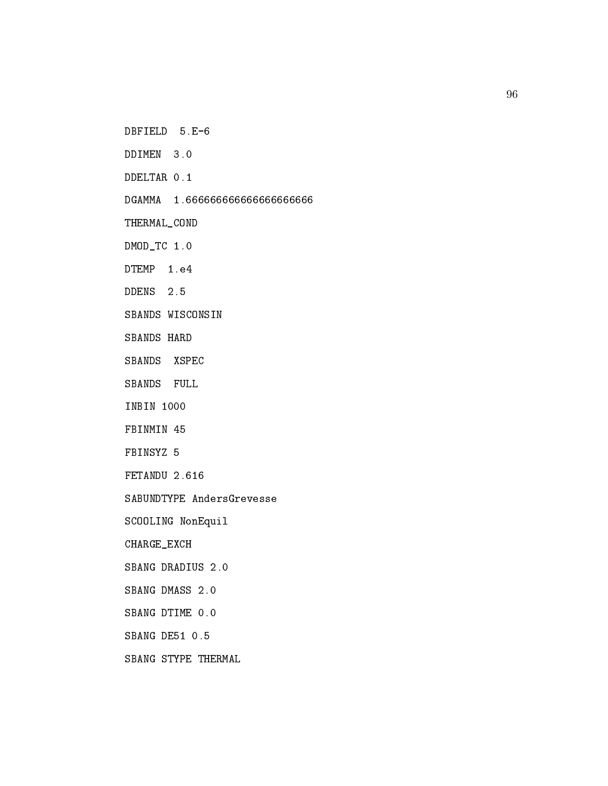DDIMEN 3.0

THERMAL\_COND

DMODTC -

SBANDS WISCONSIN

SBANDS HARD

SBANDS XSPEC

SBANDS FULL

INBIN 1000

FBINMIN 45

FBINSYZ 5

SABUNDTYPE AndersGrevesse

SCOOLING NonEquil

CHARGE\_EXCH

SBANG DTIME 0.0

SBANG STYPE THERMAL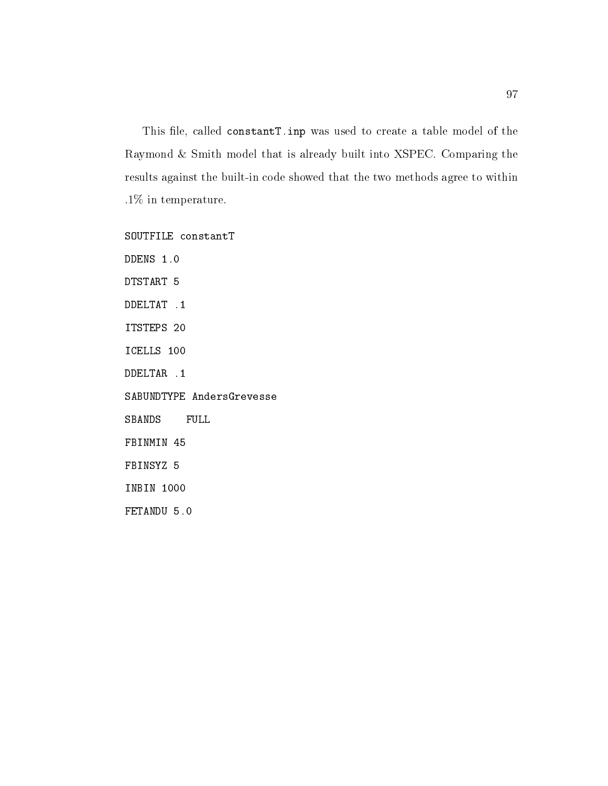in the constant to come the constant was used to constant model of the theory and the the constant Raymond & Smith model that is already built into XSPEC. Comparing the results against the built-in code showed that the two methods agree to within  $.1\%$  in temperature.

SOUTFILE constantT

DTSTART

ITSTEPS 20

ICELLS 100

SABUNDTYPE AndersGrevesse

SBANDS FULL

FBINMIN 45

FBINSYZ 5

INBIN 1000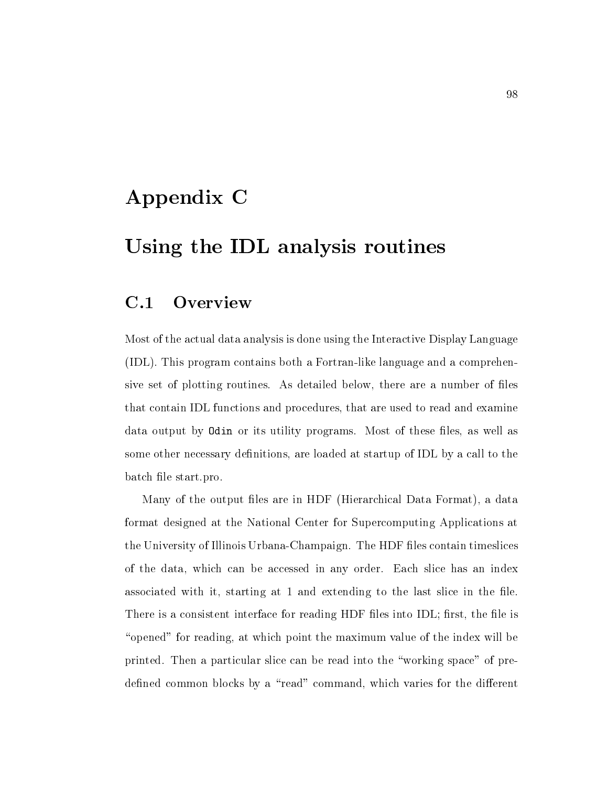# Appendix C

# Using the IDL analysis routines

#### $C.1$ **Overview**

Most of the actual data analysis is done using the Interactive Display Language like language like language and a fortrans-and a forth-comprehensive and a comprehensive and a comprehensive sive set of plotting routines. As detailed below, there are a number of files that contain IDL functions and procedures that are used to read and examine data output by Odin or its utility programs. Most of these files, as well as some other necessary definitions, are loaded at startup of IDL by a call to the batch file start.pro.

Many of the output files are in HDF (Hierarchical Data Format), a data format designed at the National Center for Supercomputing Applications at the University of Illinois Urbana-Urbana-Theodores Urbana-The Hotel timeslices timeslices the Hotel Contains o of the data which can be accessed in any order Each slice has an index associated with it, starting at 1 and extending to the last slice in the file. There is a consistent interface for reading HDF files into IDL; first, the file is "opened" for reading, at which point the maximum value of the index will be printed. Then a particular slice can be read into the "working space" of predefined common blocks by a "read" command, which varies for the different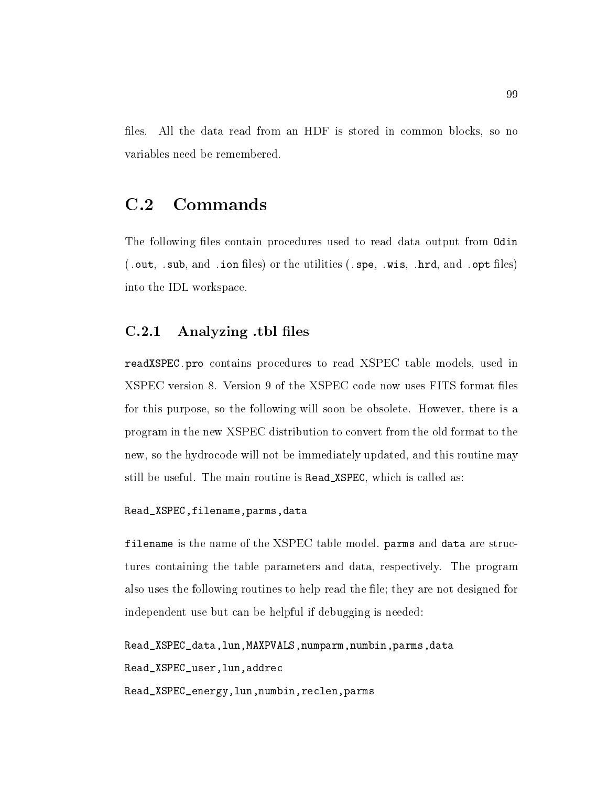files. All the data read from an HDF is stored in common blocks, so no variables need be remembered.

## $C.2$

The following files contain procedures used to read data output from Odin -out -sub and -ion les or the utilities -spe -wis -hrd and -opt les into the IDL workspace

### Analyzing -tbl les

readers read to read the contact to read XSPEC the contact the second internal and the contact of the contact XSPEC version 8. Version 9 of the XSPEC code now uses FITS format files for this purpose, so the following will soon be obsolete. However, there is a program in the new XSPEC distribution to convert from the old format to the new, so the hydrocode will not be immediately updated, and this routine may still be useful. The main routine is Read\_XSPEC, which is called as:

```
Read_XSPEC, filename, parms, data
```
filename is the name of the XSPEC table model parms and data are structures containing the table parameters and data, respectively. The program also uses the following routines to help read the file; they are not designed for independent use but can be helpful if debugging is needed

```
Read_XSPEC_data, lun, MAXPVALS, numparm, numbin, parms, data
Read_XSPEC_user, lun, addrec
Read_XSPEC_energy, lun, numbin, reclen, parms
```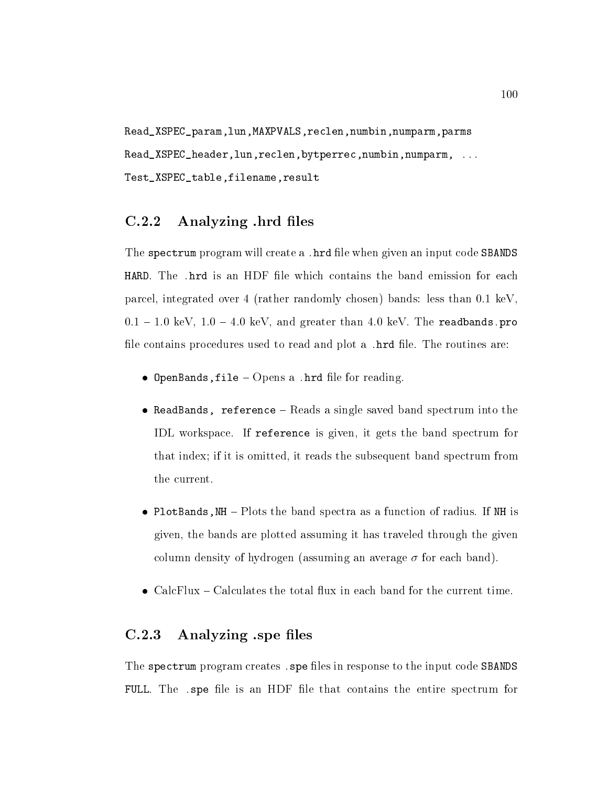Read\_XSPEC\_param, lun, MAXPVALS, reclen, numbin, numparm, parms readerlunrechung der Spezien und der Spezien und der Aber als der Spezien und der Spezien und der Spezien und Test\_XSPEC\_table, filename, result

#### Analyzing -hrd les

The spectrum program will create a -hrd le when given an input code SBANDS parcel, integrated over 4 (rather randomly chosen) bands: less than  $0.1 \text{ keV}$ ,  $v_{11}$  = 1.0 keV, 1.0 = 4.0 keV, and greater than 4.0 keV. The readbands. Pro le contains procedures used to read and plot a -hrd le The routines are

- $\bullet$  openbands, rie  $\sim$  Opens a  $\cdot$  mrd me for reading.
- ReadBands, reference  $-$  Reads a single saved band spectrum into the IDL workspace. If reference is given, it gets the band spectrum for that index; if it is omitted, it reads the subsequent band spectrum from the current
- PlotBands,  $NH Plots$  the band spectra as a function of radius. If NH is given, the bands are plotted assuming it has traveled through the given column density of hydrogen (assuming an average  $\sigma$  for each band).
- $\bullet$  CalcFlux Calculates the total flux in each band for the current time.

### Analyzing -spe les

The spectrum program creates -spe les in response to the input code SBANDS FULL The -spe le is an HDF le that contains the entire spectrum for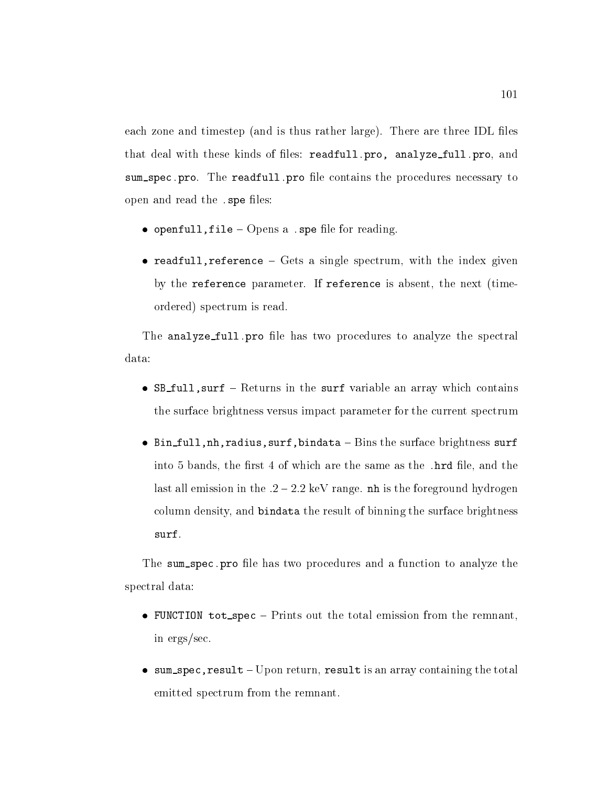each zone and timestep (and is thus rather large). There are three IDL files that deal with these kinds of les readfull-pro analyze full-pro and sum spec-pro The readfull-pro le contains the procedures necessary to open and read the species of the species of the species of the species of the species of the species of the species of the species of the species of the species of the species of the species of the species of the species o

- $\bullet$  openfull, the  $\sim$  Opens a  $\cdot$  spe life for reading.
- readfull, reference  $-$  Gets a single spectrum, with the index given by the reference parameter. If reference is absent, the next (timeordered) spectrum is read.

The analyze full-pro le has two procedures to analyze the spectral data:

- $\bullet$  SB\_full, surf Returns in the surf variable an array which contains the surface brightness versus impact parameter for the current spectrum
- $\bullet$  Bin\_full, nh, radius, surf, bindata Bins the surface brightness surf into a constant the same of which are the same as the same as the same as the same same  $\sim$ last all emission in the  $.2 - 2.2 \text{ keV}$  range. nh is the foreground hydrogen column density, and bindata the result of binning the surface brightness

The sum spec-pro le has two procedures and a function to analyze the spectral data

- FUNCTION tot\_spec  $-$  Prints out the total emission from the remnant, in  $ergs/sec$ .
- $\bullet$  sum spec, result Upon return, result is an array containing the total emitted spectrum from the remnant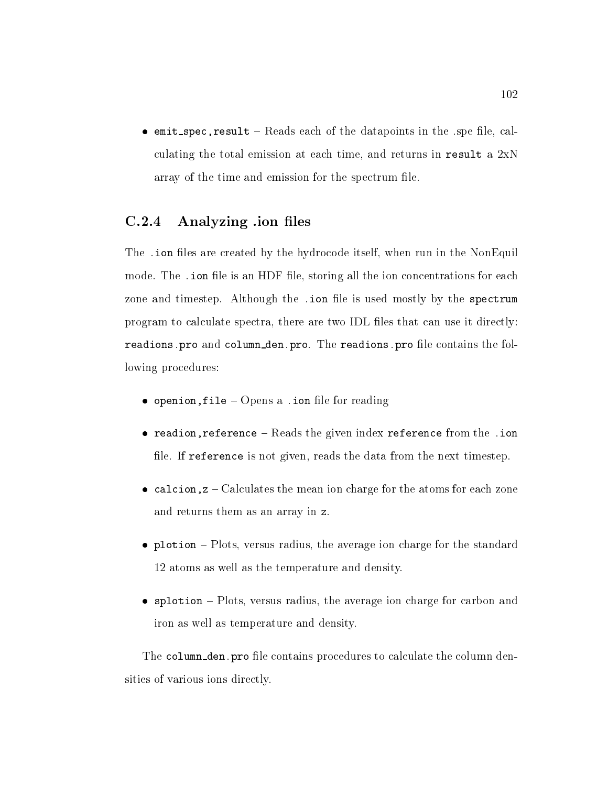$\bullet$  emit\_spec, result - Reads each of the datapoints in the spe file, calculating the total emission at each time, and returns in result a  $2xN$ array of the time and emission for the spectrum file.

### Analyzing -ion les

The -ion les are created by the hydrocode itself when run in the NonEquil mode The -ion le is an HDF le storing all the ion concentrations for each zone and timestep Although the -ion le is used mostly by the spectrum program to calculate spectra, there are two IDL files that can use it directly: readions-pro and column den-pro The readions-pro le contains the following procedures:

- $\bullet$  openion, i i e  $\leftarrow$  Opens a . fon me for reading
- $\bullet$  readfon'reference  $-$  beads the given index reference from the  $\cdot$  fon file. If reference is not given, reads the data from the next timestep.
- calcion,  $z -$  Calculates the mean ion charge for the atoms for each zone and returns them as an array in z
- plotion  $-$  Plots, versus radius, the average ion charge for the standard 12 atoms as well as the temperature and density.
- $\bullet$  splotion Plots, versus radius, the average ion charge for carbon and iron as well as temperature and density

The column den-pro le contains procedures to calculate the column densities of various ions directly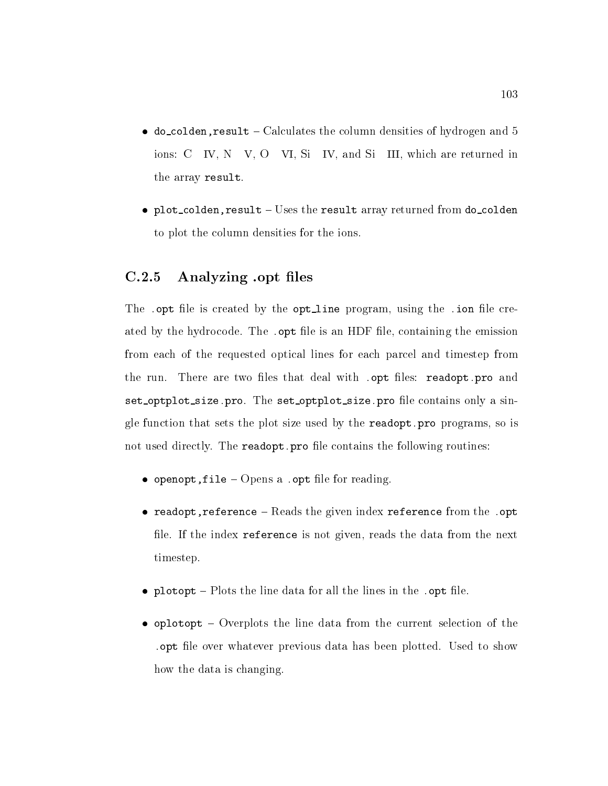- $\bullet$  do\_colden, result Calculates the column densities of hydrogen and 5 ions:  $C$  IV,  $N$  V,  $O$  VI,  $Si$  IV, and  $Si$  III, which are returned in the array result
- plot\_colden, result  $-$  Uses the result array returned from do\_colden to plot the column densities for the ions

#### $C.2.5$ Analyzing -opt les

The -opt le is created by the opt line program using the -ion le created by the hydrocode The -opt le is an HDF le containing the emission from each of the requested optical lines for each parcel and timestep from the run There are two les that deal with -opt les readopt-pro and set optplot size-pro The set optplot size-pro le contains only a sin- $\rho$  function that sets that sets the plot size used by the readoption of  $\rho$  is the readoptnot used directly The readopt-pro le contains the following routines

- $\bullet$  openope, rire  $\sim$  Opens a rope me for reading.
- $\bullet$  readopt, reference  $-$  reads the given index reference from the  $\cdot$  optimizing file. If the index reference is not given, reads the data from the next timestep
- $\bullet$  protopt  $\overline{\phantom{a}}$  rots the line data for an the lines in the  $\overline{\phantom{a}}$  . Optime.
- $\bullet$  oplotopt Overplots the line data from the current selection of the -opt le over whatever previous data has been plotted Used to show how the data is changing.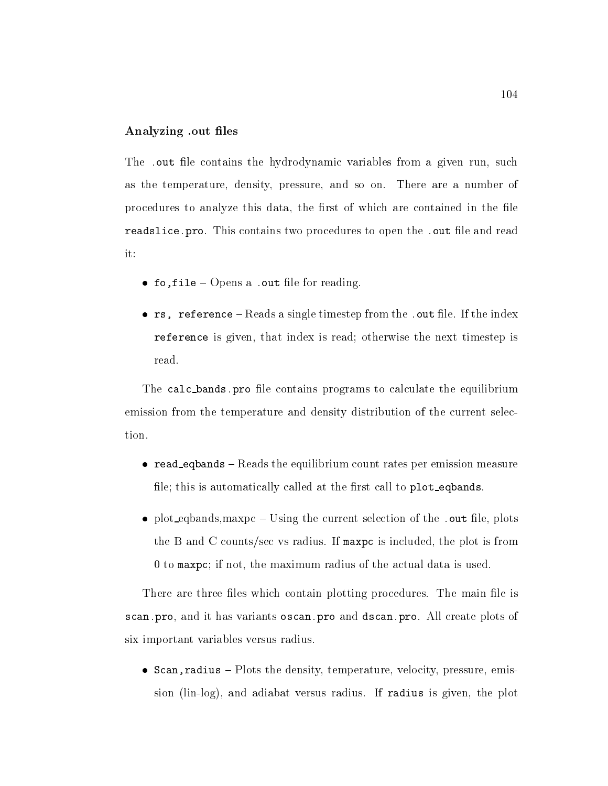#### Analyzing out files

The -out le contains the hydrodynamic variables from a given run such as the temperature, density, pressure, and so on. There are a number of procedures to analyze this data, the first of which are contained in the file readslice-pro This contains two procedures to open the -out le and read

- $\bullet$  10,111e  $\sim$  Opens a cout me for reading.
- $\bullet$  is, reference  $\sim$  reads a single timestep from the  $\cdot$  out me. If the muex reference is given, that index is read; otherwise the next timestep is read

The calc bands-pro le contains programs to calculate the equilibrium emission from the temperature and density distribution of the current selection

- $\bullet$  read eqbands  $-$  Reads the equilibrium count rates per emission measure file; this is automatically called at the first call to plot\_eqbands.
- $\bullet$  plot equalities, in axpc  $\sim$  Using the current selection of the  $\cdot$  out file, plots the B and C counts/sec vs radius. If maxpc is included, the plot is from  $\theta$  to maxpc; if not, the maximum radius of the actual data is used.

There are three files which contain plotting procedures. The main file is scan-pro and it has variants oscan-pro and dscan-pro All create plots of six important variables versus radius

 $\bullet$  Scan, radius - Plots the density, temperature, velocity, pressure, emission lin-log and adiabat versus radius If radius is given the plot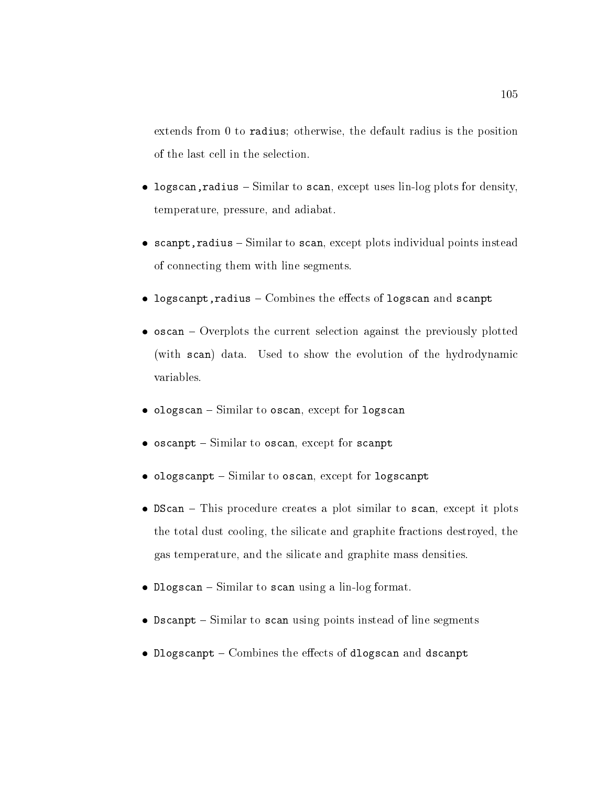extends from  $0$  to radius; otherwise, the default radius is the position of the last cell in the selection.

- $\bullet$  rogscan, radrus  $\sim$  Similar to scan, except uses ini-log plots for density, temperature, pressure, and adiabat.
- scanpt, radius  $-$  Similar to scan, except plots individual points instead of connecting them with line segments
- logscanpt, radius  $-$  Combines the effects of logscan and scanpt
- $\bullet$  oscan Overplots the current selection against the previously plotted (with scan) data. Used to show the evolution of the hydrodynamic
- $\bullet$  ologscan Similar to oscan, except for logscan
- $\bullet$  oscanpt Similar to oscan, except for scanpt
- $\bullet$  ologscanpt Similar to oscan, except for logscanpt
- $\bullet$  DScan This procedure creates a plot similar to scan, except it plots the total dust cooling, the silicate and graphite fractions destroyed, the gas temperature, and the silicate and graphite mass densities.
- $\bullet$  progscan  $-$  Similar to scan using a lin-log format.
- $\bullet$  Dscanpt Similar to scan using points instead of line segments
- Dlogscanpt  $-$  Combines the effects of dlogscan and dscanpt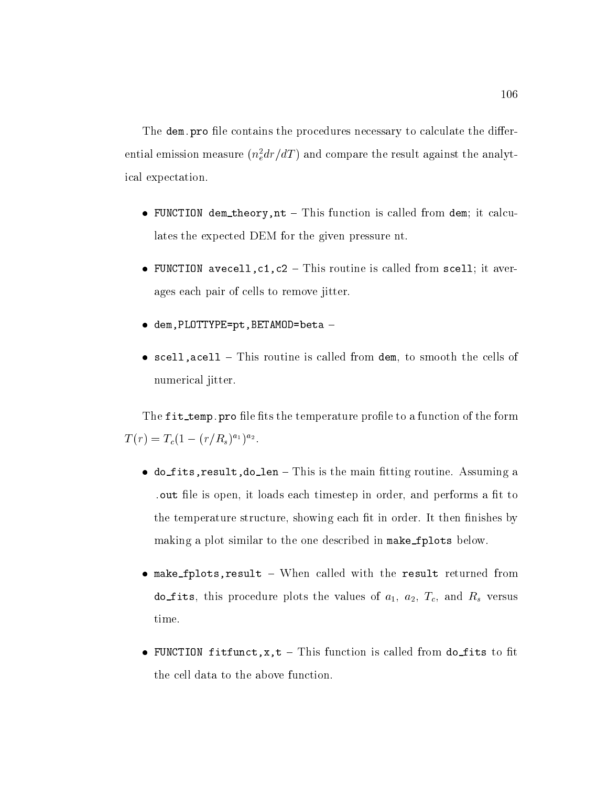The dem-pro le contains the procedures necessary to calculate the dierential emission measure ( $n_{e}^{a}ar/az$  ) and compare the result against the analytical expectation

- FUNCTION dem theory,  $nt$  This function is called from dem; it calculates the expected DEM for the given pressure nt
- FUNCTION avecell,  $c1$ ,  $c2$  This routine is called from scell; it averages each pair of cells to remove jitter
- $\bullet$  dem, PLOTTYPE=pt, BETAMOD=beta -
- scell, acell  $-$  This routine is called from dem, to smooth the cells of numerical jitter

processed the fit temperature produce produce to a function of the form of the form of the form of the form of  $I(T) = I_c(1 - (T/R_s)^{-1})^{-2}$ .

- do fits, result, do len This is the main fitting routine. Assuming a -out le is open it loads each timestep in order and performs a t to the temperature structure, showing each fit in order. It then finishes by making a plot similar to the one described in make\_fplots below.
- $\bullet$  make fplots, result When called with the result returned from do fits, this procedure plots the values of  $a_1$ ,  $a_2$ ,  $T_c$ , and  $R_s$  versus time
- FUNCTION fitfunct,  $x$ ,  $t$  This function is called from do\_fits to fit the cell data to the above function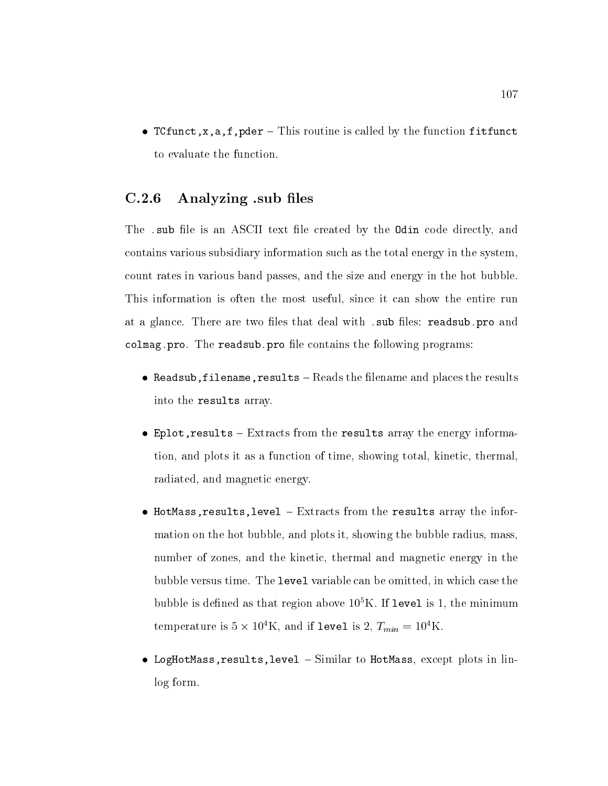• TCfunct, x, a, f, pder - This routine is called by the function fitfunct to evaluate the function

#### Analyzing -sub les

the - substitute and an ASCII text leads the Coding and Code directly and the Odina code of  $\alpha$ contains various subsidiary information such as the total energy in the system count rates in various band passes and the size and energy in the hot bubble This information is often the most useful, since it can show the entire run at a glance There are two les that deal with -sub les readsub-pro and colmag-pro The readsub-pro le contains the following programs

- Readsub, filename, results  $-$  Reads the filename and places the results into the results array
- Eplot, results  $-$  Extracts from the results array the energy information, and plots it as a function of time, showing total, kinetic, thermal, radiated, and magnetic energy.
- HotMass, results, level  $-$  Extracts from the results array the information on the hot bubble, and plots it, showing the bubble radius, mass, number of zones, and the kinetic, thermal and magnetic energy in the bubble versus time. The level variable can be omitted, in which case the bubble is defined as that region above 10  $K$ . If level is 1, the minimum temperature is  $5 \times 10^{-1}$ K, and if level is 2,  $T_{min} = 10^{-1}$ K.
- LogHotMass, results, level  $-$  Similar to HotMass, except plots in linlog form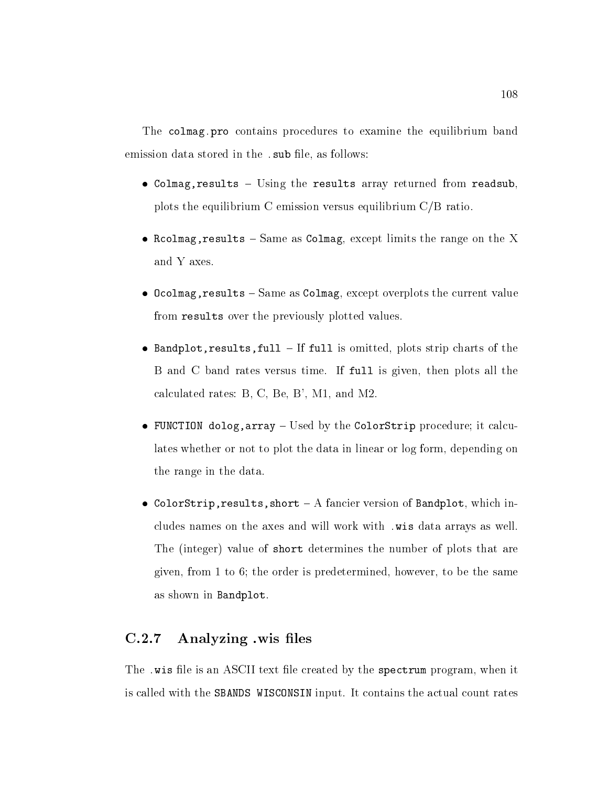The colmag-pro contains procedures to examine the equilibrium band emission data stored in the -  $\mathbb{R}$  -follows  $\mathbb{R}$  -follows  $\mathbb{R}$  -follows  $\mathbb{R}$  -follows  $\mathbb{R}$ 

- Colmag, results  $-$  Using the results array returned from readsub. plots the equilibrium C emission versus equilibrium  $C/B$  ratio.
- Rcolmag, results  $-$  Same as Colmag, except limits the range on the X and Y axes
- Ocolmag, results  $-$  Same as Colmag, except overplots the current value from results over the previously plotted values
- Bandplot, results, full  $-I$  If full is omitted, plots strip charts of the B and C band rates versus time. If full is given, then plots all the calculated rates:  $B, C, Be, B', M1, and M2.$
- FUNCTION dolog,  $array -$  Used by the ColorStrip procedure; it calculates whether or not to plot the data in linear or log form, depending on the range in the data
- ColorStrip, results, short  $-A$  fancier version of Bandplot, which includes accepted the the axes and will with - with - with - with - with - with - with - with - with -The (integer) value of short determines the number of plots that are given from to the order is predetermined however to be the same as shown in Bandplot

### Analyzing -wis les

The - wis let is an ASCII text leader by the spectrum program when it is an ASCII text leader by the spectrum program when it is a spectrum program when it is a spectrum program when it is a spectrum program when it is a s is called with the SBANDS WISCONSIN input. It contains the actual count rates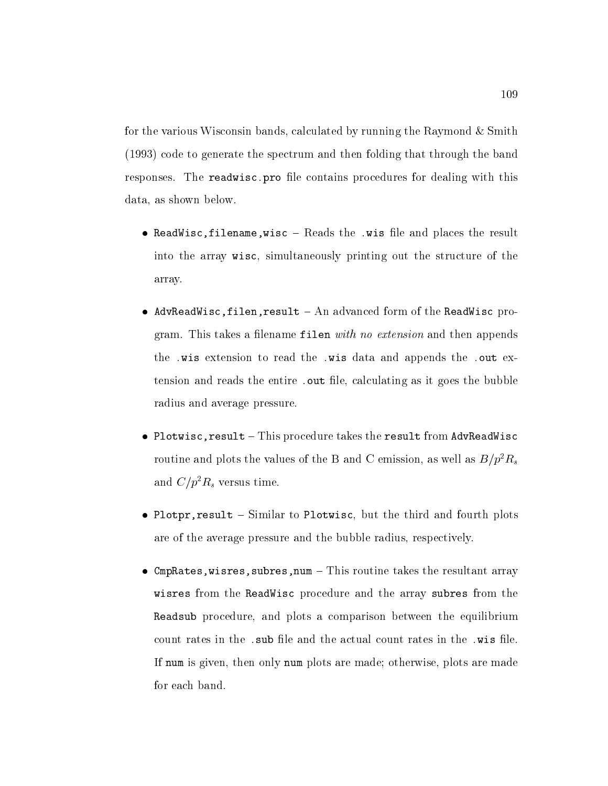for the various Wisconsin bands, calculated by running the Raymond  $\&$  Smith  $(1993)$  code to generate the spectrum and then folding that through the band reproduces The readwice pro less than the procedures for dealing with the state of the procedure of the state o data, as shown below.

- $\bullet$  readwisc<sub>ill</sub>iename, wisc  $\sim$  reads the  $\cdot$  wis life and places the result into the array wisc, simultaneously printing out the structure of the array
- AdvReadWisc, filen, result  $-$  An advanced form of the ReadWisc program. This takes a filename filen with no extension and then appends the - wis the - wis data and - wis data and and appendix the - wis data and - wis data and - wis data and - wi the entire  $t$  is goes the entire  $t$  in  $t$  as it goes the bubble bubble  $t$  is goes the bubble bubble bubble bubbles the bubbles the bubbles of  $t$ radius and average pressure
- $\bullet$  Plotwisc, result This procedure takes the result from AdvReadWisc routine and plots the values of the B and C emission, as well as  $B/p^r R_s$ and  $\epsilon/\bar{p}$ - $n_s$  versus time.
- Plotpr, result  $-$  Similar to Plotwisc, but the third and fourth plots are of the average pressure and the bubble radius, respectively.
- CmpRates, wisres, subres, num  $-$  This routine takes the resultant array wisres from the ReadWisc procedure and the array subres from the Readsub procedure, and plots a comparison between the equilibrium If num is given, then only num plots are made; otherwise, plots are made for each band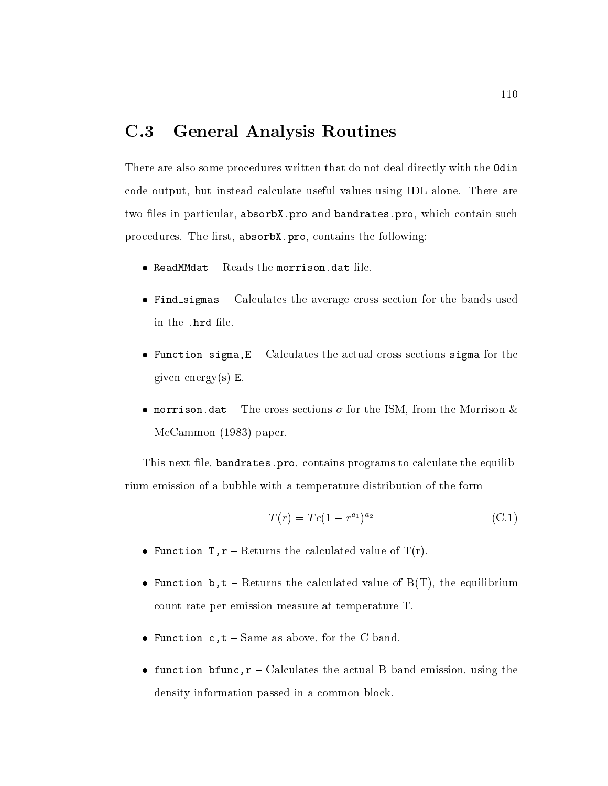#### $C.3$ General Analysis Routines

There are also some procedures written that do not deal directly with the Odin code output, but instead calculate useful values using IDL alone. There are two les in particular absorbX-pro and bandrates-pro which contain such procedures The rst absorbX-pro contains the following

- $\bullet$  readmindat  $\sim$  reads the morrison-data life.
- Find sigmas  $-$  Calculates the average cross section for the bands used
- Function sigma,  $E -$  Calculates the actual cross sections sigma for the given energy $(s)$  E.
- $\bullet$  morrison. The cross sections  $\sigma$  for the ISM, from the Morrison  $\alpha$  $McCammon (1983) paper.$

This next le bandrates-pro contains programs to calculate the equilibrium emission of a bubble with a temperature distribution of the form

$$
T(r) = Tc(1 - r^{a_1})^{a_2} \tag{C.1}
$$

- Function  $T, r$  Returns the calculated value of  $T(r)$ .
- Function b,  $t$  Returns the calculated value of  $B(T)$ , the equilibrium count rate per emission measure at temperature T
- Function  $c, t Same$  as above, for the C band.
- function bfunc,  $r -$  Calculates the actual B band emission, using the density information passed in a common block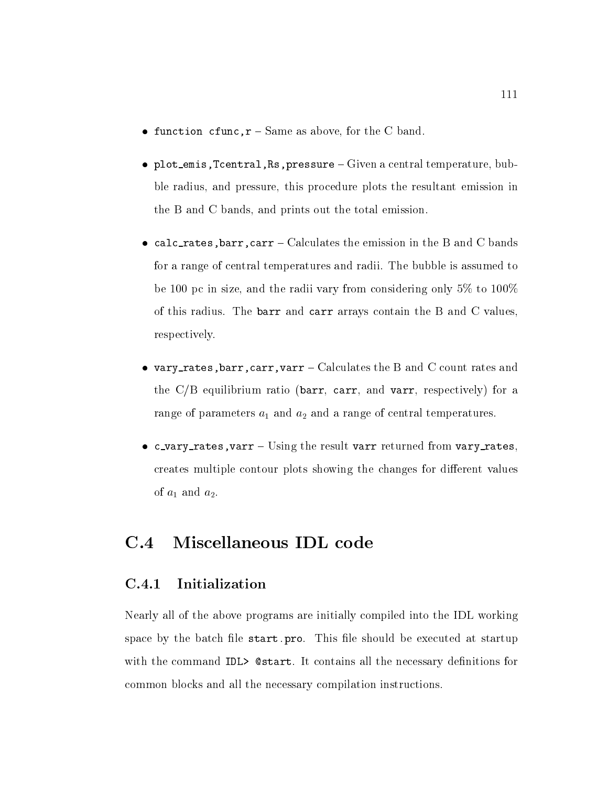- function  $cfunc, r Same$  as above, for the C band.
- plot\_emis, Tcentral, Rs, pressure  $-$  Given a central temperature, bubble radius, and pressure, this procedure plots the resultant emission in the B and C bands, and prints out the total emission.
- calc\_rates, barr, carr Calculates the emission in the B and C bands for a range of central temperatures and radii. The bubble is assumed to be 100 pc in size, and the radii vary from considering only  $5\%$  to  $100\%$ of this radius. The barr and carr arrays contain the B and C values, respectively
- vary rates, barr, carr, varr Calculates the B and C count rates and the  $C/B$  equilibrium ratio (barr, carr, and varr, respectively) for a range of parameters  $a_1$  and  $a_2$  and a range of central temperatures.
- c\_vary\_rates, varr  $-$  Using the result varr returned from vary\_rates, creates multiple contour plots showing the changes for different values of  $a_1$  and  $a_2$ .

#### $C.4$ Miscellaneous IDL code

### Initialization

Nearly all of the above programs are initially compiled into the IDL working space by the batch le start-pro This le should be executed at startup with the command IDL> Cestart. It contains all the necessary definitions for common blocks and all the necessary compilation instructions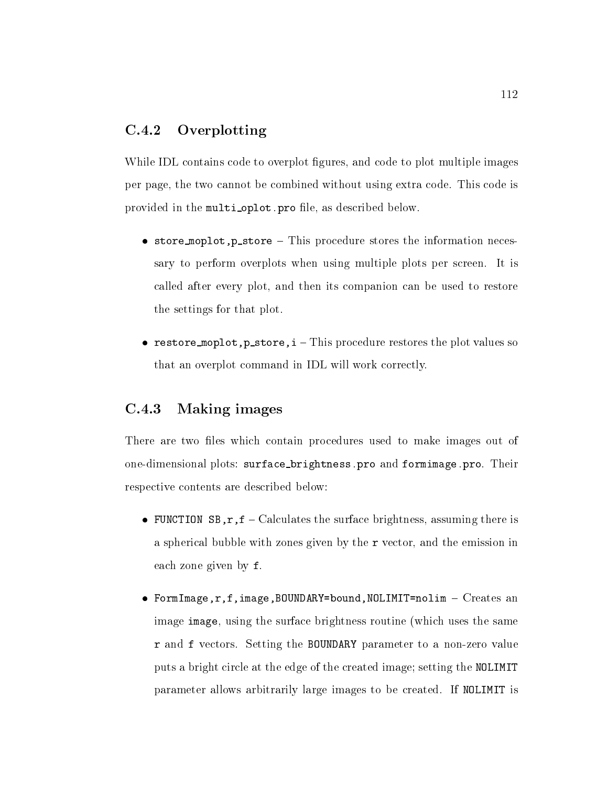#### $C.4.2$ Overplotting

While IDL contains code to overplot figures, and code to plot multiple images per page, the two cannot be combined without using extra code. This code is provided in the multi oplot-pro le as described below

- $\bullet$  store moplot, p\_store This procedure stores the information necessary to perform overplots when using multiple plots per screen. It is called after every plot, and then its companion can be used to restore the settings for that plot
- restore moplot, p\_store,  $i$  This procedure restores the plot values so that an overplot command in IDL will work correctly

### Making images

There are two files which contain procedures used to make images out of one-dimensional plots surface brightness-pro and formimage-pro Their respective contents are described below

- FUNCTION SB,  $r$ ,  $f$  Calculates the surface brightness, assuming there is a spherical bubble with zones given by the  $r$  vector, and the emission in each zone given by f
- FormImage,  $r$ ,  $f$ , image, BOUNDARY=bound, NOLIMIT=nolim  $-$  Creates an image image, using the surface brightness routine (which uses the same r and f vectors Setting the BOUNDARY parameter to a non-zero value puts a bright circle at the edge of the created image; setting the NOLIMIT parameter allows arbitrarily large images to be created. If NOLIMIT is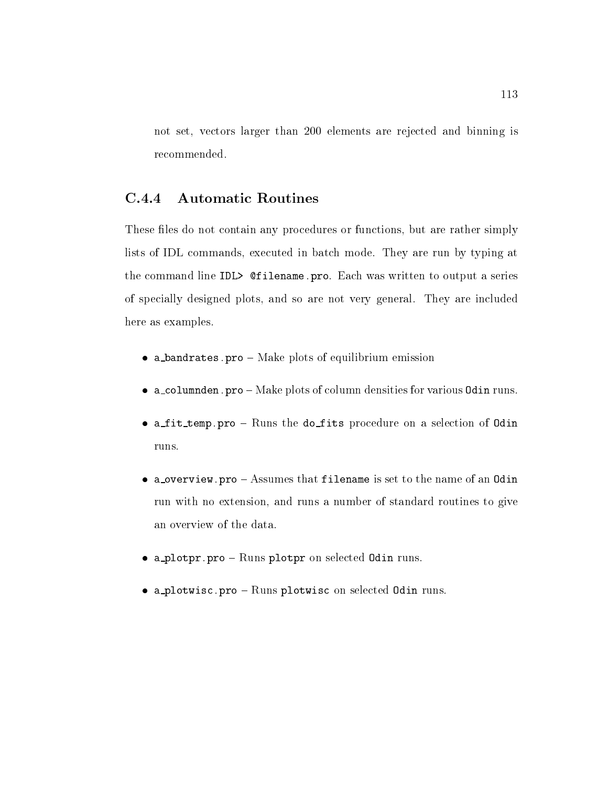not set, vectors larger than 200 elements are rejected and binning is recommended.

#### $C.4.4$ Automatic Routines

These files do not contain any procedures or functions, but are rather simply lists of IDL commands, executed in batch mode. They are run by typing at the communication is in the communication of  $\mathcal{L}$  is the series of  $\mathcal{L}$  . The series of  $\mathcal{L}$ of specially designed plots, and so are not very general. They are included here as examples

- $\bullet$  a bandrates.  $p_1 o m$ are plots of equilibrium emission
- $\bullet$  -alcolumnem. Pro  $-$  Make plots of column densities for various od in runs.
- $\bullet$  allo-bemp.pro  $-$  runs the dollies procedure on a selection or pulli runs
- $\bullet$  a overview. Pro  $-$  Assumes that firename is set to the name of an Odin run with no extension, and runs a number of standard routines to give an overview of the data
- $\bullet$  alprotpr.pro  $-$  runs protpr on selected odin runs.
- $\bullet$  a processe.pro  $-$  nums processe on selected odin runs.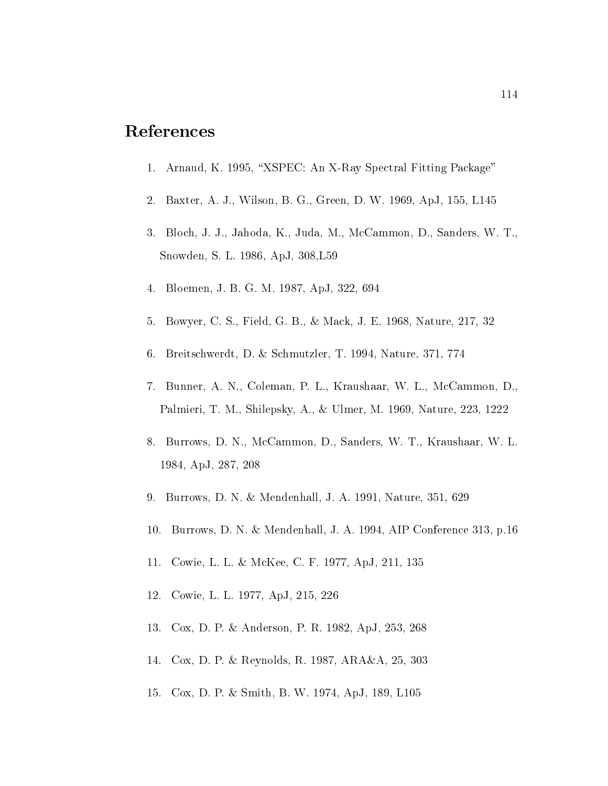## References

- Arnaud K "XSPEC An X-Ray Spectral Fitting Package%
- Baxter A J Wilson B G Green D W ApJ L
- 3. Bloch, J. J., Jahoda, K., Juda, M., McCammon, D., Sanders, W. T., Snow the Snow that the Snow the Snow the Snow the Snow the Snow the Snow the Snow the Snow the Snow the Snow the Sn
- Bloemen J B G M ApJ
- Bowyer C S Field G B B S Field G B B S Field G B B S Field G B B S Field G B B S Field G B B S Field G B B S F
- 6. Breitschwerdt, D. & Schmutzler, T. 1994, Nature, 371, 774
- 7. Bunner, A. N., Coleman, P. L., Kraushaar, W. L., McCammon, D., Palmieri T M Shilepsky A Ulmer M Nature
- 8. Burrows, D. N., McCammon, D., Sanders, W. T., Kraushaar, W. L. 1984, ApJ, 287, 208
- Burrows D N Mendenhall D N Mendenhall J A S N Mendenhall J A N Mendenhall J A S N Mendenhall J A Na
- 10. Burrows, D. N. & Mendenhall, J. A. 1994, AIP Conference 313, p.16
- 11. Cowie, L. L. & McKee, C. F. 1977, ApJ, 211, 135
- 12. Cowie, L. L. 1977, ApJ, 215, 226
- Cox D P Anderson P R ApJ
- 14. Cox, D. P. & Reynolds, R. 1987, ARA&A, 25, 303
- 15. Cox, D. P. & Smith, B. W. 1974, ApJ, 189, L105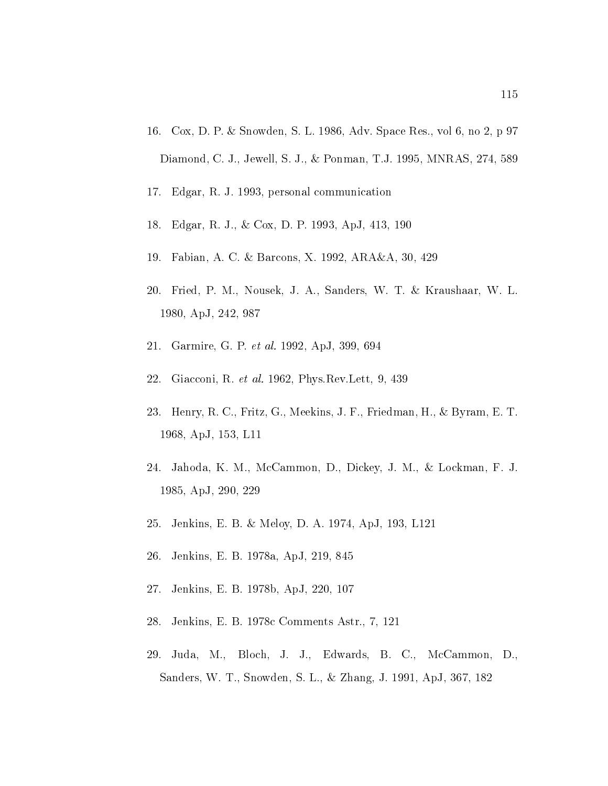- as a compared to the space of the space of the space of the space  $\mathbb{R}^n$  . The space  $\mathbb{R}^n$ Diamond, C. J., Jewell, S. J., & Ponman, T.J. 1995, MNRAS, 274, 589
- 17. Edgar, R. J. 1993, personal communication
- 18. Edgar, R. J., & Cox, D. P. 1993, ApJ, 413, 190
- 19. Fabian, A. C. & Barcons, X. 1992, ARA&A, 30, 429
- 20. Fried, P. M., Nousek, J. A., Sanders, W. T. & Kraushaar, W. L. 1980, ApJ, 242, 987
- Garmire Garmire Garmire Garmire Garmire Garmire Garmire Garmire Garmire Garmire Garmire Garmire Garmire Garmir
- Giacconi R et al- PhysRevLett
- 23. Henry, R. C., Fritz, G., Meekins, J. F., Friedman, H., & Byram, E. T. Application of the contract of the contract of the contract of the contract of the contract of the contract of
- 24. Jahoda, K. M., McCammon, D., Dickey, J. M., & Lockman, F. J. 1985, ApJ, 290, 229
- 25. Jenkins, E. B. & Meloy, D. A. 1974, ApJ, 193, L121
- 26. Jenkins, E. B. 1978a, ApJ, 219, 845
- 27. Jenkins, E. B. 1978b, ApJ, 220, 107
- 28. Jenkins, E. B. 1978c Comments Astr., 7, 121
- 29. Juda, M., Bloch, J. J., Edwards, B. C., McCammon, D., Sanders W T Snowden S L Zhang J ApJ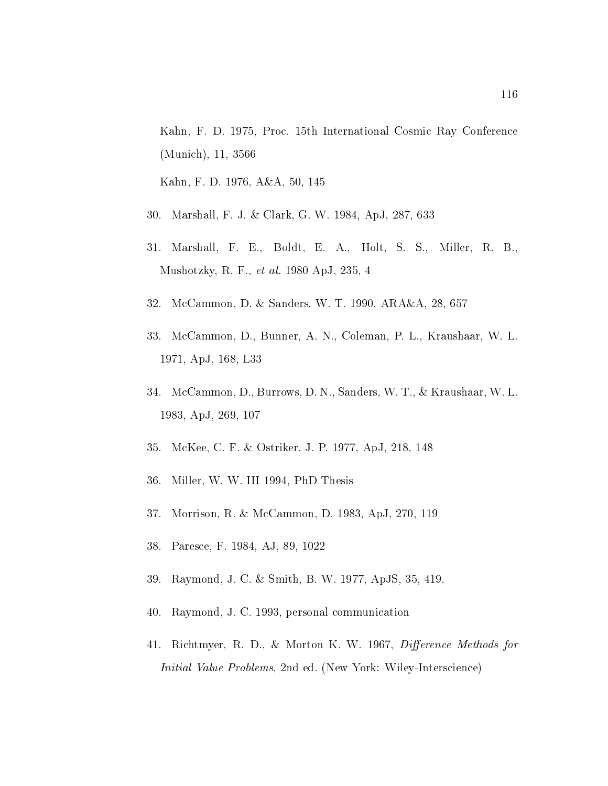Kahn, F. D. 1975, Proc. 15th International Cosmic Ray Conference  $\blacksquare$ 

Kahn F D AA

- Marshall F J Clark G W Clark G W Apple G W Clark G W Apple G W Clark G W Apple G W Clark G W Clark G W
- 31. Marshall, F. E., Boldt, E. A., Holt, S. S., Miller, R. B., Mushotzky R F et al-Apple R F et al-Apple R F et al-Apple R F et al-Apple R F et al-Apple R F et al-Apple R F
- MacCammon D Sanders W T Sanders W T Sanders W T Sanders W T Sanders W T Sanders W T Sanders W T Sand
- 33. McCammon, D., Bunner, A. N., Coleman, P. L., Kraushaar, W. L. 
 ApJ L
- 34. McCammon, D., Burrows, D. N., Sanders, W. T., & Kraushaar, W. L. Application of the contract of the contract of the contract of the contract of the contract of the contract of
- 35. McKee, C. F. & Ostriker, J. P. 1977, ApJ, 218, 148
- 36. Miller, W. W. III 1994, PhD Thesis
- 37. Morrison, R. & McCammon, D. 1983, ApJ, 270, 119
- 38. Paresce, F. 1984, AJ, 89, 1022
- 39. Raymond, J. C. & Smith, B. W. 1977, ApJS, 35, 419.
- 40. Raymond, J. C. 1993, personal communication
- richtmyster and the Morton Corporation and the Morton Methods for the Morton Andrews and the Morton Corporation Initial Value Problems nd ed New York Wiley-Interscience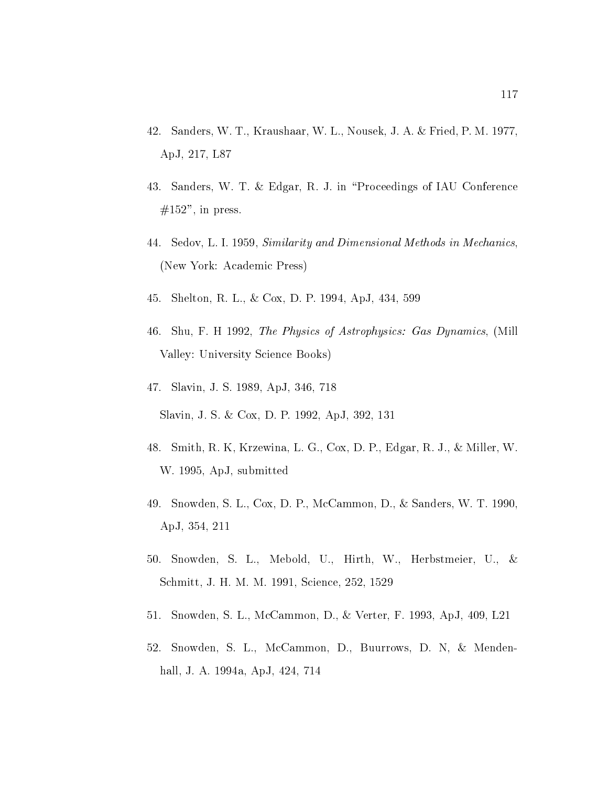- 42. Sanders, W. T., Kraushaar, W. L., Nousek, J. A. & Fried, P. M. 1977, ApJ, 217, L87
- 43. Sanders, W. T. & Edgar, R. J. in "Proceedings of IAU Conference  $#152$ ", in press.
- 44. Sedov, L. I. 1959, Similarity and Dimensional Methods in Mechanics, (New York: Academic Press)
- 45. Shelton, R. L., & Cox, D. P. 1994, ApJ, 434, 599
- Shu F H  $\sigma$  as Dynamics of Astrophysics  $P$  as  $P$  as Dynamics Miller Miller Miller Miller Miller Miller Miller Valley: University Science Books)
- Slavin Jacobson Jacobson Jacobson Jacobson Jacobson Jacobson Jacobson Jacobson Jacobson Jacobson Jacobson Jacob Slavin, J. S. & Cox, D. P. 1992, ApJ, 392, 131
- 48. Smith, R. K, Krzewina, L. G., Cox, D. P., Edgar, R. J., & Miller, W. W. 1995, ApJ, submitted
- 49. Snowden, S. L., Cox, D. P., McCammon, D., & Sanders, W. T. 1990, ApJ, 354, 211
- 50. Snowden, S. L., Mebold, U., Hirth, W., Herbstmeier, U., & Schmitt, J. H. M. M. 1991, Science, 252, 1529
- 51. Snowden, S. L., McCammon, D., & Verter, F. 1993, ApJ, 409, L21
- 52. Snowden, S. L., McCammon, D., Buurrows, D. N, & Mendenhall, J. A. 1994a, ApJ, 424, 714